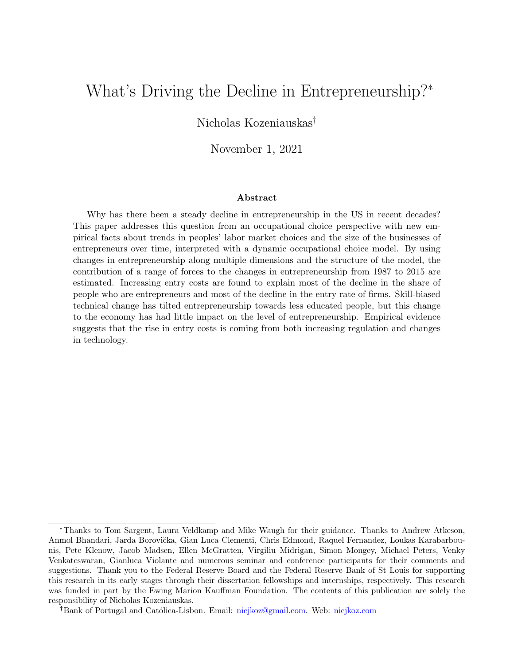# What's Driving the Decline in Entrepreneurship?\*

### Nicholas Kozeniauskas

### November 1, 2021

#### Abstract

Why has there been a steady decline in entrepreneurship in the US in recent decades? This paper addresses this question from an occupational choice perspective with new empirical facts about trends in peoples' labor market choices and the size of the businesses of entrepreneurs over time, interpreted with a dynamic occupational choice model. By using changes in entrepreneurship along multiple dimensions and the structure of the model, the contribution of a range of forces to the changes in entrepreneurship from 1987 to 2015 are estimated. Increasing entry costs are found to explain most of the decline in the share of people who are entrepreneurs and most of the decline in the entry rate of firms. Skill-biased technical change has tilted entrepreneurship towards less educated people, but this change to the economy has had little impact on the level of entrepreneurship. Empirical evidence suggests that the rise in entry costs is coming from both increasing regulation and changes in technology.

<sup>\*</sup>Thanks to Tom Sargent, Laura Veldkamp and Mike Waugh for their guidance. Thanks to Andrew Atkeson, Anmol Bhandari, Jarda Borovička, Gian Luca Clementi, Chris Edmond, Raquel Fernandez, Loukas Karabarbounis, Pete Klenow, Jacob Madsen, Ellen McGratten, Virgiliu Midrigan, Simon Mongey, Michael Peters, Venky Venkateswaran, Gianluca Violante and numerous seminar and conference participants for their comments and suggestions. Thank you to the Federal Reserve Board and the Federal Reserve Bank of St Louis for supporting this research in its early stages through their dissertation fellowships and internships, respectively. This research was funded in part by the Ewing Marion Kauffman Foundation. The contents of this publication are solely the responsibility of Nicholas Kozeniauskas.

<sup>&</sup>lt;sup>†</sup>Bank of Portugal and Católica-Lisbon. Email: [nicjkoz@gmail.com.](mailto:nicjkoz@gmail.com) Web: [nicjkoz.com](http://www.nicjkoz.com/)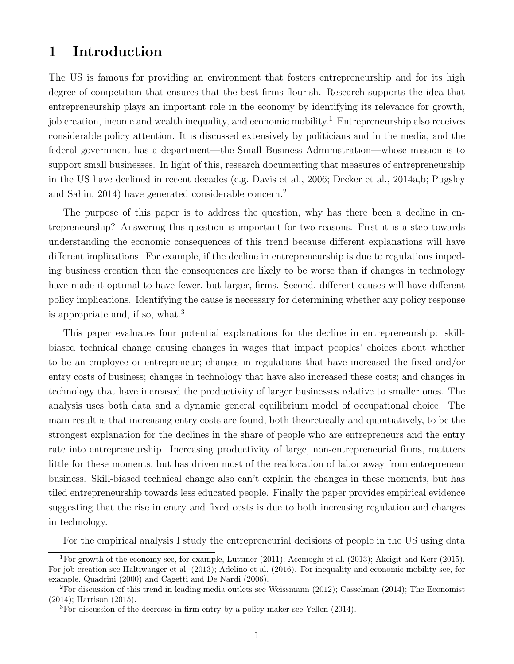# 1 Introduction

The US is famous for providing an environment that fosters entrepreneurship and for its high degree of competition that ensures that the best firms flourish. Research supports the idea that entrepreneurship plays an important role in the economy by identifying its relevance for growth, job creation, income and wealth inequality, and economic mobility.<sup>[1](#page-1-0)</sup> Entrepreneurship also receives considerable policy attention. It is discussed extensively by politicians and in the media, and the federal government has a department—the Small Business Administration—whose mission is to support small businesses. In light of this, research documenting that measures of entrepreneurship in the US have declined in recent decades (e.g. [Davis et al.,](#page-49-0) [2006;](#page-49-0) [Decker et al.,](#page-49-1) [2014a,](#page-49-1)[b;](#page-49-2) [Pugsley](#page-51-0) [and Sahin,](#page-51-0) [2014\)](#page-51-0) have generated considerable concern.[2](#page-1-1)

The purpose of this paper is to address the question, why has there been a decline in entrepreneurship? Answering this question is important for two reasons. First it is a step towards understanding the economic consequences of this trend because different explanations will have different implications. For example, if the decline in entrepreneurship is due to regulations impeding business creation then the consequences are likely to be worse than if changes in technology have made it optimal to have fewer, but larger, firms. Second, different causes will have different policy implications. Identifying the cause is necessary for determining whether any policy response is appropriate and, if so, what.[3](#page-1-2)

This paper evaluates four potential explanations for the decline in entrepreneurship: skillbiased technical change causing changes in wages that impact peoples' choices about whether to be an employee or entrepreneur; changes in regulations that have increased the fixed and/or entry costs of business; changes in technology that have also increased these costs; and changes in technology that have increased the productivity of larger businesses relative to smaller ones. The analysis uses both data and a dynamic general equilibrium model of occupational choice. The main result is that increasing entry costs are found, both theoretically and quantiatively, to be the strongest explanation for the declines in the share of people who are entrepreneurs and the entry rate into entrepreneurship. Increasing productivity of large, non-entrepreneurial firms, mattters little for these moments, but has driven most of the reallocation of labor away from entrepreneur business. Skill-biased technical change also can't explain the changes in these moments, but has tiled entrepreneurship towards less educated people. Finally the paper provides empirical evidence suggesting that the rise in entry and fixed costs is due to both increasing regulation and changes in technology.

<span id="page-1-0"></span>For the empirical analysis I study the entrepreneurial decisions of people in the US using data

<sup>1</sup>For growth of the economy see, for example, [Luttmer](#page-50-0) [\(2011\)](#page-50-0); [Acemoglu et al.](#page-48-0) [\(2013\)](#page-48-0); [Akcigit and Kerr](#page-48-1) [\(2015\)](#page-48-1). For job creation see [Haltiwanger et al.](#page-49-3) [\(2013\)](#page-49-3); [Adelino et al.](#page-48-2) [\(2016\)](#page-48-2). For inequality and economic mobility see, for example, [Quadrini](#page-51-1) [\(2000\)](#page-51-1) and [Cagetti and De Nardi](#page-48-3) [\(2006\)](#page-48-3).

<span id="page-1-1"></span><sup>2</sup>For discussion of this trend in leading media outlets see [Weissmann](#page-51-2) [\(2012\)](#page-51-2); [Casselman](#page-48-4) [\(2014\)](#page-48-4); The Economist (2014[\);](#page-48-5) [Harrison](#page-50-1) [\(2015\)](#page-50-1).

<span id="page-1-2"></span> ${}^{3}$ For discussion of the decrease in firm entry by a policy maker see [Yellen](#page-51-3) [\(2014\)](#page-51-3).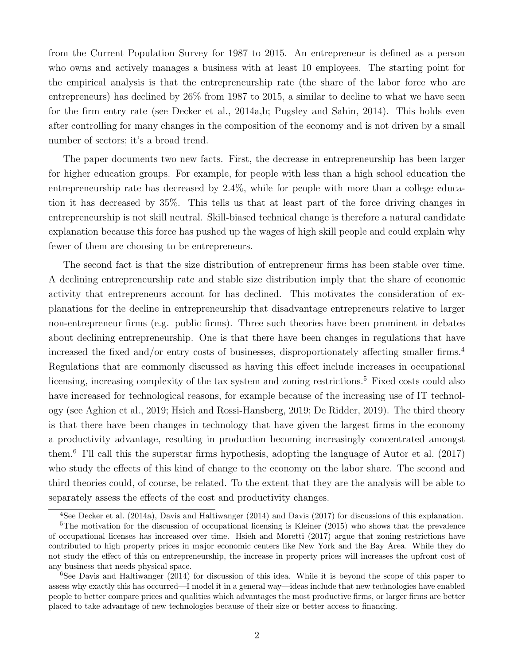from the Current Population Survey for 1987 to 2015. An entrepreneur is defined as a person who owns and actively manages a business with at least 10 employees. The starting point for the empirical analysis is that the entrepreneurship rate (the share of the labor force who are entrepreneurs) has declined by 26% from 1987 to 2015, a similar to decline to what we have seen for the firm entry rate (see [Decker et al.,](#page-49-1) [2014a](#page-49-1)[,b;](#page-49-2) [Pugsley and Sahin,](#page-51-0) [2014\)](#page-51-0). This holds even after controlling for many changes in the composition of the economy and is not driven by a small number of sectors; it's a broad trend.

The paper documents two new facts. First, the decrease in entrepreneurship has been larger for higher education groups. For example, for people with less than a high school education the entrepreneurship rate has decreased by 2.4%, while for people with more than a college education it has decreased by 35%. This tells us that at least part of the force driving changes in entrepreneurship is not skill neutral. Skill-biased technical change is therefore a natural candidate explanation because this force has pushed up the wages of high skill people and could explain why fewer of them are choosing to be entrepreneurs.

The second fact is that the size distribution of entrepreneur firms has been stable over time. A declining entrepreneurship rate and stable size distribution imply that the share of economic activity that entrepreneurs account for has declined. This motivates the consideration of explanations for the decline in entrepreneurship that disadvantage entrepreneurs relative to larger non-entrepreneur firms (e.g. public firms). Three such theories have been prominent in debates about declining entrepreneurship. One is that there have been changes in regulations that have increased the fixed and/or entry costs of businesses, disproportionately affecting smaller firms.<sup>[4](#page-2-0)</sup> Regulations that are commonly discussed as having this effect include increases in occupational licensing, increasing complexity of the tax system and zoning restrictions.<sup>[5](#page-2-1)</sup> Fixed costs could also have increased for technological reasons, for example because of the increasing use of IT technology (see [Aghion et al.,](#page-48-6) [2019;](#page-48-6) [Hsieh and Rossi-Hansberg,](#page-50-2) [2019;](#page-50-2) [De Ridder,](#page-49-4) [2019\)](#page-49-4). The third theory is that there have been changes in technology that have given the largest firms in the economy a productivity advantage, resulting in production becoming increasingly concentrated amongst them.[6](#page-2-2) I'll call this the superstar firms hypothesis, adopting the language of [Autor et al.](#page-48-7) [\(2017\)](#page-48-7) who study the effects of this kind of change to the economy on the labor share. The second and third theories could, of course, be related. To the extent that they are the analysis will be able to separately assess the effects of the cost and productivity changes.

<span id="page-2-1"></span><span id="page-2-0"></span><sup>4</sup>See [Decker et al.](#page-49-1) [\(2014a\)](#page-49-1), [Davis and Haltiwanger](#page-49-5) [\(2014\)](#page-49-5) and [Davis](#page-49-6) [\(2017\)](#page-49-6) for discussions of this explanation.

<sup>&</sup>lt;sup>5</sup>The motivation for the discussion of occupational licensing is [Kleiner](#page-50-3) [\(2015\)](#page-50-3) who shows that the prevalence of occupational licenses has increased over time. [Hsieh and Moretti](#page-50-4) [\(2017\)](#page-50-4) argue that zoning restrictions have contributed to high property prices in major economic centers like New York and the Bay Area. While they do not study the effect of this on entrepreneurship, the increase in property prices will increases the upfront cost of any business that needs physical space.

<span id="page-2-2"></span><sup>&</sup>lt;sup>6</sup>See [Davis and Haltiwanger](#page-49-5) [\(2014\)](#page-49-5) for discussion of this idea. While it is beyond the scope of this paper to assess why exactly this has occurred—I model it in a general way—ideas include that new technologies have enabled people to better compare prices and qualities which advantages the most productive firms, or larger firms are better placed to take advantage of new technologies because of their size or better access to financing.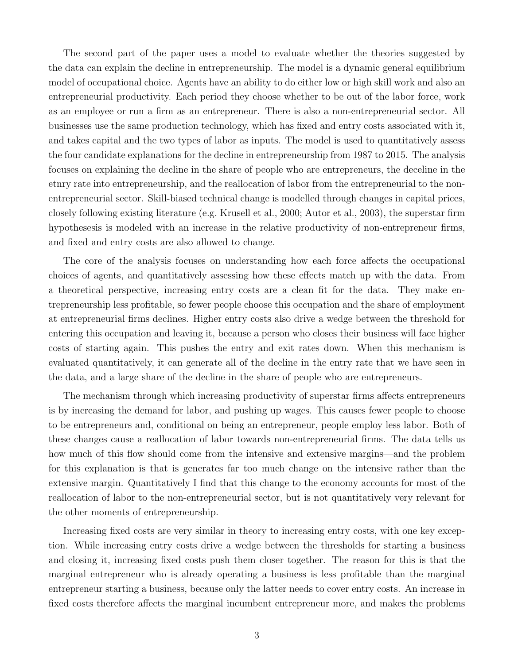The second part of the paper uses a model to evaluate whether the theories suggested by the data can explain the decline in entrepreneurship. The model is a dynamic general equilibrium model of occupational choice. Agents have an ability to do either low or high skill work and also an entrepreneurial productivity. Each period they choose whether to be out of the labor force, work as an employee or run a firm as an entrepreneur. There is also a non-entrepreneurial sector. All businesses use the same production technology, which has fixed and entry costs associated with it, and takes capital and the two types of labor as inputs. The model is used to quantitatively assess the four candidate explanations for the decline in entrepreneurship from 1987 to 2015. The analysis focuses on explaining the decline in the share of people who are entrepreneurs, the deceline in the etnry rate into entrepreneurship, and the reallocation of labor from the entrepreneurial to the nonentrepreneurial sector. Skill-biased technical change is modelled through changes in capital prices, closely following existing literature (e.g. [Krusell et al.,](#page-50-5) [2000;](#page-50-5) [Autor et al.,](#page-48-8) [2003\)](#page-48-8), the superstar firm hypothesesis is modeled with an increase in the relative productivity of non-entrepreneur firms, and fixed and entry costs are also allowed to change.

The core of the analysis focuses on understanding how each force affects the occupational choices of agents, and quantitatively assessing how these effects match up with the data. From a theoretical perspective, increasing entry costs are a clean fit for the data. They make entrepreneurship less profitable, so fewer people choose this occupation and the share of employment at entrepreneurial firms declines. Higher entry costs also drive a wedge between the threshold for entering this occupation and leaving it, because a person who closes their business will face higher costs of starting again. This pushes the entry and exit rates down. When this mechanism is evaluated quantitatively, it can generate all of the decline in the entry rate that we have seen in the data, and a large share of the decline in the share of people who are entrepreneurs.

The mechanism through which increasing productivity of superstar firms affects entrepreneurs is by increasing the demand for labor, and pushing up wages. This causes fewer people to choose to be entrepreneurs and, conditional on being an entrepreneur, people employ less labor. Both of these changes cause a reallocation of labor towards non-entrepreneurial firms. The data tells us how much of this flow should come from the intensive and extensive margins—and the problem for this explanation is that is generates far too much change on the intensive rather than the extensive margin. Quantitatively I find that this change to the economy accounts for most of the reallocation of labor to the non-entrepreneurial sector, but is not quantitatively very relevant for the other moments of entrepreneurship.

Increasing fixed costs are very similar in theory to increasing entry costs, with one key exception. While increasing entry costs drive a wedge between the thresholds for starting a business and closing it, increasing fixed costs push them closer together. The reason for this is that the marginal entrepreneur who is already operating a business is less profitable than the marginal entrepreneur starting a business, because only the latter needs to cover entry costs. An increase in fixed costs therefore affects the marginal incumbent entrepreneur more, and makes the problems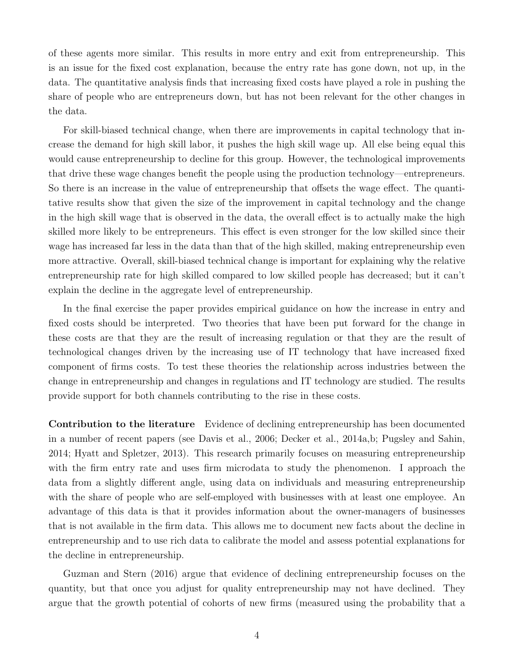of these agents more similar. This results in more entry and exit from entrepreneurship. This is an issue for the fixed cost explanation, because the entry rate has gone down, not up, in the data. The quantitative analysis finds that increasing fixed costs have played a role in pushing the share of people who are entrepreneurs down, but has not been relevant for the other changes in the data.

For skill-biased technical change, when there are improvements in capital technology that increase the demand for high skill labor, it pushes the high skill wage up. All else being equal this would cause entrepreneurship to decline for this group. However, the technological improvements that drive these wage changes benefit the people using the production technology—entrepreneurs. So there is an increase in the value of entrepreneurship that offsets the wage effect. The quantitative results show that given the size of the improvement in capital technology and the change in the high skill wage that is observed in the data, the overall effect is to actually make the high skilled more likely to be entrepreneurs. This effect is even stronger for the low skilled since their wage has increased far less in the data than that of the high skilled, making entrepreneurship even more attractive. Overall, skill-biased technical change is important for explaining why the relative entrepreneurship rate for high skilled compared to low skilled people has decreased; but it can't explain the decline in the aggregate level of entrepreneurship.

In the final exercise the paper provides empirical guidance on how the increase in entry and fixed costs should be interpreted. Two theories that have been put forward for the change in these costs are that they are the result of increasing regulation or that they are the result of technological changes driven by the increasing use of IT technology that have increased fixed component of firms costs. To test these theories the relationship across industries between the change in entrepreneurship and changes in regulations and IT technology are studied. The results provide support for both channels contributing to the rise in these costs.

Contribution to the literature Evidence of declining entrepreneurship has been documented in a number of recent papers (see [Davis et al.,](#page-49-0) [2006;](#page-49-0) [Decker et al.,](#page-49-1) [2014a,](#page-49-1)[b;](#page-49-2) [Pugsley and Sahin,](#page-51-0) [2014;](#page-51-0) [Hyatt and Spletzer,](#page-50-6) [2013\)](#page-50-6). This research primarily focuses on measuring entrepreneurship with the firm entry rate and uses firm microdata to study the phenomenon. I approach the data from a slightly different angle, using data on individuals and measuring entrepreneurship with the share of people who are self-employed with businesses with at least one employee. An advantage of this data is that it provides information about the owner-managers of businesses that is not available in the firm data. This allows me to document new facts about the decline in entrepreneurship and to use rich data to calibrate the model and assess potential explanations for the decline in entrepreneurship.

[Guzman and Stern](#page-49-7) [\(2016\)](#page-49-7) argue that evidence of declining entrepreneurship focuses on the quantity, but that once you adjust for quality entrepreneurship may not have declined. They argue that the growth potential of cohorts of new firms (measured using the probability that a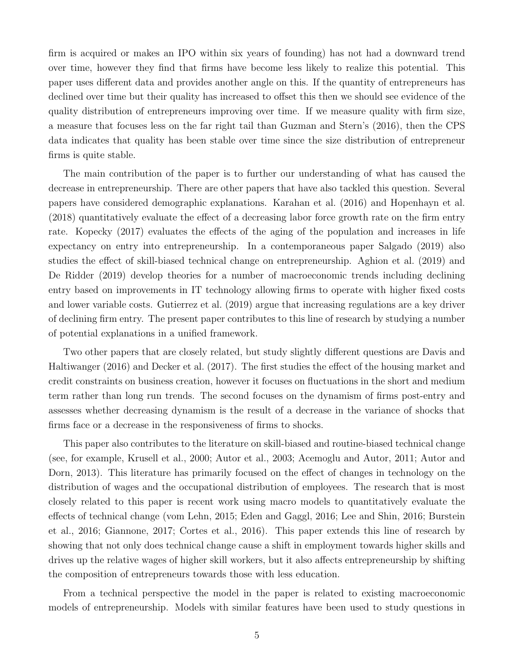firm is acquired or makes an IPO within six years of founding) has not had a downward trend over time, however they find that firms have become less likely to realize this potential. This paper uses different data and provides another angle on this. If the quantity of entrepreneurs has declined over time but their quality has increased to offset this then we should see evidence of the quality distribution of entrepreneurs improving over time. If we measure quality with firm size, a measure that focuses less on the far right tail than [Guzman and Stern'](#page-49-7)s [\(2016\)](#page-49-7), then the CPS data indicates that quality has been stable over time since the size distribution of entrepreneur firms is quite stable.

The main contribution of the paper is to further our understanding of what has caused the decrease in entrepreneurship. There are other papers that have also tackled this question. Several papers have considered demographic explanations. [Karahan et al.](#page-50-7) [\(2016\)](#page-50-7) and [Hopenhayn et al.](#page-50-8) [\(2018\)](#page-50-8) quantitatively evaluate the effect of a decreasing labor force growth rate on the firm entry rate. [Kopecky](#page-50-9) [\(2017\)](#page-50-9) evaluates the effects of the aging of the population and increases in life expectancy on entry into entrepreneurship. In a contemporaneous paper [Salgado](#page-51-4) [\(2019\)](#page-51-4) also studies the effect of skill-biased technical change on entrepreneurship. [Aghion et al.](#page-48-6) [\(2019\)](#page-48-6) and [De Ridder](#page-49-4) [\(2019\)](#page-49-4) develop theories for a number of macroeconomic trends including declining entry based on improvements in IT technology allowing firms to operate with higher fixed costs and lower variable costs. [Gutierrez et al.](#page-49-8) [\(2019\)](#page-49-8) argue that increasing regulations are a key driver of declining firm entry. The present paper contributes to this line of research by studying a number of potential explanations in a unified framework.

Two other papers that are closely related, but study slightly different questions are [Davis and](#page-49-9) [Haltiwanger](#page-49-9) [\(2016\)](#page-49-9) and [Decker et al.](#page-49-10) [\(2017\)](#page-49-10). The first studies the effect of the housing market and credit constraints on business creation, however it focuses on fluctuations in the short and medium term rather than long run trends. The second focuses on the dynamism of firms post-entry and assesses whether decreasing dynamism is the result of a decrease in the variance of shocks that firms face or a decrease in the responsiveness of firms to shocks.

This paper also contributes to the literature on skill-biased and routine-biased technical change (see, for example, [Krusell et al.,](#page-50-5) [2000;](#page-50-5) [Autor et al.,](#page-48-8) [2003;](#page-48-8) [Acemoglu and Autor,](#page-48-9) [2011;](#page-48-9) [Autor and](#page-48-10) [Dorn,](#page-48-10) [2013\)](#page-48-10). This literature has primarily focused on the effect of changes in technology on the distribution of wages and the occupational distribution of employees. The research that is most closely related to this paper is recent work using macro models to quantitatively evaluate the effects of technical change [\(vom Lehn,](#page-51-5) [2015;](#page-51-5) [Eden and Gaggl,](#page-49-11) [2016;](#page-49-11) [Lee and Shin,](#page-50-10) [2016;](#page-50-10) [Burstein](#page-48-11) [et al.,](#page-48-11) [2016;](#page-48-11) [Giannone,](#page-49-12) [2017;](#page-49-12) [Cortes et al.,](#page-49-13) [2016\)](#page-49-13). This paper extends this line of research by showing that not only does technical change cause a shift in employment towards higher skills and drives up the relative wages of higher skill workers, but it also affects entrepreneurship by shifting the composition of entrepreneurs towards those with less education.

From a technical perspective the model in the paper is related to existing macroeconomic models of entrepreneurship. Models with similar features have been used to study questions in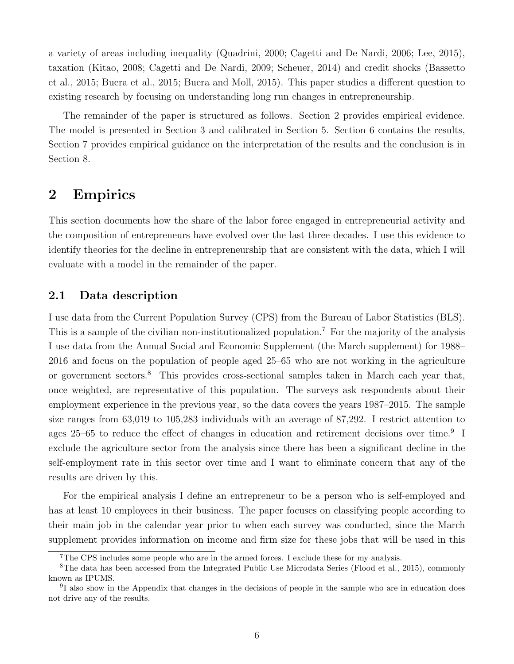a variety of areas including inequality [\(Quadrini,](#page-51-1) [2000;](#page-51-1) [Cagetti and De Nardi,](#page-48-3) [2006;](#page-48-3) [Lee,](#page-50-11) [2015\)](#page-50-11), taxation [\(Kitao,](#page-50-12) [2008;](#page-50-12) [Cagetti and De Nardi,](#page-48-12) [2009;](#page-48-12) [Scheuer,](#page-51-6) [2014\)](#page-51-6) and credit shocks [\(Bassetto](#page-48-13) [et al.,](#page-48-13) [2015;](#page-48-13) [Buera et al.,](#page-48-14) [2015;](#page-48-14) [Buera and Moll,](#page-48-15) [2015\)](#page-48-15). This paper studies a different question to existing research by focusing on understanding long run changes in entrepreneurship.

The remainder of the paper is structured as follows. Section [2](#page-6-0) provides empirical evidence. The model is presented in Section [3](#page-12-0) and calibrated in Section [5.](#page-25-0) Section [6](#page-33-0) contains the results, Section [7](#page-42-0) provides empirical guidance on the interpretation of the results and the conclusion is in Section [8.](#page-46-0)

# <span id="page-6-0"></span>2 Empirics

This section documents how the share of the labor force engaged in entrepreneurial activity and the composition of entrepreneurs have evolved over the last three decades. I use this evidence to identify theories for the decline in entrepreneurship that are consistent with the data, which I will evaluate with a model in the remainder of the paper.

### 2.1 Data description

I use data from the Current Population Survey (CPS) from the Bureau of Labor Statistics (BLS). This is a sample of the civilian non-institutionalized population.<sup>[7](#page-6-1)</sup> For the majority of the analysis I use data from the Annual Social and Economic Supplement (the March supplement) for 1988– 2016 and focus on the population of people aged 25–65 who are not working in the agriculture or government sectors.<sup>[8](#page-6-2)</sup> This provides cross-sectional samples taken in March each year that, once weighted, are representative of this population. The surveys ask respondents about their employment experience in the previous year, so the data covers the years 1987–2015. The sample size ranges from 63,019 to 105,283 individuals with an average of 87,292. I restrict attention to ages 25–65 to reduce the effect of changes in education and retirement decisions over time.<sup>[9](#page-6-3)</sup> I exclude the agriculture sector from the analysis since there has been a significant decline in the self-employment rate in this sector over time and I want to eliminate concern that any of the results are driven by this.

For the empirical analysis I define an entrepreneur to be a person who is self-employed and has at least 10 employees in their business. The paper focuses on classifying people according to their main job in the calendar year prior to when each survey was conducted, since the March supplement provides information on income and firm size for these jobs that will be used in this

<span id="page-6-2"></span><span id="page-6-1"></span><sup>&</sup>lt;sup>7</sup>The CPS includes some people who are in the armed forces. I exclude these for my analysis.

<sup>8</sup>The data has been accessed from the Integrated Public Use Microdata Series [\(Flood et al.,](#page-49-14) [2015\)](#page-49-14), commonly known as IPUMS.

<span id="page-6-3"></span><sup>&</sup>lt;sup>9</sup>I also show in the Appendix that changes in the decisions of people in the sample who are in education does not drive any of the results.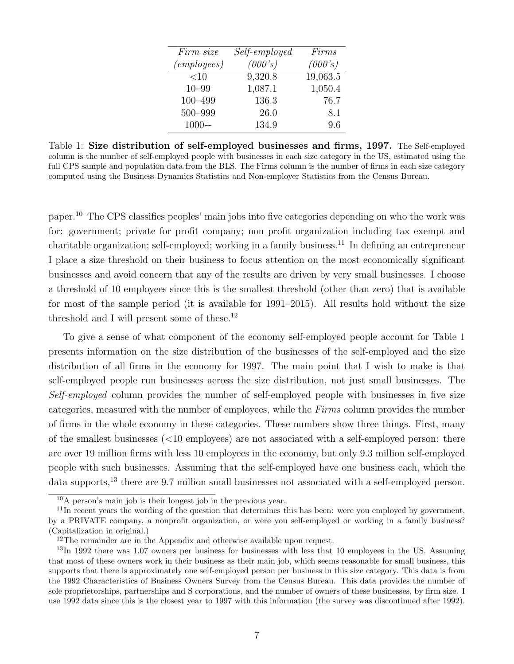| Firm size          | Self-employed | Firms    |
|--------------------|---------------|----------|
| <i>(employees)</i> | (000's)       | (000's)  |
| $<$ 10             | 9,320.8       | 19,063.5 |
| $10 - 99$          | 1,087.1       | 1,050.4  |
| $100 - 499$        | 136.3         | 76.7     |
| 500-999            | 26.0          | 8.1      |
| $1000+$            | 134.9         | 9.6      |

<span id="page-7-3"></span>Table 1: Size distribution of self-employed businesses and firms, 1997. The Self-employed column is the number of self-employed people with businesses in each size category in the US, estimated using the full CPS sample and population data from the BLS. The Firms column is the number of firms in each size category computed using the Business Dynamics Statistics and Non-employer Statistics from the Census Bureau.

paper.[10](#page-7-0) The CPS classifies peoples' main jobs into five categories depending on who the work was for: government; private for profit company; non profit organization including tax exempt and charitable organization; self-employed; working in a family business.[11](#page-7-1) In defining an entrepreneur I place a size threshold on their business to focus attention on the most economically significant businesses and avoid concern that any of the results are driven by very small businesses. I choose a threshold of 10 employees since this is the smallest threshold (other than zero) that is available for most of the sample period (it is available for 1991–2015). All results hold without the size threshold and I will present some of these.<sup>[12](#page-7-2)</sup>

To give a sense of what component of the economy self-employed people account for Table [1](#page-7-3) presents information on the size distribution of the businesses of the self-employed and the size distribution of all firms in the economy for 1997. The main point that I wish to make is that self-employed people run businesses across the size distribution, not just small businesses. The Self-employed column provides the number of self-employed people with businesses in five size categories, measured with the number of employees, while the Firms column provides the number of firms in the whole economy in these categories. These numbers show three things. First, many of the smallest businesses  $\left($ <10 employees) are not associated with a self-employed person: there are over 19 million firms with less 10 employees in the economy, but only 9.3 million self-employed people with such businesses. Assuming that the self-employed have one business each, which the data supports,<sup>[13](#page-7-4)</sup> there are 9.7 million small businesses not associated with a self-employed person.

<span id="page-7-1"></span><span id="page-7-0"></span><sup>10</sup>A person's main job is their longest job in the previous year.

<sup>&</sup>lt;sup>11</sup>In recent years the wording of the question that determines this has been: were you employed by government, by a PRIVATE company, a nonprofit organization, or were you self-employed or working in a family business? (Capitalization in original.)

<span id="page-7-4"></span><span id="page-7-2"></span> $12$ The remainder are in the Appendix and otherwise available upon request.

 $^{13}$ In 1992 there was 1.07 owners per business for businesses with less that 10 employees in the US. Assuming that most of these owners work in their business as their main job, which seems reasonable for small business, this supports that there is approximately one self-employed person per business in this size category. This data is from the 1992 Characteristics of Business Owners Survey from the Census Bureau. This data provides the number of sole proprietorships, partnerships and S corporations, and the number of owners of these businesses, by firm size. I use 1992 data since this is the closest year to 1997 with this information (the survey was discontinued after 1992).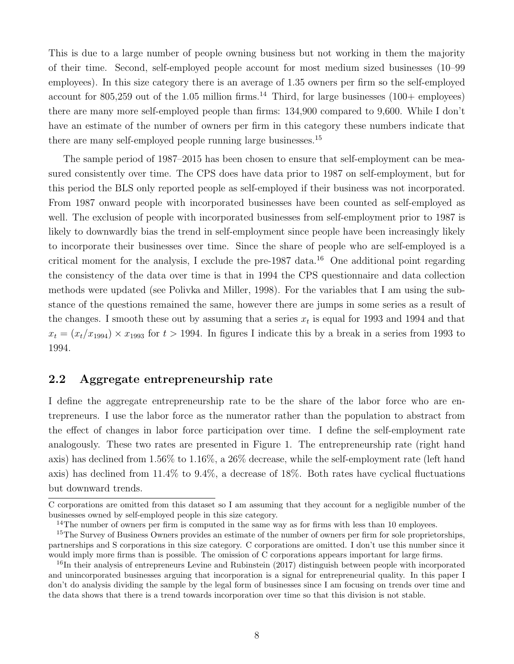This is due to a large number of people owning business but not working in them the majority of their time. Second, self-employed people account for most medium sized businesses (10–99 employees). In this size category there is an average of 1.35 owners per firm so the self-employed account for 805,259 out of the 1.05 million firms.<sup>[14](#page-8-0)</sup> Third, for large businesses  $(100 + \text{ employees})$ there are many more self-employed people than firms: 134,900 compared to 9,600. While I don't have an estimate of the number of owners per firm in this category these numbers indicate that there are many self-employed people running large businesses.[15](#page-8-1)

The sample period of 1987–2015 has been chosen to ensure that self-employment can be measured consistently over time. The CPS does have data prior to 1987 on self-employment, but for this period the BLS only reported people as self-employed if their business was not incorporated. From 1987 onward people with incorporated businesses have been counted as self-employed as well. The exclusion of people with incorporated businesses from self-employment prior to 1987 is likely to downwardly bias the trend in self-employment since people have been increasingly likely to incorporate their businesses over time. Since the share of people who are self-employed is a critical moment for the analysis, I exclude the pre-1987 data.<sup>[16](#page-8-2)</sup> One additional point regarding the consistency of the data over time is that in 1994 the CPS questionnaire and data collection methods were updated (see [Polivka and Miller,](#page-51-7) [1998\)](#page-51-7). For the variables that I am using the substance of the questions remained the same, however there are jumps in some series as a result of the changes. I smooth these out by assuming that a series  $x_t$  is equal for 1993 and 1994 and that  $x_t = (x_t/x_{1994}) \times x_{1993}$  for  $t > 1994$ . In figures I indicate this by a break in a series from 1993 to 1994.

### 2.2 Aggregate entrepreneurship rate

I define the aggregate entrepreneurship rate to be the share of the labor force who are entrepreneurs. I use the labor force as the numerator rather than the population to abstract from the effect of changes in labor force participation over time. I define the self-employment rate analogously. These two rates are presented in Figure [1.](#page-9-0) The entrepreneurship rate (right hand axis) has declined from 1.56% to 1.16%, a 26% decrease, while the self-employment rate (left hand axis) has declined from 11.4% to 9.4%, a decrease of 18%. Both rates have cyclical fluctuations but downward trends.

C corporations are omitted from this dataset so I am assuming that they account for a negligible number of the businesses owned by self-employed people in this size category.

<span id="page-8-1"></span><span id="page-8-0"></span> $14$ The number of owners per firm is computed in the same way as for firms with less than 10 employees.

<sup>&</sup>lt;sup>15</sup>The Survey of Business Owners provides an estimate of the number of owners per firm for sole proprietorships, partnerships and S corporations in this size category. C corporations are omitted. I don't use this number since it would imply more firms than is possible. The omission of C corporations appears important for large firms.

<span id="page-8-2"></span><sup>&</sup>lt;sup>16</sup>In their analysis of entrepreneurs [Levine and Rubinstein](#page-50-13) [\(2017\)](#page-50-13) distinguish between people with incorporated and unincorporated businesses arguing that incorporation is a signal for entrepreneurial quality. In this paper I don't do analysis dividing the sample by the legal form of businesses since I am focusing on trends over time and the data shows that there is a trend towards incorporation over time so that this division is not stable.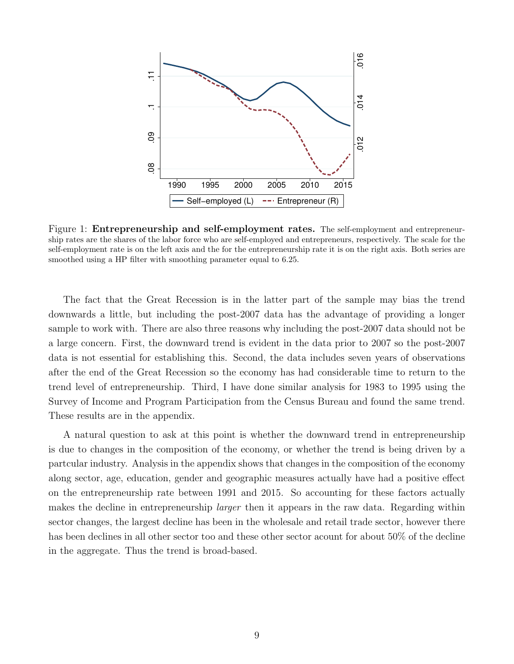<span id="page-9-0"></span>

Figure 1: Entrepreneurship and self-employment rates. The self-employment and entrepreneurship rates are the shares of the labor force who are self-employed and entrepreneurs, respectively. The scale for the self-employment rate is on the left axis and the for the entrepreneurship rate it is on the right axis. Both series are smoothed using a HP filter with smoothing parameter equal to 6.25.

The fact that the Great Recession is in the latter part of the sample may bias the trend downwards a little, but including the post-2007 data has the advantage of providing a longer sample to work with. There are also three reasons why including the post-2007 data should not be a large concern. First, the downward trend is evident in the data prior to 2007 so the post-2007 data is not essential for establishing this. Second, the data includes seven years of observations after the end of the Great Recession so the economy has had considerable time to return to the trend level of entrepreneurship. Third, I have done similar analysis for 1983 to 1995 using the Survey of Income and Program Participation from the Census Bureau and found the same trend. These results are in the appendix.

A natural question to ask at this point is whether the downward trend in entrepreneurship is due to changes in the composition of the economy, or whether the trend is being driven by a partcular industry. Analysis in the appendix shows that changes in the composition of the economy along sector, age, education, gender and geographic measures actually have had a positive effect on the entrepreneurship rate between 1991 and 2015. So accounting for these factors actually makes the decline in entrepreneurship *larger* then it appears in the raw data. Regarding within sector changes, the largest decline has been in the wholesale and retail trade sector, however there has been declines in all other sector too and these other sector acount for about 50% of the decline in the aggregate. Thus the trend is broad-based.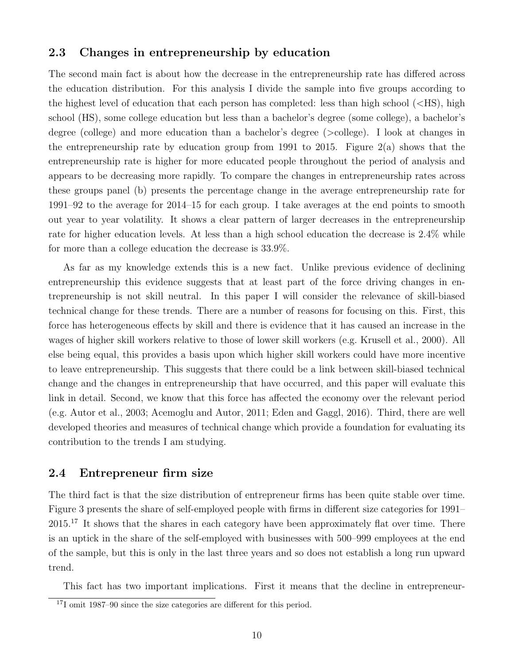### 2.3 Changes in entrepreneurship by education

The second main fact is about how the decrease in the entrepreneurship rate has differed across the education distribution. For this analysis I divide the sample into five groups according to the highest level of education that each person has completed: less than high school (<HS), high school (HS), some college education but less than a bachelor's degree (some college), a bachelor's degree (college) and more education than a bachelor's degree (>college). I look at changes in the entrepreneurship rate by education group from 1991 to 2015. Figure  $2(a)$  shows that the entrepreneurship rate is higher for more educated people throughout the period of analysis and appears to be decreasing more rapidly. To compare the changes in entrepreneurship rates across these groups panel [\(b\)](#page-11-0) presents the percentage change in the average entrepreneurship rate for 1991–92 to the average for 2014–15 for each group. I take averages at the end points to smooth out year to year volatility. It shows a clear pattern of larger decreases in the entrepreneurship rate for higher education levels. At less than a high school education the decrease is 2.4% while for more than a college education the decrease is 33.9%.

As far as my knowledge extends this is a new fact. Unlike previous evidence of declining entrepreneurship this evidence suggests that at least part of the force driving changes in entrepreneurship is not skill neutral. In this paper I will consider the relevance of skill-biased technical change for these trends. There are a number of reasons for focusing on this. First, this force has heterogeneous effects by skill and there is evidence that it has caused an increase in the wages of higher skill workers relative to those of lower skill workers (e.g. [Krusell et al.,](#page-50-5) [2000\)](#page-50-5). All else being equal, this provides a basis upon which higher skill workers could have more incentive to leave entrepreneurship. This suggests that there could be a link between skill-biased technical change and the changes in entrepreneurship that have occurred, and this paper will evaluate this link in detail. Second, we know that this force has affected the economy over the relevant period (e.g. [Autor et al.,](#page-48-8) [2003;](#page-48-8) [Acemoglu and Autor,](#page-48-9) [2011;](#page-48-9) [Eden and Gaggl,](#page-49-11) [2016\)](#page-49-11). Third, there are well developed theories and measures of technical change which provide a foundation for evaluating its contribution to the trends I am studying.

#### 2.4 Entrepreneur firm size

The third fact is that the size distribution of entrepreneur firms has been quite stable over time. Figure [3](#page-12-1) presents the share of self-employed people with firms in different size categories for 1991– 2015.<sup>[17](#page-10-0)</sup> It shows that the shares in each category have been approximately flat over time. There is an uptick in the share of the self-employed with businesses with 500–999 employees at the end of the sample, but this is only in the last three years and so does not establish a long run upward trend.

This fact has two important implications. First it means that the decline in entrepreneur-

<span id="page-10-0"></span><sup>&</sup>lt;sup>17</sup>I omit 1987–90 since the size categories are different for this period.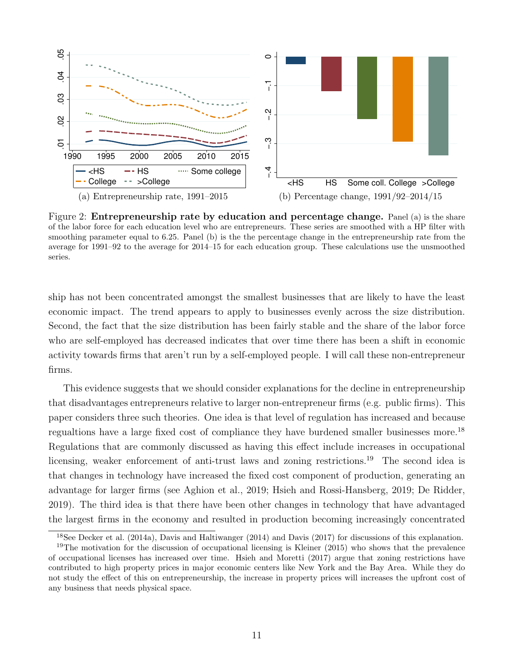<span id="page-11-0"></span>

Figure 2: Entrepreneurship rate by education and percentage change. Panel (a) is the share of the labor force for each education level who are entrepreneurs. These series are smoothed with a HP filter with smoothing parameter equal to 6.25. Panel (b) is the the percentage change in the entrepreneurship rate from the average for 1991–92 to the average for 2014–15 for each education group. These calculations use the unsmoothed series.

ship has not been concentrated amongst the smallest businesses that are likely to have the least economic impact. The trend appears to apply to businesses evenly across the size distribution. Second, the fact that the size distribution has been fairly stable and the share of the labor force who are self-employed has decreased indicates that over time there has been a shift in economic activity towards firms that aren't run by a self-employed people. I will call these non-entrepreneur firms.

This evidence suggests that we should consider explanations for the decline in entrepreneurship that disadvantages entrepreneurs relative to larger non-entrepreneur firms (e.g. public firms). This paper considers three such theories. One idea is that level of regulation has increased and because regualtions have a large fixed cost of compliance they have burdened smaller businesses more.[18](#page-11-1) Regulations that are commonly discussed as having this effect include increases in occupational licensing, weaker enforcement of anti-trust laws and zoning restrictions.<sup>[19](#page-11-2)</sup> The second idea is that changes in technology have increased the fixed cost component of production, generating an advantage for larger firms (see [Aghion et al.,](#page-48-6) [2019;](#page-48-6) [Hsieh and Rossi-Hansberg,](#page-50-2) [2019;](#page-50-2) [De Ridder,](#page-49-4) [2019\)](#page-49-4). The third idea is that there have been other changes in technology that have advantaged the largest firms in the economy and resulted in production becoming increasingly concentrated

<span id="page-11-2"></span><span id="page-11-1"></span><sup>&</sup>lt;sup>18</sup>See [Decker et al.](#page-49-1) [\(2014a\)](#page-49-1), [Davis and Haltiwanger](#page-49-5) [\(2014\)](#page-49-5) and [Davis](#page-49-6) [\(2017\)](#page-49-6) for discussions of this explanation. <sup>19</sup>The motivation for the discussion of occupational licensing is [Kleiner](#page-50-3) [\(2015\)](#page-50-3) who shows that the prevalence of occupational licenses has increased over time. [Hsieh and Moretti](#page-50-4) [\(2017\)](#page-50-4) argue that zoning restrictions have contributed to high property prices in major economic centers like New York and the Bay Area. While they do not study the effect of this on entrepreneurship, the increase in property prices will increases the upfront cost of any business that needs physical space.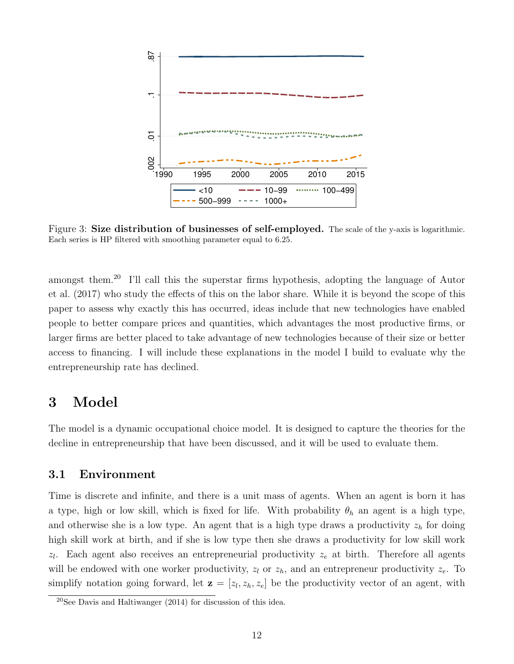<span id="page-12-1"></span>

Figure 3: Size distribution of businesses of self-employed. The scale of the y-axis is logarithmic. Each series is HP filtered with smoothing parameter equal to 6.25.

amongst them.<sup>[20](#page-12-2)</sup> I'll call this the superstar firms hypothesis, adopting the language of [Autor](#page-48-7) [et al.](#page-48-7) [\(2017\)](#page-48-7) who study the effects of this on the labor share. While it is beyond the scope of this paper to assess why exactly this has occurred, ideas include that new technologies have enabled people to better compare prices and quantities, which advantages the most productive firms, or larger firms are better placed to take advantage of new technologies because of their size or better access to financing. I will include these explanations in the model I build to evaluate why the entrepreneurship rate has declined.

## <span id="page-12-0"></span>3 Model

The model is a dynamic occupational choice model. It is designed to capture the theories for the decline in entrepreneurship that have been discussed, and it will be used to evaluate them.

### 3.1 Environment

Time is discrete and infinite, and there is a unit mass of agents. When an agent is born it has a type, high or low skill, which is fixed for life. With probability  $\theta_h$  an agent is a high type, and otherwise she is a low type. An agent that is a high type draws a productivity  $z<sub>h</sub>$  for doing high skill work at birth, and if she is low type then she draws a productivity for low skill work  $z_l$ . Each agent also receives an entrepreneurial productivity  $z_e$  at birth. Therefore all agents will be endowed with one worker productivity,  $z_l$  or  $z_h$ , and an entrepreneur productivity  $z_e$ . To simplify notation going forward, let  $\mathbf{z} = [z_l, z_h, z_e]$  be the productivity vector of an agent, with

<span id="page-12-2"></span> $20$ See [Davis and Haltiwanger](#page-49-5) [\(2014\)](#page-49-5) for discussion of this idea.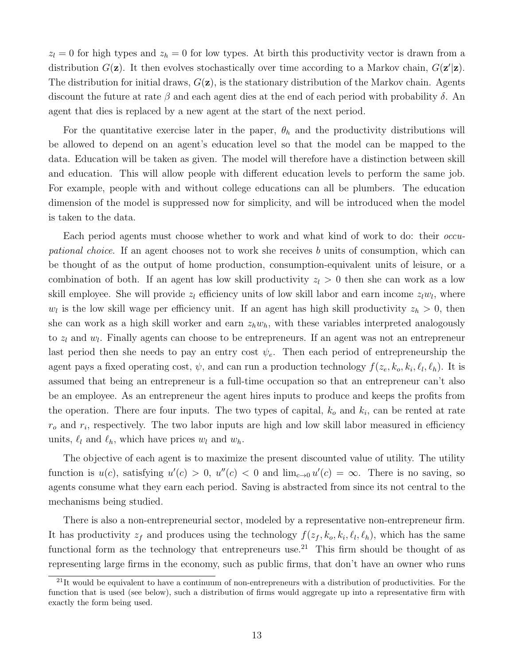$z_l = 0$  for high types and  $z_h = 0$  for low types. At birth this productivity vector is drawn from a distribution  $G(\mathbf{z})$ . It then evolves stochastically over time according to a Markov chain,  $G(\mathbf{z}'|\mathbf{z})$ . The distribution for initial draws,  $G(\mathbf{z})$ , is the stationary distribution of the Markov chain. Agents discount the future at rate  $\beta$  and each agent dies at the end of each period with probability  $\delta$ . An agent that dies is replaced by a new agent at the start of the next period.

For the quantitative exercise later in the paper,  $\theta_h$  and the productivity distributions will be allowed to depend on an agent's education level so that the model can be mapped to the data. Education will be taken as given. The model will therefore have a distinction between skill and education. This will allow people with different education levels to perform the same job. For example, people with and without college educations can all be plumbers. The education dimension of the model is suppressed now for simplicity, and will be introduced when the model is taken to the data.

Each period agents must choose whether to work and what kind of work to do: their *occu*pational choice. If an agent chooses not to work she receives b units of consumption, which can be thought of as the output of home production, consumption-equivalent units of leisure, or a combination of both. If an agent has low skill productivity  $z_l > 0$  then she can work as a low skill employee. She will provide  $z_l$  efficiency units of low skill labor and earn income  $z_lw_l$ , where  $w_l$  is the low skill wage per efficiency unit. If an agent has high skill productivity  $z_h > 0$ , then she can work as a high skill worker and earn  $z_h w_h$ , with these variables interpreted analogously to  $z_l$  and  $w_l$ . Finally agents can choose to be entrepreneurs. If an agent was not an entrepreneur last period then she needs to pay an entry cost  $\psi_e$ . Then each period of entrepreneurship the agent pays a fixed operating cost,  $\psi$ , and can run a production technology  $f(z_e, k_o, k_i, \ell_l, \ell_h)$ . It is assumed that being an entrepreneur is a full-time occupation so that an entrepreneur can't also be an employee. As an entrepreneur the agent hires inputs to produce and keeps the profits from the operation. There are four inputs. The two types of capital,  $k_o$  and  $k_i$ , can be rented at rate  $r<sub>o</sub>$  and  $r<sub>i</sub>$ , respectively. The two labor inputs are high and low skill labor measured in efficiency units,  $\ell_l$  and  $\ell_h$ , which have prices  $w_l$  and  $w_h$ .

The objective of each agent is to maximize the present discounted value of utility. The utility function is  $u(c)$ , satisfying  $u'(c) > 0$ ,  $u''(c) < 0$  and  $\lim_{c\to 0} u'(c) = \infty$ . There is no saving, so agents consume what they earn each period. Saving is abstracted from since its not central to the mechanisms being studied.

There is also a non-entrepreneurial sector, modeled by a representative non-entrepreneur firm. It has productivity  $z_f$  and produces using the technology  $f(z_f, k_o, k_i, \ell_l, \ell_h)$ , which has the same functional form as the technology that entrepreneurs use.<sup>[21](#page-13-0)</sup> This firm should be thought of as representing large firms in the economy, such as public firms, that don't have an owner who runs

<span id="page-13-0"></span> $^{21}$ It would be equivalent to have a continuum of non-entrepreneurs with a distribution of productivities. For the function that is used (see below), such a distribution of firms would aggregate up into a representative firm with exactly the form being used.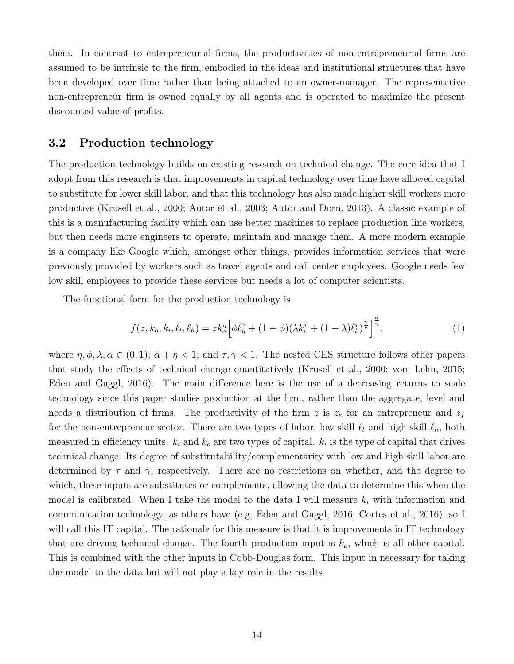them. In contrast to entrepreneurial firms, the productivities of non-entrepreneurial firms are assumed to be intrinsic to the firm, embodied in the ideas and institutional structures that have been developed over time rather than being attached to an owner-manager. The representative non-entrepreneur firm is owned equally by all agents and is operated to maximize the present discounted value of profits.

### 3.2 Production technology

The production technology builds on existing research on technical change. The core idea that I adopt from this research is that improvements in capital technology over time have allowed capital to substitute for lower skill labor, and that this technology has also made higher skill workers more productive [\(Krusell et al.,](#page-50-5) [2000;](#page-50-5) [Autor et al.,](#page-48-8) [2003;](#page-48-8) [Autor and Dorn,](#page-48-10) [2013\)](#page-48-10). A classic example of this is a manufacturing facility which can use better machines to replace production line workers, but then needs more engineers to operate, maintain and manage them. A more modern example is a company like Google which, amongst other things, provides information services that were previously provided by workers such as travel agents and call center employees. Google needs few low skill employees to provide these services but needs a lot of computer scientists.

The functional form for the production technology is

$$
f(z, k_o, k_i, \ell_l, \ell_h) = zk_o^{\eta} \left[ \phi \ell_h^{\gamma} + (1 - \phi)(\lambda k_i^{\tau} + (1 - \lambda)\ell_l^{\tau})^{\frac{\alpha}{\tau}} \right]^{\frac{\alpha}{\gamma}}, \tag{1}
$$

where  $\eta, \phi, \lambda, \alpha \in (0,1)$ ;  $\alpha + \eta < 1$ ; and  $\tau, \gamma < 1$ . The nested CES structure follows other papers that study the effects of technical change quantitatively [\(Krusell et al.,](#page-50-5) [2000;](#page-50-5) [vom Lehn,](#page-51-5) [2015;](#page-51-5) [Eden and Gaggl,](#page-49-11) [2016\)](#page-49-11). The main difference here is the use of a decreasing returns to scale technology since this paper studies production at the firm, rather than the aggregate, level and needs a distribution of firms. The productivity of the firm z is  $z_e$  for an entrepreneur and  $z_f$ for the non-entrepreneur sector. There are two types of labor, low skill  $\ell_l$  and high skill  $\ell_h$ , both measured in efficiency units.  $k_i$  and  $k_o$  are two types of capital.  $k_i$  is the type of capital that drives technical change. Its degree of substitutability/complementarity with low and high skill labor are determined by  $\tau$  and  $\gamma$ , respectively. There are no restrictions on whether, and the degree to which, these inputs are substitutes or complements, allowing the data to determine this when the model is calibrated. When I take the model to the data I will measure  $k_i$  with information and communication technology, as others have (e.g. [Eden and Gaggl,](#page-49-11) [2016;](#page-49-11) [Cortes et al.,](#page-49-13) [2016\)](#page-49-13), so I will call this IT capital. The rationale for this measure is that it is improvements in IT technology that are driving technical change. The fourth production input is  $k<sub>o</sub>$ , which is all other capital. This is combined with the other inputs in Cobb-Douglas form. This input in necessary for taking the model to the data but will not play a key role in the results.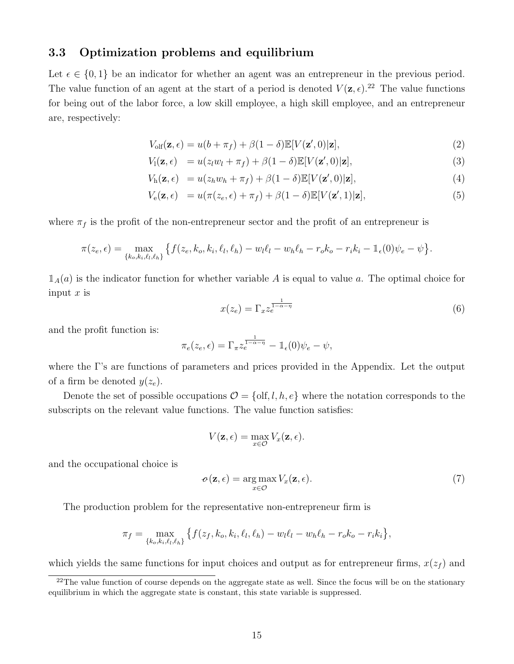### 3.3 Optimization problems and equilibrium

Let  $\epsilon \in \{0,1\}$  be an indicator for whether an agent was an entrepreneur in the previous period. The value function of an agent at the start of a period is denoted  $V(\mathbf{z}, \epsilon)$ .<sup>[22](#page-15-0)</sup> The value functions for being out of the labor force, a low skill employee, a high skill employee, and an entrepreneur are, respectively:

$$
V_{\text{olf}}(\mathbf{z}, \epsilon) = u(b + \pi_f) + \beta(1 - \delta) \mathbb{E}[V(\mathbf{z}', 0)|\mathbf{z}],
$$
\n(2)

$$
V_1(\mathbf{z}, \epsilon) = u(z_l w_l + \pi_f) + \beta (1 - \delta) \mathbb{E}[V(\mathbf{z}', 0)|\mathbf{z}],
$$
\n(3)

$$
V_{\mathbf{h}}(\mathbf{z}, \epsilon) = u(z_h w_h + \pi_f) + \beta (1 - \delta) \mathbb{E}[V(\mathbf{z}', 0)|\mathbf{z}], \tag{4}
$$

$$
V_{\mathbf{e}}(\mathbf{z}, \epsilon) = u(\pi(z_{e}, \epsilon) + \pi_{f}) + \beta(1 - \delta)\mathbb{E}[V(\mathbf{z}', 1)|\mathbf{z}],
$$
\n(5)

where  $\pi_f$  is the profit of the non-entrepreneur sector and the profit of an entrepreneur is

$$
\pi(z_e, \epsilon) = \max_{\{k_o, k_i, \ell_l, \ell_h\}} \left\{ f(z_e, k_o, k_i, \ell_l, \ell_h) - w_l \ell_l - w_h \ell_h - r_o k_o - r_i k_i - \mathbb{1}_{\epsilon}(0) \psi_e - \psi \right\}.
$$

 $\mathbb{1}_A(a)$  is the indicator function for whether variable A is equal to value a. The optimal choice for input  $x$  is

<span id="page-15-4"></span><span id="page-15-3"></span><span id="page-15-1"></span>
$$
x(z_e) = \Gamma_x z_e^{\frac{1}{1-\alpha-\eta}}
$$
\n(6)

and the profit function is:

$$
\pi_e(z_e,\epsilon) = \Gamma_\pi z_e^{\frac{1}{1-\alpha-\eta}} - \mathbb{1}_{\epsilon}(0)\psi_e - \psi,
$$

where the Γ's are functions of parameters and prices provided in the Appendix. Let the output of a firm be denoted  $y(z_e)$ .

Denote the set of possible occupations  $\mathcal{O} = \{ \text{olf}, l, h, e \}$  where the notation corresponds to the subscripts on the relevant value functions. The value function satisfies:

$$
V(\mathbf{z}, \epsilon) = \max_{x \in \mathcal{O}} V_x(\mathbf{z}, \epsilon).
$$

and the occupational choice is

<span id="page-15-2"></span>
$$
\mathbf{\sigma}(\mathbf{z}, \epsilon) = \underset{x \in \mathcal{O}}{\arg \max} V_x(\mathbf{z}, \epsilon). \tag{7}
$$

The production problem for the representative non-entrepreneur firm is

$$
\pi_f = \max_{\{k_o, k_i, \ell_l, \ell_h\}} \left\{ f(z_f, k_o, k_i, \ell_l, \ell_h) - w_l \ell_l - w_h \ell_h - r_o k_o - r_i k_i \right\},\
$$

which yields the same functions for input choices and output as for entrepreneur firms,  $x(z_f)$  and

<span id="page-15-0"></span> $22$ The value function of course depends on the aggregate state as well. Since the focus will be on the stationary equilibrium in which the aggregate state is constant, this state variable is suppressed.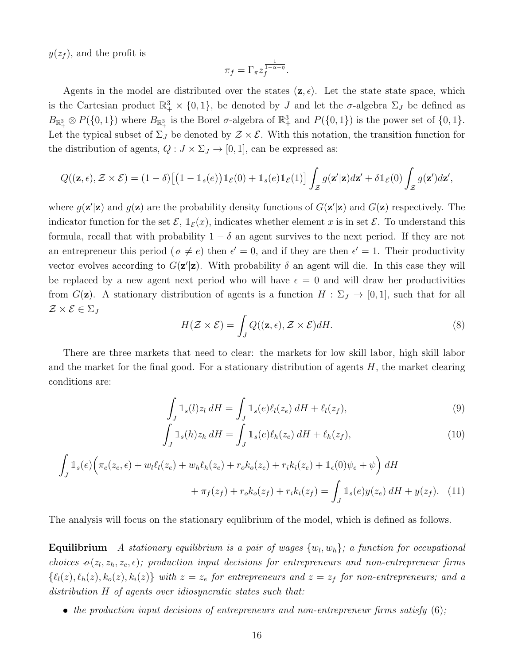$y(z_f)$ , and the profit is

$$
\pi_f = \Gamma_\pi z_f^{\frac{1}{1-\alpha-\eta}}.
$$

Agents in the model are distributed over the states  $(z, \epsilon)$ . Let the state space, which is the Cartesian product  $\mathbb{R}^3_+ \times \{0,1\}$ , be denoted by J and let the  $\sigma$ -algebra  $\Sigma_J$  be defined as  $B_{\mathbb{R}^3_+} \otimes P(\{0,1\})$  where  $B_{\mathbb{R}^3_+}$  is the Borel  $\sigma$ -algebra of  $\mathbb{R}^3_+$  and  $P(\{0,1\})$  is the power set of  $\{0,1\}$ . Let the typical subset of  $\Sigma_J$  be denoted by  $\mathcal{Z} \times \mathcal{E}$ . With this notation, the transition function for the distribution of agents,  $Q: J \times \Sigma_J \rightarrow [0, 1]$ , can be expressed as:

$$
Q((\mathbf{z}, \epsilon), \mathcal{Z} \times \mathcal{E}) = (1 - \delta) \big[ \big(1 - \mathbb{1}_s(e)\big) \mathbb{1}_{\mathcal{E}}(0) + \mathbb{1}_s(e) \mathbb{1}_{\mathcal{E}}(1) \big] \int_{\mathcal{Z}} g(\mathbf{z}'|\mathbf{z}) d\mathbf{z}' + \delta \mathbb{1}_{\mathcal{E}}(0) \int_{\mathcal{Z}} g(\mathbf{z}') d\mathbf{z}',
$$

where  $g(\mathbf{z}'|\mathbf{z})$  and  $g(\mathbf{z})$  are the probability density functions of  $G(\mathbf{z}'|\mathbf{z})$  and  $G(\mathbf{z})$  respectively. The indicator function for the set  $\mathcal{E}, \mathbb{1}_{\mathcal{E}}(x)$ , indicates whether element x is in set  $\mathcal{E}$ . To understand this formula, recall that with probability  $1 - \delta$  an agent survives to the next period. If they are not an entrepreneur this period ( $\sigma \neq e$ ) then  $\epsilon' = 0$ , and if they are then  $\epsilon' = 1$ . Their productivity vector evolves according to  $G(\mathbf{z}^{\prime}|\mathbf{z})$ . With probability  $\delta$  an agent will die. In this case they will be replaced by a new agent next period who will have  $\epsilon = 0$  and will draw her productivities from  $G(\mathbf{z})$ . A stationary distribution of agents is a function  $H : \Sigma_J \to [0,1]$ , such that for all  $\mathcal{Z}\times\mathcal{E}\in\Sigma_J$ 

<span id="page-16-1"></span><span id="page-16-0"></span>
$$
H(\mathcal{Z}\times\mathcal{E})=\int_{J}Q((\mathbf{z},\epsilon),\mathcal{Z}\times\mathcal{E})dH.
$$
\n(8)

There are three markets that need to clear: the markets for low skill labor, high skill labor and the market for the final good. For a stationary distribution of agents  $H$ , the market clearing conditions are:

<span id="page-16-2"></span>
$$
\int_{J} \mathbb{1}_{s}(l)z_{l} dH = \int_{J} \mathbb{1}_{s}(e)\ell_{l}(z_{e}) dH + \ell_{l}(z_{f}),
$$
\n(9)

<span id="page-16-3"></span>
$$
\int_{J} \mathbb{1}_{s}(h) z_h \, dH = \int_{J} \mathbb{1}_{s}(e) \ell_h(z_e) \, dH + \ell_h(z_f), \tag{10}
$$

$$
\int_{J} \mathbb{1}_{s}(e) \Big( \pi_{e}(z_{e}, \epsilon) + w_{l} \ell_{l}(z_{e}) + w_{h} \ell_{h}(z_{e}) + r_{o} k_{o}(z_{e}) + r_{i} k_{i}(z_{e}) + \mathbb{1}_{\epsilon}(0) \psi_{e} + \psi \Big) dH
$$

$$
+ \pi_{f}(z_{f}) + r_{o} k_{o}(z_{f}) + r_{i} k_{i}(z_{f}) = \int_{J} \mathbb{1}_{s}(e) y(z_{e}) dH + y(z_{f}). \tag{11}
$$

The analysis will focus on the stationary equlibrium of the model, which is defined as follows.

**Equilibrium** A stationary equilibrium is a pair of wages  $\{w_l, w_h\}$ ; a function for occupational choices  $o(z_l, z_h, z_e, \epsilon)$ ; production input decisions for entrepreneurs and non-entrepreneur firms  $\{\ell_l(z), \ell_h(z), k_o(z), k_i(z)\}\$  with  $z=z_e$  for entrepreneurs and  $z=z_f$  for non-entrepreneurs; and a distribution H of agents over idiosyncratic states such that:

• the production input decisions of entrepreneurs and non-entrepreneur firms satisfy  $(6)$ ;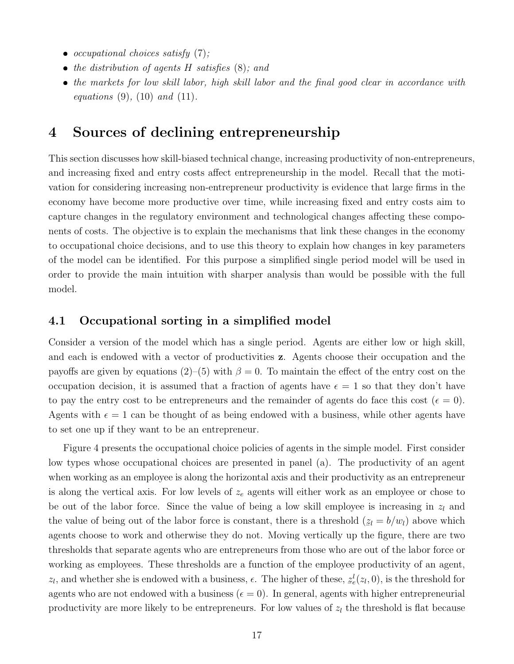- occupational choices satisfy  $(7)$ ;
- the distribution of agents  $H$  satisfies  $(8)$ ; and
- the markets for low skill labor, high skill labor and the final good clear in accordance with *equations* [\(9\)](#page-16-1), [\(10\)](#page-16-2) *and* [\(11\)](#page-16-3).

## <span id="page-17-0"></span>4 Sources of declining entrepreneurship

This section discusses how skill-biased technical change, increasing productivity of non-entrepreneurs, and increasing fixed and entry costs affect entrepreneurship in the model. Recall that the motivation for considering increasing non-entrepreneur productivity is evidence that large firms in the economy have become more productive over time, while increasing fixed and entry costs aim to capture changes in the regulatory environment and technological changes affecting these components of costs. The objective is to explain the mechanisms that link these changes in the economy to occupational choice decisions, and to use this theory to explain how changes in key parameters of the model can be identified. For this purpose a simplified single period model will be used in order to provide the main intuition with sharper analysis than would be possible with the full model.

### 4.1 Occupational sorting in a simplified model

Consider a version of the model which has a single period. Agents are either low or high skill, and each is endowed with a vector of productivities z. Agents choose their occupation and the payoffs are given by equations [\(2\)](#page-15-3)–[\(5\)](#page-15-4) with  $\beta = 0$ . To maintain the effect of the entry cost on the occupation decision, it is assumed that a fraction of agents have  $\epsilon = 1$  so that they don't have to pay the entry cost to be entrepreneurs and the remainder of agents do face this cost ( $\epsilon = 0$ ). Agents with  $\epsilon = 1$  can be thought of as being endowed with a business, while other agents have to set one up if they want to be an entrepreneur.

Figure [4](#page-18-0) presents the occupational choice policies of agents in the simple model. First consider low types whose occupational choices are presented in panel (a). The productivity of an agent when working as an employee is along the horizontal axis and their productivity as an entrepreneur is along the vertical axis. For low levels of  $z_e$  agents will either work as an employee or chose to be out of the labor force. Since the value of being a low skill employee is increasing in  $z_l$  and the value of being out of the labor force is constant, there is a threshold (  $z_l = b/w_l$ ) above which agents choose to work and otherwise they do not. Moving vertically up the figure, there are two thresholds that separate agents who are entrepreneurs from those who are out of the labor force or working as employees. These thresholds are a function of the employee productivity of an agent,  $z_l$ , and whether she is endowed with a business,  $\epsilon$ . The higher of these,  $\tilde{z}$  $z_e^l(z_l, 0)$ , is the threshold for agents who are not endowed with a business ( $\epsilon = 0$ ). In general, agents with higher entrepreneurial productivity are more likely to be entrepreneurs. For low values of  $z<sub>l</sub>$  the threshold is flat because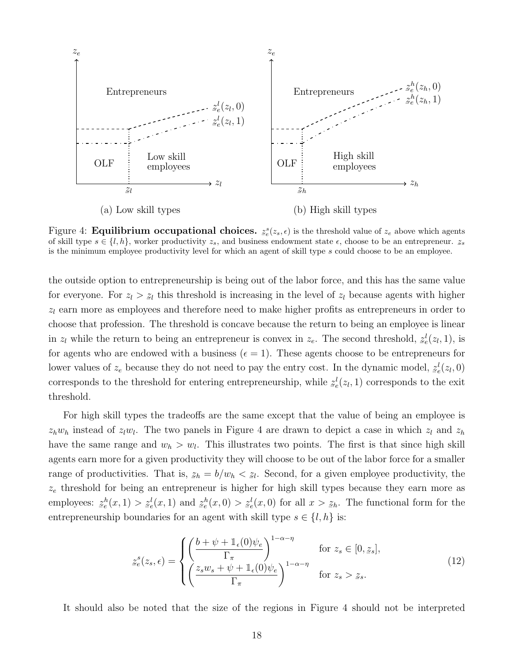<span id="page-18-0"></span>

Figure 4: **Equilibrium occupational choices.**  $z_e^s(z_s, \epsilon)$  is the threshold value of  $z_e$  above which agents of skill type  $s \in \{l, h\}$ , worker productivity  $z_s$ , and business endowment state  $\epsilon$ , choose to be an entrepreneur.  $z_s$ is the minimum employee productivity level for which an agent of skill type s could choose to be an employee.

the outside option to entrepreneurship is being out of the labor force, and this has the same value for everyone. For  $z_l > z_l$  this threshold is increasing in the level of  $z_l$  because agents with higher  $z_l$  earn more as employees and therefore need to make higher profits as entrepreneurs in order to choose that profession. The threshold is concave because the return to being an employee is linear in  $z_l$  while the return to being an entrepreneur is convex in  $z_e$ . The second threshold,  $z$  $z_e^l(z_l, 1)$ , is for agents who are endowed with a business ( $\epsilon = 1$ ). These agents choose to be entrepreneurs for lower values of  $z_e$  because they do not need to pay the entry cost. In the dynamic model,  $z_e$  $z_e^l(z_l,0)$ corresponds to the threshold for entering entrepreneurship, while  $\tilde{z}$  $z_e^l(z_l, 1)$  corresponds to the exit threshold.

For high skill types the tradeoffs are the same except that the value of being an employee is  $z_h w_h$  instead of  $z_l w_l$ . The two panels in Figure [4](#page-18-0) are drawn to depict a case in which  $z_l$  and  $z_h$ have the same range and  $w_h > w_l$ . This illustrates two points. The first is that since high skill agents earn more for a given productivity they will choose to be out of the labor force for a smaller range of productivities. That is,  $z_h = b/w_h < z_l$ . Second, for a given employee productivity, the  $z_e$  threshold for being an entrepreneur is higher for high skill types because they earn more as employees:  $\tilde{z}$  $z_e^h(x,1)$  $\tilde{a}$  $z_e^l(x,1)$  and  $\tilde{z}$  $z_e^h(x,0) >$  $\tilde{z}$  $z_e^l(x,0)$  for all  $x >$  $z_h$ . The functional form for the entrepreneurship boundaries for an agent with skill type  $s \in \{l, h\}$  is:

$$
z_e^s(z_s, \epsilon) = \begin{cases} \left(\frac{b+\psi+\mathbb{1}_{\epsilon}(0)\psi_e}{\Gamma_{\pi}}\right)^{1-\alpha-\eta} & \text{for } z_s \in [0, z_s],\\ \left(\frac{z_s w_s + \psi + \mathbb{1}_{\epsilon}(0)\psi_e}{\Gamma_{\pi}}\right)^{1-\alpha-\eta} & \text{for } z_s > z_s. \end{cases}
$$
(12)

It should also be noted that the size of the regions in Figure [4](#page-18-0) should not be interpreted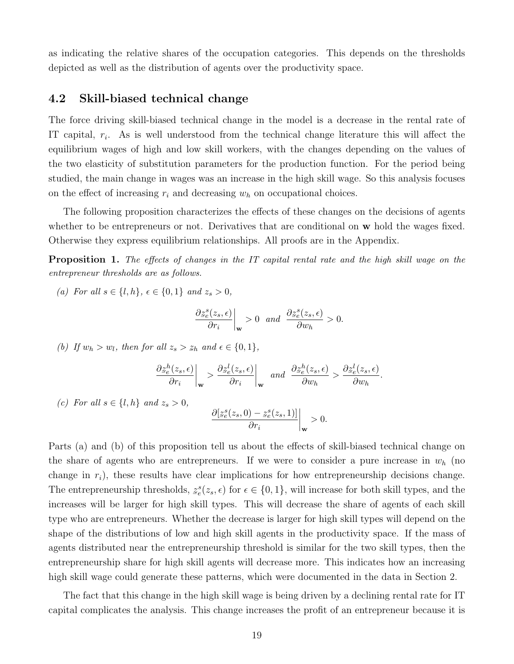as indicating the relative shares of the occupation categories. This depends on the thresholds depicted as well as the distribution of agents over the productivity space.

### 4.2 Skill-biased technical change

The force driving skill-biased technical change in the model is a decrease in the rental rate of IT capital,  $r_i$ . As is well understood from the technical change literature this will affect the equilibrium wages of high and low skill workers, with the changes depending on the values of the two elasticity of substitution parameters for the production function. For the period being studied, the main change in wages was an increase in the high skill wage. So this analysis focuses on the effect of increasing  $r_i$  and decreasing  $w_h$  on occupational choices.

The following proposition characterizes the effects of these changes on the decisions of agents whether to be entrepreneurs or not. Derivatives that are conditional on w hold the wages fixed. Otherwise they express equilibrium relationships. All proofs are in the Appendix.

<span id="page-19-0"></span>Proposition 1. The effects of changes in the IT capital rental rate and the high skill wage on the entrepreneur thresholds are as follows.

(a) For all  $s \in \{l, h\}, \, \epsilon \in \{0, 1\}$  and  $z_s > 0$ ,

$$
\frac{\partial z_e^s(z_s,\epsilon)}{\partial r_i}\bigg|_{\mathbf{w}}>0 \quad and \quad \frac{\partial z_e^s(z_s,\epsilon)}{\partial w_h}>0.
$$

(b) If  $w_h > w_l$ , then for all  $z_s > z_h$  and  $\epsilon \in \{0, 1\}$ ,

$$
\frac{\partial z_e^h(z_s,\epsilon)}{\partial r_i}\bigg|_{\mathbf{w}} > \frac{\partial z_e^l(z_s,\epsilon)}{\partial r_i}\bigg|_{\mathbf{w}} \quad \text{and} \quad \frac{\partial z_e^h(z_s,\epsilon)}{\partial w_h} > \frac{\partial z_e^l(z_s,\epsilon)}{\partial w_h}.
$$

(c) For all  $s \in \{l, h\}$  and  $z_s > 0$ ,

$$
\frac{\partial [z_e^s(z_s,0) - z_e^s(z_s,1)]}{\partial r_i}\bigg|_{\mathbf{w}} > 0.
$$

Parts (a) and (b) of this proposition tell us about the effects of skill-biased technical change on the share of agents who are entrepreneurs. If we were to consider a pure increase in  $w<sub>h</sub>$  (no change in  $r_i$ ), these results have clear implications for how entrepreneurship decisions change. The entrepreneurship thresholds,  $\tilde{a}$  $z_e^s(z_s, \epsilon)$  for  $\epsilon \in \{0, 1\}$ , will increase for both skill types, and the increases will be larger for high skill types. This will decrease the share of agents of each skill type who are entrepreneurs. Whether the decrease is larger for high skill types will depend on the shape of the distributions of low and high skill agents in the productivity space. If the mass of agents distributed near the entrepreneurship threshold is similar for the two skill types, then the entrepreneurship share for high skill agents will decrease more. This indicates how an increasing high skill wage could generate these patterns, which were documented in the data in Section [2.](#page-6-0)

The fact that this change in the high skill wage is being driven by a declining rental rate for IT capital complicates the analysis. This change increases the profit of an entrepreneur because it is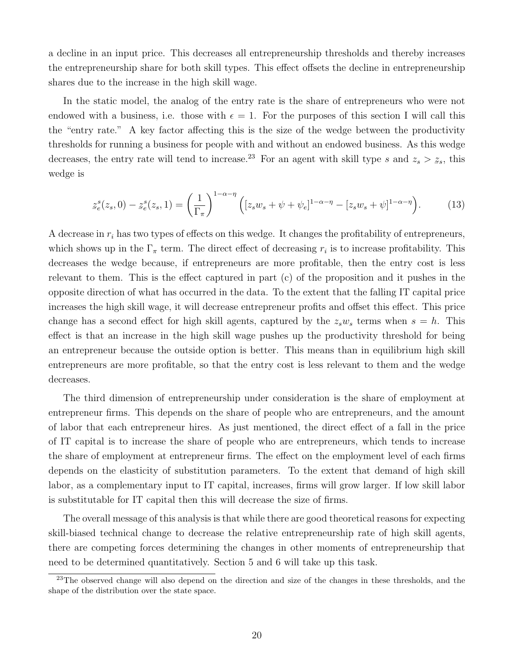a decline in an input price. This decreases all entrepreneurship thresholds and thereby increases the entrepreneurship share for both skill types. This effect offsets the decline in entrepreneurship shares due to the increase in the high skill wage.

In the static model, the analog of the entry rate is the share of entrepreneurs who were not endowed with a business, i.e. those with  $\epsilon = 1$ . For the purposes of this section I will call this the "entry rate." A key factor affecting this is the size of the wedge between the productivity thresholds for running a business for people with and without an endowed business. As this wedge decreases, the entry rate will tend to increase.<sup>[23](#page-20-0)</sup> For an agent with skill type s and  $z_s > z_s$ , this wedge is

<span id="page-20-1"></span>
$$
\underline{z}_{e}^{s}(z_{s},0) - \underline{z}_{e}^{s}(z_{s},1) = \left(\frac{1}{\Gamma_{\pi}}\right)^{1-\alpha-\eta} \left( [z_{s}w_{s} + \psi + \psi_{e}]^{1-\alpha-\eta} - [z_{s}w_{s} + \psi]^{1-\alpha-\eta} \right). \tag{13}
$$

A decrease in  $r_i$  has two types of effects on this wedge. It changes the profitability of entrepreneurs, which shows up in the  $\Gamma_{\pi}$  term. The direct effect of decreasing  $r_i$  is to increase profitability. This decreases the wedge because, if entrepreneurs are more profitable, then the entry cost is less relevant to them. This is the effect captured in part (c) of the proposition and it pushes in the opposite direction of what has occurred in the data. To the extent that the falling IT capital price increases the high skill wage, it will decrease entrepreneur profits and offset this effect. This price change has a second effect for high skill agents, captured by the  $z_s w_s$  terms when  $s = h$ . This effect is that an increase in the high skill wage pushes up the productivity threshold for being an entrepreneur because the outside option is better. This means than in equilibrium high skill entrepreneurs are more profitable, so that the entry cost is less relevant to them and the wedge decreases.

The third dimension of entrepreneurship under consideration is the share of employment at entrepreneur firms. This depends on the share of people who are entrepreneurs, and the amount of labor that each entrepreneur hires. As just mentioned, the direct effect of a fall in the price of IT capital is to increase the share of people who are entrepreneurs, which tends to increase the share of employment at entrepreneur firms. The effect on the employment level of each firms depends on the elasticity of substitution parameters. To the extent that demand of high skill labor, as a complementary input to IT capital, increases, firms will grow larger. If low skill labor is substitutable for IT capital then this will decrease the size of firms.

The overall message of this analysis is that while there are good theoretical reasons for expecting skill-biased technical change to decrease the relative entrepreneurship rate of high skill agents, there are competing forces determining the changes in other moments of entrepreneurship that need to be determined quantitatively. Section [5](#page-25-0) and [6](#page-33-0) will take up this task.

<span id="page-20-0"></span><sup>&</sup>lt;sup>23</sup>The observed change will also depend on the direction and size of the changes in these thresholds, and the shape of the distribution over the state space.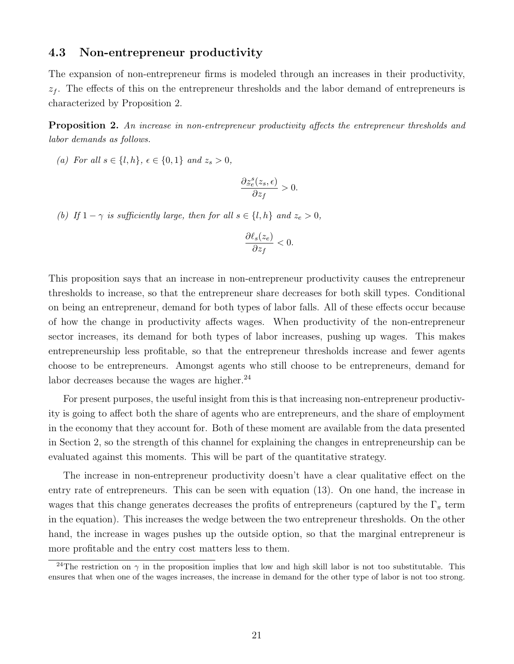### 4.3 Non-entrepreneur productivity

The expansion of non-entrepreneur firms is modeled through an increases in their productivity,  $z<sub>f</sub>$ . The effects of this on the entrepreneur thresholds and the labor demand of entrepreneurs is characterized by Proposition [2.](#page-21-0)

<span id="page-21-0"></span>Proposition 2. An increase in non-entrepreneur productivity affects the entrepreneur thresholds and labor demands as follows.

(a) For all  $s \in \{l, h\}$ ,  $\epsilon \in \{0, 1\}$  and  $z_s > 0$ ,

$$
\frac{\partial z^s_e(z_s,\epsilon)}{\partial z_f} > 0.
$$

(b) If  $1 - \gamma$  is sufficiently large, then for all  $s \in \{l, h\}$  and  $z_e > 0$ ,

$$
\frac{\partial \ell_s(z_e)}{\partial z_f} < 0.
$$

This proposition says that an increase in non-entrepreneur productivity causes the entrepreneur thresholds to increase, so that the entrepreneur share decreases for both skill types. Conditional on being an entrepreneur, demand for both types of labor falls. All of these effects occur because of how the change in productivity affects wages. When productivity of the non-entrepreneur sector increases, its demand for both types of labor increases, pushing up wages. This makes entrepreneurship less profitable, so that the entrepreneur thresholds increase and fewer agents choose to be entrepreneurs. Amongst agents who still choose to be entrepreneurs, demand for labor decreases because the wages are higher. $^{24}$  $^{24}$  $^{24}$ 

For present purposes, the useful insight from this is that increasing non-entrepreneur productivity is going to affect both the share of agents who are entrepreneurs, and the share of employment in the economy that they account for. Both of these moment are available from the data presented in Section [2,](#page-6-0) so the strength of this channel for explaining the changes in entrepreneurship can be evaluated against this moments. This will be part of the quantitative strategy.

The increase in non-entrepreneur productivity doesn't have a clear qualitative effect on the entry rate of entrepreneurs. This can be seen with equation [\(13\)](#page-20-1). On one hand, the increase in wages that this change generates decreases the profits of entrepreneurs (captured by the  $\Gamma_{\pi}$  term in the equation). This increases the wedge between the two entrepreneur thresholds. On the other hand, the increase in wages pushes up the outside option, so that the marginal entrepreneur is more profitable and the entry cost matters less to them.

<span id="page-21-1"></span><sup>&</sup>lt;sup>24</sup>The restriction on  $\gamma$  in the proposition implies that low and high skill labor is not too substitutable. This ensures that when one of the wages increases, the increase in demand for the other type of labor is not too strong.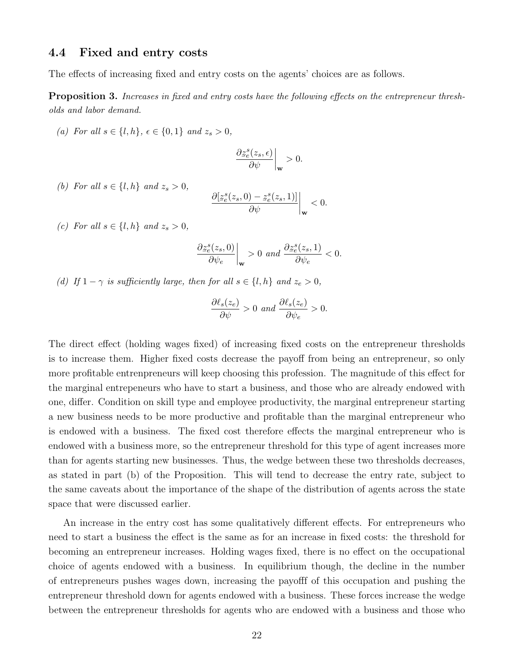#### 4.4 Fixed and entry costs

The effects of increasing fixed and entry costs on the agents' choices are as follows.

<span id="page-22-0"></span>Proposition 3. Increases in fixed and entry costs have the following effects on the entrepreneur thresholds and labor demand.

(a) For all  $s \in \{l, h\}, \, \epsilon \in \{0, 1\}$  and  $z_s > 0$ ,

$$
\frac{\partial \underline{z}_{e}^{s}(z_{s},\epsilon)}{\partial \psi}\bigg|_{\mathbf{w}}>0.
$$

(b) For all  $s \in \{l, h\}$  and  $z_s > 0$ ,

$$
\frac{\partial [z_e^s(z_s,0) - z_e^s(z_s,1)]}{\partial \psi}\bigg|_{\mathbf{w}} < 0.
$$

(c) For all  $s \in \{l, h\}$  and  $z_s > 0$ ,

$$
\frac{\partial z_e^s(z_s,0)}{\partial \psi_e}\bigg|_{\mathbf{w}} > 0 \text{ and } \frac{\partial z_e^s(z_s,1)}{\partial \psi_e} < 0.
$$

(d) If  $1 - \gamma$  is sufficiently large, then for all  $s \in \{l, h\}$  and  $z_e > 0$ ,

$$
\frac{\partial \ell_s(z_e)}{\partial \psi} > 0 \text{ and } \frac{\partial \ell_s(z_e)}{\partial \psi_e} > 0.
$$

The direct effect (holding wages fixed) of increasing fixed costs on the entrepreneur thresholds is to increase them. Higher fixed costs decrease the payoff from being an entrepreneur, so only more profitable entrenpreneurs will keep choosing this profession. The magnitude of this effect for the marginal entrepeneurs who have to start a business, and those who are already endowed with one, differ. Condition on skill type and employee productivity, the marginal entrepreneur starting a new business needs to be more productive and profitable than the marginal entrepreneur who is endowed with a business. The fixed cost therefore effects the marginal entrepreneur who is endowed with a business more, so the entrepreneur threshold for this type of agent increases more than for agents starting new businesses. Thus, the wedge between these two thresholds decreases, as stated in part (b) of the Proposition. This will tend to decrease the entry rate, subject to the same caveats about the importance of the shape of the distribution of agents across the state space that were discussed earlier.

An increase in the entry cost has some qualitatively different effects. For entrepreneurs who need to start a business the effect is the same as for an increase in fixed costs: the threshold for becoming an entrepreneur increases. Holding wages fixed, there is no effect on the occupational choice of agents endowed with a business. In equilibrium though, the decline in the number of entrepreneurs pushes wages down, increasing the payofff of this occupation and pushing the entrepreneur threshold down for agents endowed with a business. These forces increase the wedge between the entrepreneur thresholds for agents who are endowed with a business and those who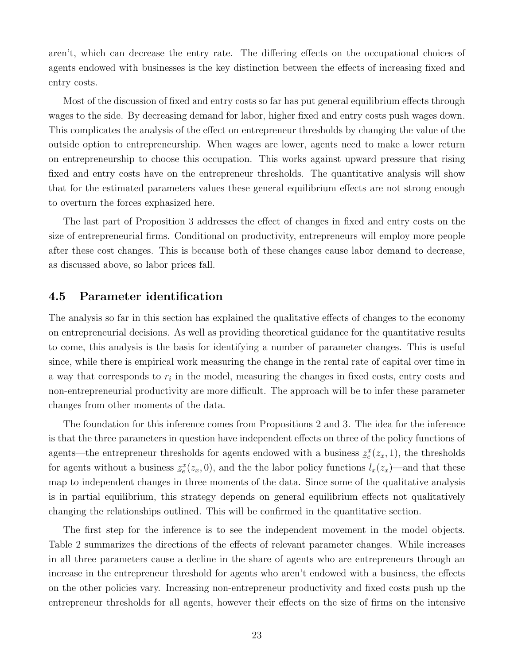aren't, which can decrease the entry rate. The differing effects on the occupational choices of agents endowed with businesses is the key distinction between the effects of increasing fixed and entry costs.

Most of the discussion of fixed and entry costs so far has put general equilibrium effects through wages to the side. By decreasing demand for labor, higher fixed and entry costs push wages down. This complicates the analysis of the effect on entrepreneur thresholds by changing the value of the outside option to entrepreneurship. When wages are lower, agents need to make a lower return on entrepreneurship to choose this occupation. This works against upward pressure that rising fixed and entry costs have on the entrepreneur thresholds. The quantitative analysis will show that for the estimated parameters values these general equilibrium effects are not strong enough to overturn the forces exphasized here.

The last part of Proposition [3](#page-22-0) addresses the effect of changes in fixed and entry costs on the size of entrepreneurial firms. Conditional on productivity, entrepreneurs will employ more people after these cost changes. This is because both of these changes cause labor demand to decrease, as discussed above, so labor prices fall.

### 4.5 Parameter identification

The analysis so far in this section has explained the qualitative effects of changes to the economy on entrepreneurial decisions. As well as providing theoretical guidance for the quantitative results to come, this analysis is the basis for identifying a number of parameter changes. This is useful since, while there is empirical work measuring the change in the rental rate of capital over time in a way that corresponds to  $r_i$  in the model, measuring the changes in fixed costs, entry costs and non-entrepreneurial productivity are more difficult. The approach will be to infer these parameter changes from other moments of the data.

The foundation for this inference comes from Propositions [2](#page-21-0) and [3.](#page-22-0) The idea for the inference is that the three parameters in question have independent effects on three of the policy functions of agents—the entrepreneur thresholds for agents endowed with a business  $\tilde{z}$  $z_e^x(z_x, 1)$ , the thresholds for agents without a business  $\tilde{z}$  $z_e^x(z_x, 0)$ , and the the labor policy functions  $l_x(z_x)$ —and that these map to independent changes in three moments of the data. Since some of the qualitative analysis is in partial equilibrium, this strategy depends on general equilibrium effects not qualitatively changing the relationships outlined. This will be confirmed in the quantitative section.

The first step for the inference is to see the independent movement in the model objects. Table [2](#page-24-0) summarizes the directions of the effects of relevant parameter changes. While increases in all three parameters cause a decline in the share of agents who are entrepreneurs through an increase in the entrepreneur threshold for agents who aren't endowed with a business, the effects on the other policies vary. Increasing non-entrepreneur productivity and fixed costs push up the entrepreneur thresholds for all agents, however their effects on the size of firms on the intensive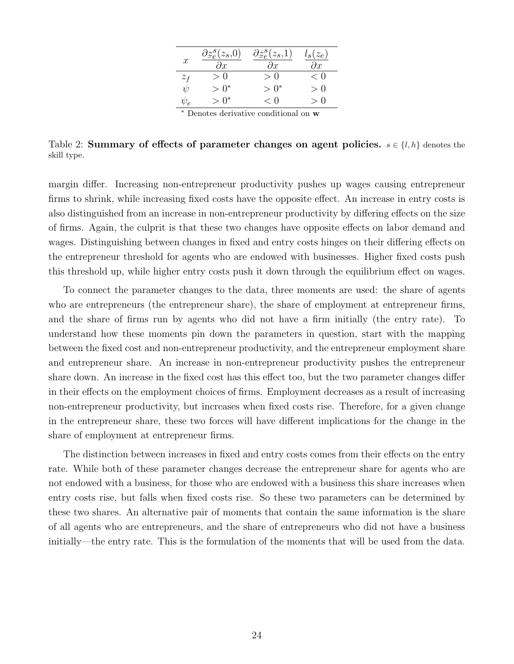| $\boldsymbol{x}$ | $\partial z_e^s(z_s,0)$<br>$\partial x$ | $\partial z_e^s(z_s,1)$<br>$\partial x$ | $l_s(z_e)$<br>$\partial x$ |
|------------------|-----------------------------------------|-----------------------------------------|----------------------------|
| $z_f$            | > 0                                     | $\geq 0$                                | < 0                        |
| $\psi$           | $> 0^*$                                 | $> 0^*$                                 | > 0                        |
| $\psi_e$         | $> 0^*$                                 | < 0                                     | $\gt$ ()                   |
|                  |                                         |                                         |                            |

<sup>∗</sup> Denotes derivative conditional on w

<span id="page-24-0"></span>Table 2: Summary of effects of parameter changes on agent policies.  $s \in \{l, h\}$  denotes the skill type.

margin differ. Increasing non-entrepreneur productivity pushes up wages causing entrepreneur firms to shrink, while increasing fixed costs have the opposite effect. An increase in entry costs is also distinguished from an increase in non-entrepreneur productivity by differing effects on the size of firms. Again, the culprit is that these two changes have opposite effects on labor demand and wages. Distinguishing between changes in fixed and entry costs hinges on their differing effects on the entrepreneur threshold for agents who are endowed with businesses. Higher fixed costs push this threshold up, while higher entry costs push it down through the equilibrium effect on wages.

To connect the parameter changes to the data, three moments are used: the share of agents who are entrepreneurs (the entrepreneur share), the share of employment at entrepreneur firms, and the share of firms run by agents who did not have a firm initially (the entry rate). To understand how these moments pin down the parameters in question, start with the mapping between the fixed cost and non-entrepreneur productivity, and the entrepreneur employment share and entrepreneur share. An increase in non-entrepreneur productivity pushes the entrepreneur share down. An increase in the fixed cost has this effect too, but the two parameter changes differ in their effects on the employment choices of firms. Employment decreases as a result of increasing non-entrepreneur productivity, but increases when fixed costs rise. Therefore, for a given change in the entrepreneur share, these two forces will have different implications for the change in the share of employment at entrepreneur firms.

The distinction between increases in fixed and entry costs comes from their effects on the entry rate. While both of these parameter changes decrease the entrepreneur share for agents who are not endowed with a business, for those who are endowed with a business this share increases when entry costs rise, but falls when fixed costs rise. So these two parameters can be determined by these two shares. An alternative pair of moments that contain the same information is the share of all agents who are entrepreneurs, and the share of entrepreneurs who did not have a business initially—the entry rate. This is the formulation of the moments that will be used from the data.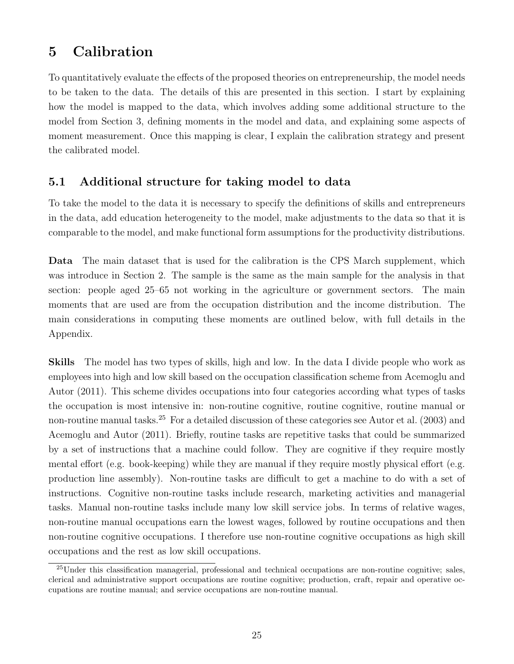# <span id="page-25-0"></span>5 Calibration

To quantitatively evaluate the effects of the proposed theories on entrepreneurship, the model needs to be taken to the data. The details of this are presented in this section. I start by explaining how the model is mapped to the data, which involves adding some additional structure to the model from Section [3,](#page-12-0) defining moments in the model and data, and explaining some aspects of moment measurement. Once this mapping is clear, I explain the calibration strategy and present the calibrated model.

### <span id="page-25-2"></span>5.1 Additional structure for taking model to data

To take the model to the data it is necessary to specify the definitions of skills and entrepreneurs in the data, add education heterogeneity to the model, make adjustments to the data so that it is comparable to the model, and make functional form assumptions for the productivity distributions.

Data The main dataset that is used for the calibration is the CPS March supplement, which was introduce in Section [2.](#page-6-0) The sample is the same as the main sample for the analysis in that section: people aged 25–65 not working in the agriculture or government sectors. The main moments that are used are from the occupation distribution and the income distribution. The main considerations in computing these moments are outlined below, with full details in the Appendix.

Skills The model has two types of skills, high and low. In the data I divide people who work as employees into high and low skill based on the occupation classification scheme from [Acemoglu and](#page-48-9) [Autor](#page-48-9) [\(2011\)](#page-48-9). This scheme divides occupations into four categories according what types of tasks the occupation is most intensive in: non-routine cognitive, routine cognitive, routine manual or non-routine manual tasks.<sup>[25](#page-25-1)</sup> For a detailed discussion of these categories see [Autor et al.](#page-48-8) [\(2003\)](#page-48-8) and [Acemoglu and Autor](#page-48-9) [\(2011\)](#page-48-9). Briefly, routine tasks are repetitive tasks that could be summarized by a set of instructions that a machine could follow. They are cognitive if they require mostly mental effort (e.g. book-keeping) while they are manual if they require mostly physical effort (e.g. production line assembly). Non-routine tasks are difficult to get a machine to do with a set of instructions. Cognitive non-routine tasks include research, marketing activities and managerial tasks. Manual non-routine tasks include many low skill service jobs. In terms of relative wages, non-routine manual occupations earn the lowest wages, followed by routine occupations and then non-routine cognitive occupations. I therefore use non-routine cognitive occupations as high skill occupations and the rest as low skill occupations.

<span id="page-25-1"></span><sup>&</sup>lt;sup>25</sup>Under this classification managerial, professional and technical occupations are non-routine cognitive; sales, clerical and administrative support occupations are routine cognitive; production, craft, repair and operative occupations are routine manual; and service occupations are non-routine manual.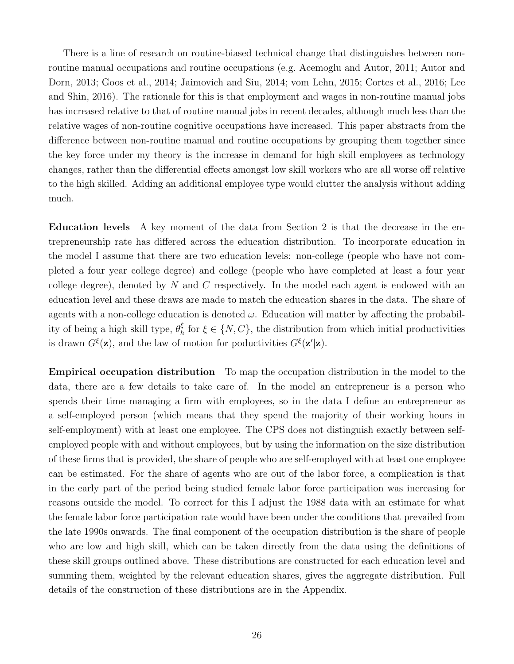There is a line of research on routine-biased technical change that distinguishes between nonroutine manual occupations and routine occupations (e.g. [Acemoglu and Autor,](#page-48-9) [2011;](#page-48-9) [Autor and](#page-48-10) [Dorn,](#page-48-10) [2013;](#page-48-10) [Goos et al.,](#page-49-15) [2014;](#page-49-15) [Jaimovich and Siu,](#page-50-14) [2014;](#page-50-14) [vom Lehn,](#page-51-5) [2015;](#page-51-5) [Cortes et al.,](#page-49-13) [2016;](#page-49-13) [Lee](#page-50-10) [and Shin,](#page-50-10) [2016\)](#page-50-10). The rationale for this is that employment and wages in non-routine manual jobs has increased relative to that of routine manual jobs in recent decades, although much less than the relative wages of non-routine cognitive occupations have increased. This paper abstracts from the difference between non-routine manual and routine occupations by grouping them together since the key force under my theory is the increase in demand for high skill employees as technology changes, rather than the differential effects amongst low skill workers who are all worse off relative to the high skilled. Adding an additional employee type would clutter the analysis without adding much.

Education levels A key moment of the data from Section [2](#page-6-0) is that the decrease in the entrepreneurship rate has differed across the education distribution. To incorporate education in the model I assume that there are two education levels: non-college (people who have not completed a four year college degree) and college (people who have completed at least a four year college degree), denoted by N and C respectively. In the model each agent is endowed with an education level and these draws are made to match the education shares in the data. The share of agents with a non-college education is denoted  $\omega$ . Education will matter by affecting the probability of being a high skill type,  $\theta_h^{\xi}$  $\zeta_h$  for  $\xi \in \{N, C\}$ , the distribution from which initial productivities is drawn  $G^{\xi}(\mathbf{z})$ , and the law of motion for poductivities  $G^{\xi}(\mathbf{z}'|\mathbf{z})$ .

Empirical occupation distribution To map the occupation distribution in the model to the data, there are a few details to take care of. In the model an entrepreneur is a person who spends their time managing a firm with employees, so in the data I define an entrepreneur as a self-employed person (which means that they spend the majority of their working hours in self-employment) with at least one employee. The CPS does not distinguish exactly between selfemployed people with and without employees, but by using the information on the size distribution of these firms that is provided, the share of people who are self-employed with at least one employee can be estimated. For the share of agents who are out of the labor force, a complication is that in the early part of the period being studied female labor force participation was increasing for reasons outside the model. To correct for this I adjust the 1988 data with an estimate for what the female labor force participation rate would have been under the conditions that prevailed from the late 1990s onwards. The final component of the occupation distribution is the share of people who are low and high skill, which can be taken directly from the data using the definitions of these skill groups outlined above. These distributions are constructed for each education level and summing them, weighted by the relevant education shares, gives the aggregate distribution. Full details of the construction of these distributions are in the Appendix.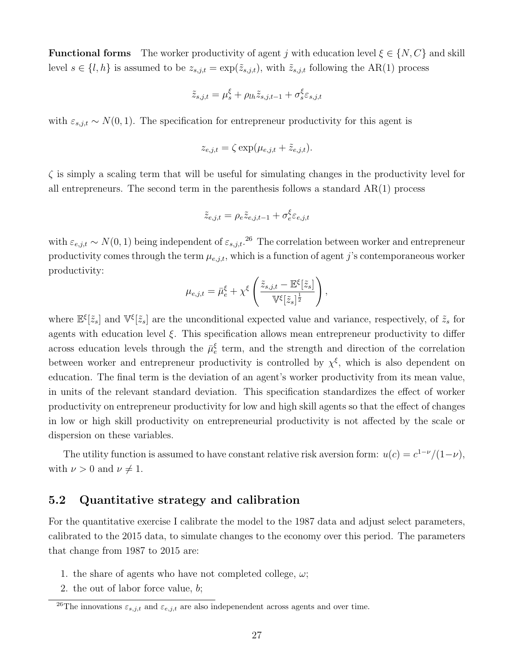**Functional forms** The worker productivity of agent j with education level  $\xi \in \{N, C\}$  and skill level  $s \in \{l, h\}$  is assumed to be  $z_{s,j,t} = \exp(\tilde{z}_{s,j,t})$ , with  $\tilde{z}_{s,j,t}$  following the AR(1) process

$$
\tilde{z}_{s,j,t} = \mu_s^{\xi} + \rho_{lh} \tilde{z}_{s,j,t-1} + \sigma_s^{\xi} \varepsilon_{s,j,t}
$$

with  $\varepsilon_{s,j,t} \sim N(0,1)$ . The specification for entrepreneur productivity for this agent is

$$
z_{e,j,t} = \zeta \exp(\mu_{e,j,t} + \tilde{z}_{e,j,t}).
$$

 $\zeta$  is simply a scaling term that will be useful for simulating changes in the productivity level for all entrepreneurs. The second term in the parenthesis follows a standard  $AR(1)$  process

$$
\tilde{z}_{e,j,t} = \rho_e \tilde{z}_{e,j,t-1} + \sigma_e^{\xi} \varepsilon_{e,j,t}
$$

with  $\varepsilon_{e,j,t} \sim N(0, 1)$  being independent of  $\varepsilon_{s,j,t}$ .<sup>[26](#page-27-0)</sup> The correlation between worker and entrepreneur productivity comes through the term  $\mu_{e,j,t}$ , which is a function of agent j's contemporaneous worker productivity:

$$
\mu_{e,j,t} = \bar{\mu}_e^{\xi} + \chi^{\xi} \left( \frac{\tilde{z}_{s,j,t} - \mathbb{E}^{\xi}[\tilde{z}_s]}{\mathbb{V}^{\xi}[\tilde{z}_s]^{\frac{1}{2}}} \right),
$$

where  $\mathbb{E}^{\xi}[\tilde{z}_s]$  and  $\mathbb{V}^{\xi}[\tilde{z}_s]$  are the unconditional expected value and variance, respectively, of  $\tilde{z}_s$  for agents with education level  $\xi$ . This specification allows mean entrepreneur productivity to differ across education levels through the  $\bar{\mu}_{e}^{\xi}$  term, and the strength and direction of the correlation between worker and entrepreneur productivity is controlled by  $\chi^{\xi}$ , which is also dependent on education. The final term is the deviation of an agent's worker productivity from its mean value, in units of the relevant standard deviation. This specification standardizes the effect of worker productivity on entrepreneur productivity for low and high skill agents so that the effect of changes in low or high skill productivity on entrepreneurial productivity is not affected by the scale or dispersion on these variables.

The utility function is assumed to have constant relative risk aversion form:  $u(c) = c^{1-\nu}/(1-\nu)$ , with  $\nu > 0$  and  $\nu \neq 1$ .

### 5.2 Quantitative strategy and calibration

For the quantitative exercise I calibrate the model to the 1987 data and adjust select parameters, calibrated to the 2015 data, to simulate changes to the economy over this period. The parameters that change from 1987 to 2015 are:

- 1. the share of agents who have not completed college,  $\omega$ ;
- 2. the out of labor force value, b;

<span id="page-27-0"></span><sup>&</sup>lt;sup>26</sup>The innovations  $\varepsilon_{s,j,t}$  and  $\varepsilon_{e,j,t}$  are also indepenendent across agents and over time.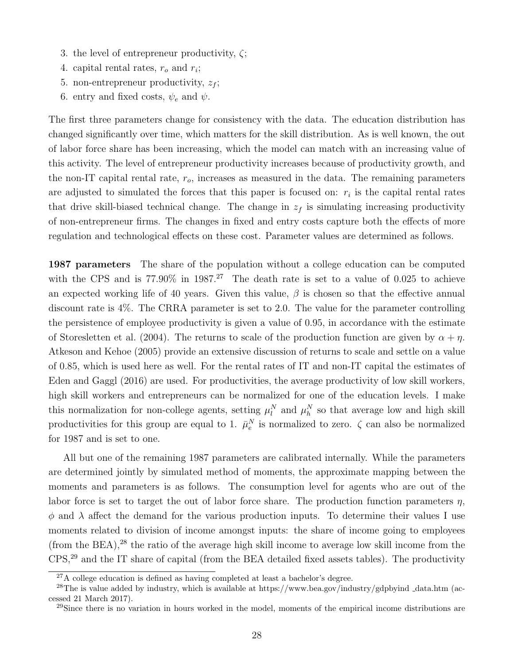- 3. the level of entrepreneur productivity,  $\zeta$ ;
- 4. capital rental rates,  $r_o$  and  $r_i$ ;
- 5. non-entrepreneur productivity,  $z_f$ ;
- 6. entry and fixed costs,  $\psi_e$  and  $\psi$ .

The first three parameters change for consistency with the data. The education distribution has changed significantly over time, which matters for the skill distribution. As is well known, the out of labor force share has been increasing, which the model can match with an increasing value of this activity. The level of entrepreneur productivity increases because of productivity growth, and the non-IT capital rental rate,  $r<sub>o</sub>$ , increases as measured in the data. The remaining parameters are adjusted to simulated the forces that this paper is focused on:  $r_i$  is the capital rental rates that drive skill-biased technical change. The change in  $z_f$  is simulating increasing productivity of non-entrepreneur firms. The changes in fixed and entry costs capture both the effects of more regulation and technological effects on these cost. Parameter values are determined as follows.

1987 parameters The share of the population without a college education can be computed with the CPS and is  $77.90\%$  in  $1987<sup>27</sup>$  $1987<sup>27</sup>$  $1987<sup>27</sup>$  The death rate is set to a value of 0.025 to achieve an expected working life of 40 years. Given this value,  $\beta$  is chosen so that the effective annual discount rate is 4%. The CRRA parameter is set to 2.0. The value for the parameter controlling the persistence of employee productivity is given a value of 0.95, in accordance with the estimate of [Storesletten et al.](#page-51-8) [\(2004\)](#page-51-8). The returns to scale of the production function are given by  $\alpha + \eta$ . [Atkeson and Kehoe](#page-48-16) [\(2005\)](#page-48-16) provide an extensive discussion of returns to scale and settle on a value of 0.85, which is used here as well. For the rental rates of IT and non-IT capital the estimates of [Eden and Gaggl](#page-49-11) [\(2016\)](#page-49-11) are used. For productivities, the average productivity of low skill workers, high skill workers and entrepreneurs can be normalized for one of the education levels. I make this normalization for non-college agents, setting  $\mu_l^N$  and  $\mu_h^N$  so that average low and high skill productivities for this group are equal to 1.  $\bar{\mu}_e^N$  is normalized to zero.  $\zeta$  can also be normalized for 1987 and is set to one.

All but one of the remaining 1987 parameters are calibrated internally. While the parameters are determined jointly by simulated method of moments, the approximate mapping between the moments and parameters is as follows. The consumption level for agents who are out of the labor force is set to target the out of labor force share. The production function parameters  $\eta$ ,  $\phi$  and  $\lambda$  affect the demand for the various production inputs. To determine their values I use moments related to division of income amongst inputs: the share of income going to employees (from the BEA), $^{28}$  $^{28}$  $^{28}$  the ratio of the average high skill income to average low skill income from the CPS,[29](#page-28-2) and the IT share of capital (from the BEA detailed fixed assets tables). The productivity

<span id="page-28-1"></span><span id="page-28-0"></span> $27A$  college education is defined as having completed at least a bachelor's degree.

<sup>&</sup>lt;sup>28</sup>The is value added by industry, which is available at https://www.bea.gov/industry/gdpbyind  $\Delta$ data.htm (accessed 21 March 2017).

<span id="page-28-2"></span><sup>&</sup>lt;sup>29</sup>Since there is no variation in hours worked in the model, moments of the empirical income distributions are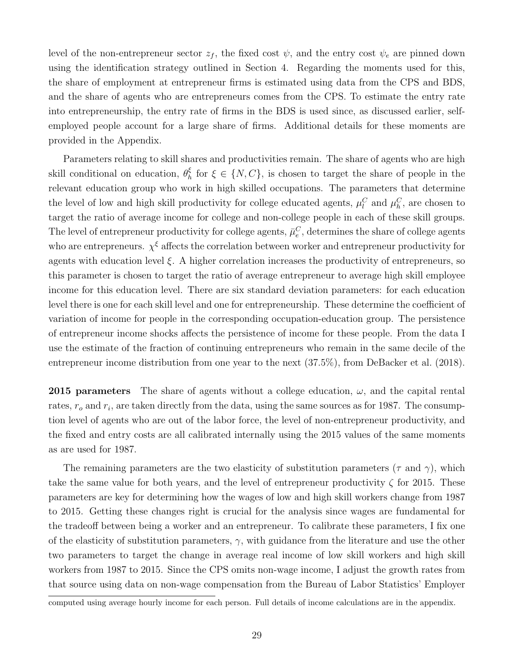level of the non-entrepreneur sector  $z_f$ , the fixed cost  $\psi$ , and the entry cost  $\psi_e$  are pinned down using the identification strategy outlined in Section [4.](#page-17-0) Regarding the moments used for this, the share of employment at entrepreneur firms is estimated using data from the CPS and BDS, and the share of agents who are entrepreneurs comes from the CPS. To estimate the entry rate into entrepreneurship, the entry rate of firms in the BDS is used since, as discussed earlier, selfemployed people account for a large share of firms. Additional details for these moments are provided in the Appendix.

Parameters relating to skill shares and productivities remain. The share of agents who are high skill conditional on education,  $\theta_h^{\xi}$  $\delta_h$  for  $\xi \in \{N, C\}$ , is chosen to target the share of people in the relevant education group who work in high skilled occupations. The parameters that determine the level of low and high skill productivity for college educated agents,  $\mu_l^C$  and  $\mu_h^C$ , are chosen to target the ratio of average income for college and non-college people in each of these skill groups. The level of entrepreneur productivity for college agents,  $\bar{\mu}_e^C$ , determines the share of college agents who are entrepreneurs.  $\chi^{\xi}$  affects the correlation between worker and entrepreneur productivity for agents with education level  $\xi$ . A higher correlation increases the productivity of entrepreneurs, so this parameter is chosen to target the ratio of average entrepreneur to average high skill employee income for this education level. There are six standard deviation parameters: for each education level there is one for each skill level and one for entrepreneurship. These determine the coefficient of variation of income for people in the corresponding occupation-education group. The persistence of entrepreneur income shocks affects the persistence of income for these people. From the data I use the estimate of the fraction of continuing entrepreneurs who remain in the same decile of the entrepreneur income distribution from one year to the next (37.5%), from [DeBacker et al.](#page-49-16) [\(2018\)](#page-49-16).

**2015 parameters** The share of agents without a college education,  $\omega$ , and the capital rental rates,  $r_o$  and  $r_i$ , are taken directly from the data, using the same sources as for 1987. The consumption level of agents who are out of the labor force, the level of non-entrepreneur productivity, and the fixed and entry costs are all calibrated internally using the 2015 values of the same moments as are used for 1987.

The remaining parameters are the two elasticity of substitution parameters ( $\tau$  and  $\gamma$ ), which take the same value for both years, and the level of entrepreneur productivity  $\zeta$  for 2015. These parameters are key for determining how the wages of low and high skill workers change from 1987 to 2015. Getting these changes right is crucial for the analysis since wages are fundamental for the tradeoff between being a worker and an entrepreneur. To calibrate these parameters, I fix one of the elasticity of substitution parameters,  $\gamma$ , with guidance from the literature and use the other two parameters to target the change in average real income of low skill workers and high skill workers from 1987 to 2015. Since the CPS omits non-wage income, I adjust the growth rates from that source using data on non-wage compensation from the Bureau of Labor Statistics' Employer

computed using average hourly income for each person. Full details of income calculations are in the appendix.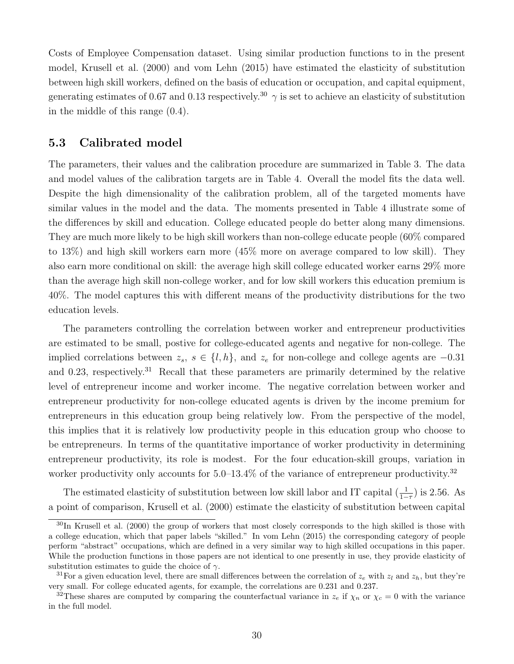Costs of Employee Compensation dataset. Using similar production functions to in the present model, [Krusell et al.](#page-50-5) [\(2000\)](#page-50-5) and [vom Lehn](#page-51-5) [\(2015\)](#page-51-5) have estimated the elasticity of substitution between high skill workers, defined on the basis of education or occupation, and capital equipment, generating estimates of 0.67 and 0.13 respectively.<sup>[30](#page-30-0)</sup>  $\gamma$  is set to achieve an elasticity of substitution in the middle of this range (0.4).

### 5.3 Calibrated model

The parameters, their values and the calibration procedure are summarized in Table [3.](#page-31-0) The data and model values of the calibration targets are in Table [4.](#page-32-0) Overall the model fits the data well. Despite the high dimensionality of the calibration problem, all of the targeted moments have similar values in the model and the data. The moments presented in Table [4](#page-32-0) illustrate some of the differences by skill and education. College educated people do better along many dimensions. They are much more likely to be high skill workers than non-college educate people (60% compared to 13%) and high skill workers earn more (45% more on average compared to low skill). They also earn more conditional on skill: the average high skill college educated worker earns 29% more than the average high skill non-college worker, and for low skill workers this education premium is 40%. The model captures this with different means of the productivity distributions for the two education levels.

The parameters controlling the correlation between worker and entrepreneur productivities are estimated to be small, postive for college-educated agents and negative for non-college. The implied correlations between  $z_s$ ,  $s \in \{l, h\}$ , and  $z_e$  for non-college and college agents are  $-0.31$ and 0.23, respectively.<sup>[31](#page-30-1)</sup> Recall that these parameters are primarily determined by the relative level of entrepreneur income and worker income. The negative correlation between worker and entrepreneur productivity for non-college educated agents is driven by the income premium for entrepreneurs in this education group being relatively low. From the perspective of the model, this implies that it is relatively low productivity people in this education group who choose to be entrepreneurs. In terms of the quantitative importance of worker productivity in determining entrepreneur productivity, its role is modest. For the four education-skill groups, variation in worker productivity only accounts for  $5.0-13.4\%$  of the variance of entrepreneur productivity.<sup>[32](#page-30-2)</sup>

The estimated elasticity of substitution between low skill labor and IT capital  $(\frac{1}{1-\tau})$  is 2.56. As a point of comparison, [Krusell et al.](#page-50-5) [\(2000\)](#page-50-5) estimate the elasticity of substitution between capital

<span id="page-30-0"></span><sup>&</sup>lt;sup>30</sup>In [Krusell et al.](#page-50-5) [\(2000\)](#page-50-5) the group of workers that most closely corresponds to the high skilled is those with a college education, which that paper labels "skilled." In [vom Lehn](#page-51-5) [\(2015\)](#page-51-5) the corresponding category of people perform "abstract" occupations, which are defined in a very similar way to high skilled occupations in this paper. While the production functions in those papers are not identical to one presently in use, they provide elasticity of substitution estimates to guide the choice of  $\gamma$ .

<span id="page-30-1"></span><sup>&</sup>lt;sup>31</sup>For a given education level, there are small differences between the correlation of  $z_e$  with  $z_l$  and  $z_h$ , but they're very small. For college educated agents, for example, the correlations are 0.231 and 0.237.

<span id="page-30-2"></span><sup>&</sup>lt;sup>32</sup>These shares are computed by comparing the counterfactual variance in  $z_e$  if  $\chi_n$  or  $\chi_c = 0$  with the variance in the full model.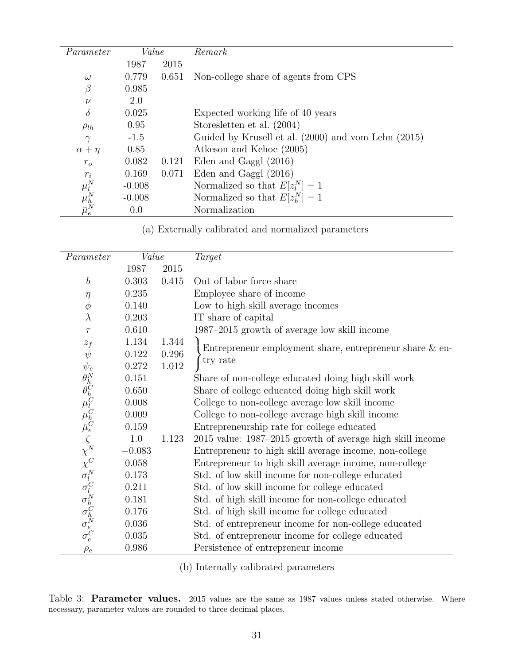<span id="page-31-0"></span>

| Parameter                           | Value    |       | Remark                                              |
|-------------------------------------|----------|-------|-----------------------------------------------------|
|                                     | 1987     | 2015  |                                                     |
| $\omega$                            | 0.779    | 0.651 | Non-college share of agents from CPS                |
| $\beta$                             | 0.985    |       |                                                     |
| $\nu$                               | 2.0      |       |                                                     |
| $\delta$                            | 0.025    |       | Expected working life of 40 years                   |
| $\rho_{lh}$                         | 0.95     |       | Storesletten et al. (2004)                          |
| $\gamma$                            | $-1.5$   |       | Guided by Krusell et al. (2000) and vom Lehn (2015) |
| $\alpha + \eta$                     | 0.85     |       | Atkeson and Kehoe (2005)                            |
| $r_{o}$                             | 0.082    | 0.121 | Eden and Gaggl (2016)                               |
| $r_i$                               | 0.169    | 0.071 | Eden and Gaggl (2016)                               |
|                                     | $-0.008$ |       | Normalized so that $E[z_i^N]=1$                     |
|                                     | $-0.008$ |       | Normalized so that $E[z_{h}^{N}] = 1$               |
| $\mu^N_l \ \mu^N_h \ \bar{\mu}^N_e$ | 0.0      |       | Normalization                                       |

(a) Externally calibrated and normalized parameters

| Parameter                                                                                                 | Value    |       | Target                                                    |
|-----------------------------------------------------------------------------------------------------------|----------|-------|-----------------------------------------------------------|
|                                                                                                           | 1987     | 2015  |                                                           |
| $\boldsymbol{b}$                                                                                          | 0.303    | 0.415 | Out of labor force share                                  |
| $\eta$                                                                                                    | 0.235    |       | Employee share of income                                  |
| $\phi$                                                                                                    | 0.140    |       | Low to high skill average incomes                         |
| $\lambda$                                                                                                 | 0.203    |       | IT share of capital                                       |
| $\tau$                                                                                                    | 0.610    |       | 1987-2015 growth of average low skill income              |
| $z_f$                                                                                                     | 1.134    | 1.344 |                                                           |
| $\psi$                                                                                                    | 0.122    | 0.296 | Entrepreneur employment share, entrepreneur share $&$ en- |
| $\psi_e$                                                                                                  | 0.272    | 1.012 | try rate                                                  |
| $\theta_h^N \theta_h^C$ $\mu_l^C \mu_c^C$ $\zeta_N^N$ $C$ $\sigma_l^N \sigma_h^C$ $\sigma_h^N \sigma_e^C$ | 0.151    |       | Share of non-college educated doing high skill work       |
|                                                                                                           | 0.650    |       | Share of college educated doing high skill work           |
|                                                                                                           | 0.008    |       | College to non-college average low skill income           |
|                                                                                                           | 0.009    |       | College to non-college average high skill income          |
|                                                                                                           | 0.159    |       | Entrepreneurship rate for college educated                |
|                                                                                                           | 1.0      | 1.123 | 2015 value: 1987–2015 growth of average high skill income |
|                                                                                                           | $-0.083$ |       | Entrepreneur to high skill average income, non-college    |
|                                                                                                           | 0.058    |       | Entrepreneur to high skill average income, non-college    |
|                                                                                                           | 0.173    |       | Std. of low skill income for non-college educated         |
|                                                                                                           | 0.211    |       | Std. of low skill income for college educated             |
|                                                                                                           | 0.181    |       | Std. of high skill income for non-college educated        |
|                                                                                                           | 0.176    |       | Std. of high skill income for college educated            |
|                                                                                                           | 0.036    |       | Std. of entrepreneur income for non-college educated      |
|                                                                                                           | 0.035    |       | Std. of entrepreneur income for college educated          |
| $\rho_e$                                                                                                  | 0.986    |       | Persistence of entrepreneur income                        |

(b) Internally calibrated parameters

Table 3: Parameter values. 2015 values are the same as 1987 values unless stated otherwise. Where necessary, parameter values are rounded to three decimal places.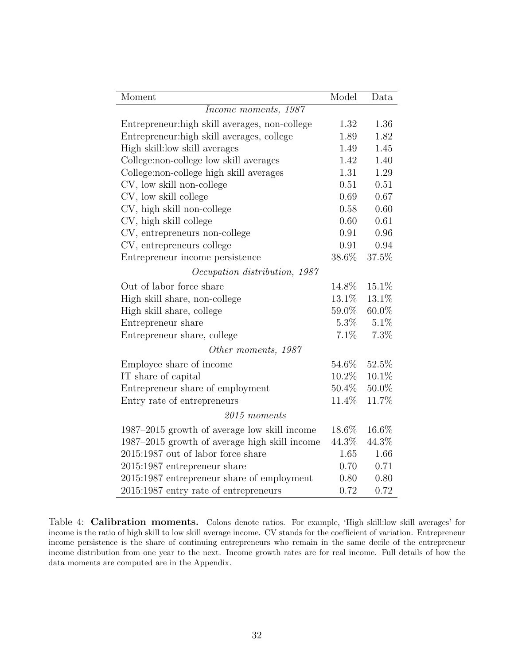<span id="page-32-0"></span>

| Moment                                         | Model    | Data     |
|------------------------------------------------|----------|----------|
| Income moments, 1987                           |          |          |
| Entrepreneur: high skill averages, non-college | 1.32     | 1.36     |
| Entrepreneur: high skill averages, college     | 1.89     | 1.82     |
| High skill: low skill averages                 | 1.49     | 1.45     |
| College:non-college low skill averages         | 1.42     | 1.40     |
| College:non-college high skill averages        | 1.31     | 1.29     |
| CV, low skill non-college                      | 0.51     | 0.51     |
| CV, low skill college                          | 0.69     | 0.67     |
| CV, high skill non-college                     | 0.58     | 0.60     |
| CV, high skill college                         | 0.60     | 0.61     |
| CV, entrepreneurs non-college                  | 0.91     | 0.96     |
| CV, entrepreneurs college                      | 0.91     | 0.94     |
| Entrepreneur income persistence                | $38.6\%$ | 37.5%    |
| Occupation distribution, 1987                  |          |          |
| Out of labor force share                       | 14.8%    | 15.1%    |
| High skill share, non-college                  | 13.1%    | $13.1\%$ |
| High skill share, college                      | 59.0%    | 60.0%    |
| Entrepreneur share                             | $5.3\%$  | 5.1%     |
| Entrepreneur share, college                    | 7.1%     | 7.3%     |
| Other moments, 1987                            |          |          |
| Employee share of income                       | 54.6%    | 52.5%    |
| IT share of capital                            | 10.2%    | 10.1%    |
| Entrepreneur share of employment               | 50.4%    | 50.0%    |
| Entry rate of entrepreneurs                    | 11.4%    | 11.7%    |
| $2015$ moments                                 |          |          |
| 1987–2015 growth of average low skill income   | 18.6%    | 16.6%    |
| 1987–2015 growth of average high skill income  | 44.3%    | 44.3%    |
| 2015:1987 out of labor force share             | 1.65     | 1.66     |
| 2015:1987 entrepreneur share                   | 0.70     | 0.71     |
| 2015:1987 entrepreneur share of employment     | 0.80     | 0.80     |
| 2015:1987 entry rate of entrepreneurs          | 0.72     | 0.72     |

Table 4: Calibration moments. Colons denote ratios. For example, 'High skill:low skill averages' for income is the ratio of high skill to low skill average income. CV stands for the coefficient of variation. Entrepreneur income persistence is the share of continuing entrepreneurs who remain in the same decile of the entrepreneur income distribution from one year to the next. Income growth rates are for real income. Full details of how the data moments are computed are in the Appendix.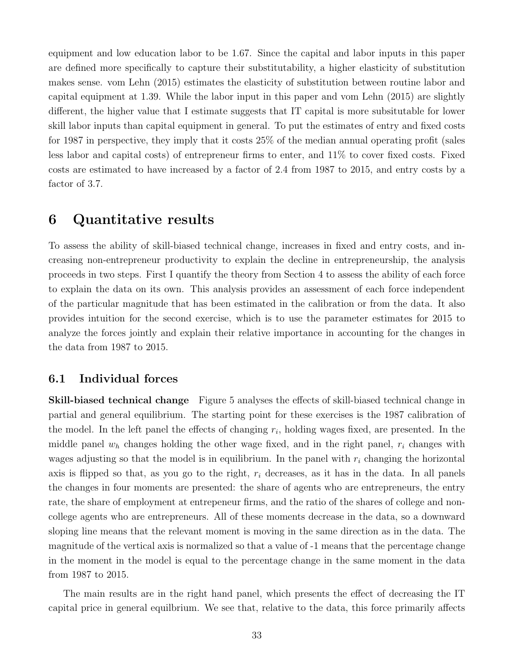equipment and low education labor to be 1.67. Since the capital and labor inputs in this paper are defined more specifically to capture their substitutability, a higher elasticity of substitution makes sense. [vom Lehn](#page-51-5) [\(2015\)](#page-51-5) estimates the elasticity of substitution between routine labor and capital equipment at 1.39. While the labor input in this paper and [vom Lehn](#page-51-5) [\(2015\)](#page-51-5) are slightly different, the higher value that I estimate suggests that IT capital is more subsitutable for lower skill labor inputs than capital equipment in general. To put the estimates of entry and fixed costs for 1987 in perspective, they imply that it costs 25% of the median annual operating profit (sales less labor and capital costs) of entrepreneur firms to enter, and 11% to cover fixed costs. Fixed costs are estimated to have increased by a factor of 2.4 from 1987 to 2015, and entry costs by a factor of 3.7.

## <span id="page-33-0"></span>6 Quantitative results

To assess the ability of skill-biased technical change, increases in fixed and entry costs, and increasing non-entrepreneur productivity to explain the decline in entrepreneurship, the analysis proceeds in two steps. First I quantify the theory from Section [4](#page-17-0) to assess the ability of each force to explain the data on its own. This analysis provides an assessment of each force independent of the particular magnitude that has been estimated in the calibration or from the data. It also provides intuition for the second exercise, which is to use the parameter estimates for 2015 to analyze the forces jointly and explain their relative importance in accounting for the changes in the data from 1987 to 2015.

### 6.1 Individual forces

Skill-biased technical change Figure [5](#page-34-0) analyses the effects of skill-biased technical change in partial and general equilibrium. The starting point for these exercises is the 1987 calibration of the model. In the left panel the effects of changing  $r_i$ , holding wages fixed, are presented. In the middle panel  $w_h$  changes holding the other wage fixed, and in the right panel,  $r_i$  changes with wages adjusting so that the model is in equilibrium. In the panel with  $r_i$  changing the horizontal axis is flipped so that, as you go to the right,  $r_i$  decreases, as it has in the data. In all panels the changes in four moments are presented: the share of agents who are entrepreneurs, the entry rate, the share of employment at entrepeneur firms, and the ratio of the shares of college and noncollege agents who are entrepreneurs. All of these moments decrease in the data, so a downward sloping line means that the relevant moment is moving in the same direction as in the data. The magnitude of the vertical axis is normalized so that a value of -1 means that the percentage change in the moment in the model is equal to the percentage change in the same moment in the data from 1987 to 2015.

The main results are in the right hand panel, which presents the effect of decreasing the IT capital price in general equilbrium. We see that, relative to the data, this force primarily affects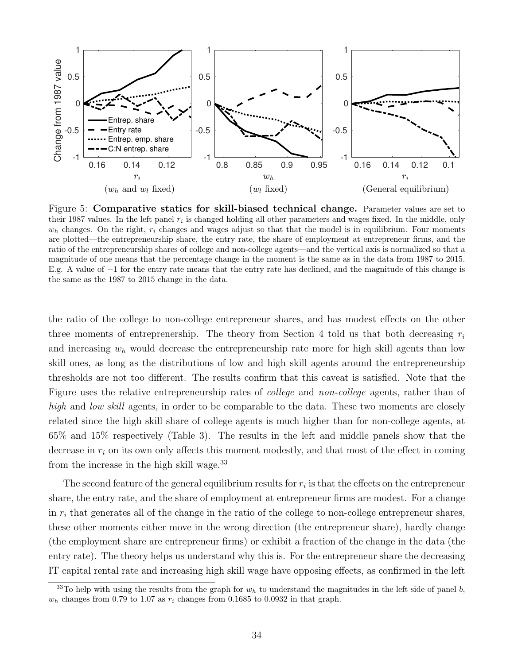<span id="page-34-0"></span>

Figure 5: Comparative statics for skill-biased technical change. Parameter values are set to their 1987 values. In the left panel  $r_i$  is changed holding all other parameters and wages fixed. In the middle, only  $w<sub>h</sub>$  changes. On the right,  $r<sub>i</sub>$  changes and wages adjust so that that the model is in equilibrium. Four moments are plotted—the entrepreneurship share, the entry rate, the share of employment at entrepreneur firms, and the ratio of the entrepreneurship shares of college and non-college agents—and the vertical axis is normalized so that a magnitude of one means that the percentage change in the moment is the same as in the data from 1987 to 2015. E.g. A value of −1 for the entry rate means that the entry rate has declined, and the magnitude of this change is the same as the 1987 to 2015 change in the data.

the ratio of the college to non-college entrepreneur shares, and has modest effects on the other three moments of entreprenership. The theory from Section [4](#page-17-0) told us that both decreasing  $r_i$ and increasing  $w<sub>h</sub>$  would decrease the entrepreneurship rate more for high skill agents than low skill ones, as long as the distributions of low and high skill agents around the entrepreneurship thresholds are not too different. The results confirm that this caveat is satisfied. Note that the Figure uses the relative entrepreneurship rates of college and non-college agents, rather than of high and low skill agents, in order to be comparable to the data. These two moments are closely related since the high skill share of college agents is much higher than for non-college agents, at 65% and 15% respectively (Table [3\)](#page-31-0). The results in the left and middle panels show that the decrease in  $r_i$  on its own only affects this moment modestly, and that most of the effect in coming from the increase in the high skill wage.<sup>[33](#page-34-1)</sup>

The second feature of the general equilibrium results for  $r_i$  is that the effects on the entrepreneur share, the entry rate, and the share of employment at entrepreneur firms are modest. For a change in  $r_i$  that generates all of the change in the ratio of the college to non-college entrepreneur shares, these other moments either move in the wrong direction (the entrepreneur share), hardly change (the employment share are entrepreneur firms) or exhibit a fraction of the change in the data (the entry rate). The theory helps us understand why this is. For the entrepreneur share the decreasing IT capital rental rate and increasing high skill wage have opposing effects, as confirmed in the left

<span id="page-34-1"></span><sup>&</sup>lt;sup>33</sup>To help with using the results from the graph for  $w<sub>h</sub>$  to understand the magnitudes in the left side of panel b,  $w<sub>h</sub>$  changes from 0.79 to 1.07 as  $r<sub>i</sub>$  changes from 0.1685 to 0.0932 in that graph.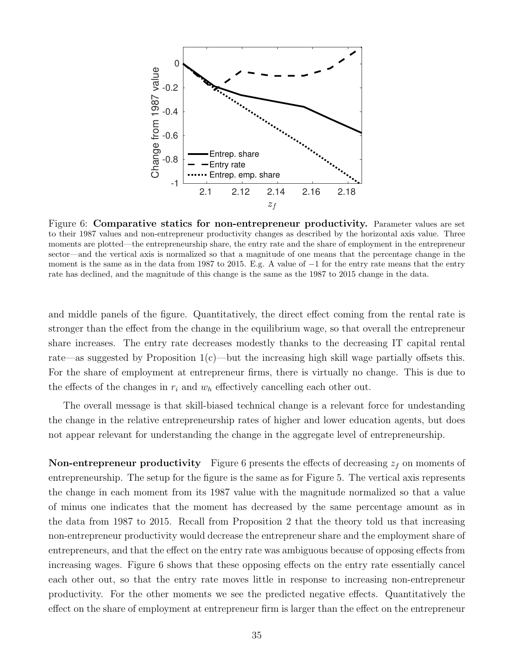<span id="page-35-0"></span>

Figure 6: Comparative statics for non-entrepreneur productivity. Parameter values are set to their 1987 values and non-entrepreneur productivity changes as described by the horizontal axis value. Three moments are plotted—the entrepreneurship share, the entry rate and the share of employment in the entrepreneur sector—and the vertical axis is normalized so that a magnitude of one means that the percentage change in the moment is the same as in the data from 1987 to 2015. E.g. A value of  $-1$  for the entry rate means that the entry rate has declined, and the magnitude of this change is the same as the 1987 to 2015 change in the data.

and middle panels of the figure. Quantitatively, the direct effect coming from the rental rate is stronger than the effect from the change in the equilibrium wage, so that overall the entrepreneur share increases. The entry rate decreases modestly thanks to the decreasing IT capital rental rate—as suggested by Proposition  $1(c)$  $1(c)$ —but the increasing high skill wage partially offsets this. For the share of employment at entrepreneur firms, there is virtually no change. This is due to the effects of the changes in  $r_i$  and  $w_h$  effectively cancelling each other out.

The overall message is that skill-biased technical change is a relevant force for undestanding the change in the relative entrepreneurship rates of higher and lower education agents, but does not appear relevant for understanding the change in the aggregate level of entrepreneurship.

**Non-entrepreneur productivity** Figure [6](#page-35-0) presents the effects of decreasing  $z_f$  on moments of entrepreneurship. The setup for the figure is the same as for Figure [5.](#page-34-0) The vertical axis represents the change in each moment from its 1987 value with the magnitude normalized so that a value of minus one indicates that the moment has decreased by the same percentage amount as in the data from 1987 to 2015. Recall from Proposition [2](#page-21-0) that the theory told us that increasing non-entrepreneur productivity would decrease the entrepreneur share and the employment share of entrepreneurs, and that the effect on the entry rate was ambiguous because of opposing effects from increasing wages. Figure [6](#page-35-0) shows that these opposing effects on the entry rate essentially cancel each other out, so that the entry rate moves little in response to increasing non-entrepreneur productivity. For the other moments we see the predicted negative effects. Quantitatively the effect on the share of employment at entrepreneur firm is larger than the effect on the entrepreneur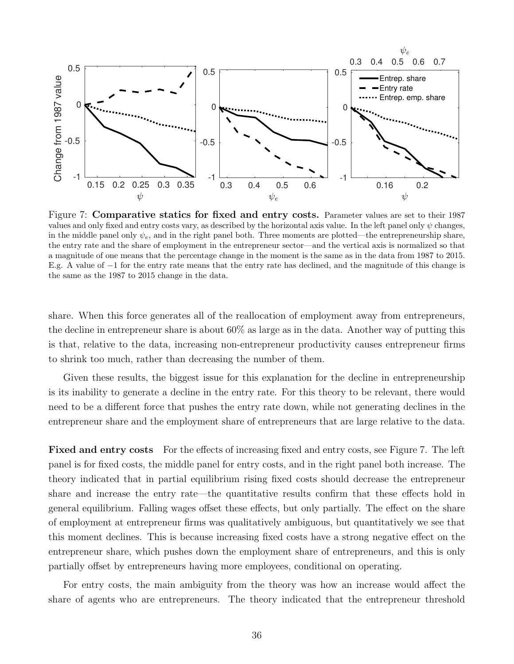<span id="page-36-0"></span>

Figure 7: Comparative statics for fixed and entry costs. Parameter values are set to their 1987 values and only fixed and entry costs vary, as described by the horizontal axis value. In the left panel only  $\psi$  changes, in the middle panel only  $\psi_e$ , and in the right panel both. Three moments are plotted—the entrepreneurship share, the entry rate and the share of employment in the entrepreneur sector—and the vertical axis is normalized so that a magnitude of one means that the percentage change in the moment is the same as in the data from 1987 to 2015. E.g. A value of −1 for the entry rate means that the entry rate has declined, and the magnitude of this change is the same as the 1987 to 2015 change in the data.

share. When this force generates all of the reallocation of employment away from entrepreneurs, the decline in entrepreneur share is about 60% as large as in the data. Another way of putting this is that, relative to the data, increasing non-entrepreneur productivity causes entrepreneur firms to shrink too much, rather than decreasing the number of them.

Given these results, the biggest issue for this explanation for the decline in entrepreneurship is its inability to generate a decline in the entry rate. For this theory to be relevant, there would need to be a different force that pushes the entry rate down, while not generating declines in the entrepreneur share and the employment share of entrepreneurs that are large relative to the data.

Fixed and entry costs For the effects of increasing fixed and entry costs, see Figure [7.](#page-36-0) The left panel is for fixed costs, the middle panel for entry costs, and in the right panel both increase. The theory indicated that in partial equilibrium rising fixed costs should decrease the entrepreneur share and increase the entry rate—the quantitative results confirm that these effects hold in general equilibrium. Falling wages offset these effects, but only partially. The effect on the share of employment at entrepreneur firms was qualitatively ambiguous, but quantitatively we see that this moment declines. This is because increasing fixed costs have a strong negative effect on the entrepreneur share, which pushes down the employment share of entrepreneurs, and this is only partially offset by entrepreneurs having more employees, conditional on operating.

For entry costs, the main ambiguity from the theory was how an increase would affect the share of agents who are entrepreneurs. The theory indicated that the entrepreneur threshold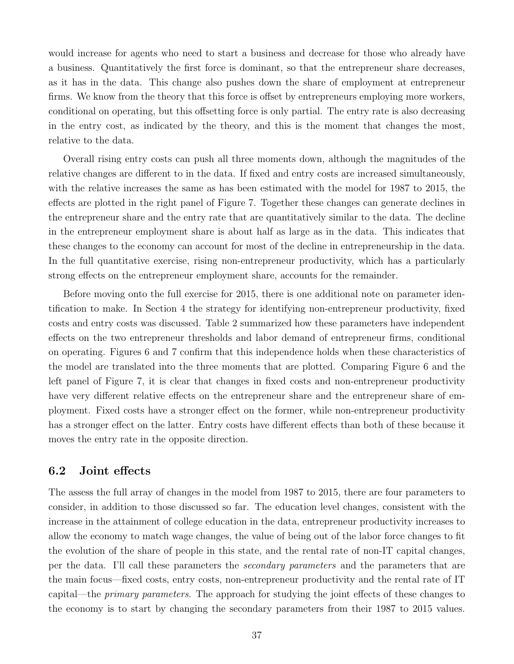would increase for agents who need to start a business and decrease for those who already have a business. Quantitatively the first force is dominant, so that the entrepreneur share decreases, as it has in the data. This change also pushes down the share of employment at entrepreneur firms. We know from the theory that this force is offset by entrepreneurs employing more workers, conditional on operating, but this offsetting force is only partial. The entry rate is also decreasing in the entry cost, as indicated by the theory, and this is the moment that changes the most, relative to the data.

Overall rising entry costs can push all three moments down, although the magnitudes of the relative changes are different to in the data. If fixed and entry costs are increased simultaneously, with the relative increases the same as has been estimated with the model for 1987 to 2015, the effects are plotted in the right panel of Figure 7. Together these changes can generate declines in the entrepreneur share and the entry rate that are quantitatively similar to the data. The decline in the entrepreneur employment share is about half as large as in the data. This indicates that these changes to the economy can account for most of the decline in entrepreneurship in the data. In the full quantitative exercise, rising non-entrepreneur productivity, which has a particularly strong effects on the entrepreneur employment share, accounts for the remainder.

Before moving onto the full exercise for 2015, there is one additional note on parameter identification to make. In Section [4](#page-17-0) the strategy for identifying non-entrepreneur productivity, fixed costs and entry costs was discussed. Table [2](#page-24-0) summarized how these parameters have independent effects on the two entrepreneur thresholds and labor demand of entrepreneur firms, conditional on operating. Figures [6](#page-35-0) and [7](#page-36-0) confirm that this independence holds when these characteristics of the model are translated into the three moments that are plotted. Comparing Figure [6](#page-35-0) and the left panel of Figure [7,](#page-36-0) it is clear that changes in fixed costs and non-entrepreneur productivity have very different relative effects on the entrepreneur share and the entrepreneur share of employment. Fixed costs have a stronger effect on the former, while non-entrepreneur productivity has a stronger effect on the latter. Entry costs have different effects than both of these because it moves the entry rate in the opposite direction.

### 6.2 Joint effects

The assess the full array of changes in the model from 1987 to 2015, there are four parameters to consider, in addition to those discussed so far. The education level changes, consistent with the increase in the attainment of college education in the data, entrepreneur productivity increases to allow the economy to match wage changes, the value of being out of the labor force changes to fit the evolution of the share of people in this state, and the rental rate of non-IT capital changes, per the data. I'll call these parameters the secondary parameters and the parameters that are the main focus—fixed costs, entry costs, non-entrepreneur productivity and the rental rate of IT capital—the primary parameters. The approach for studying the joint effects of these changes to the economy is to start by changing the secondary parameters from their 1987 to 2015 values.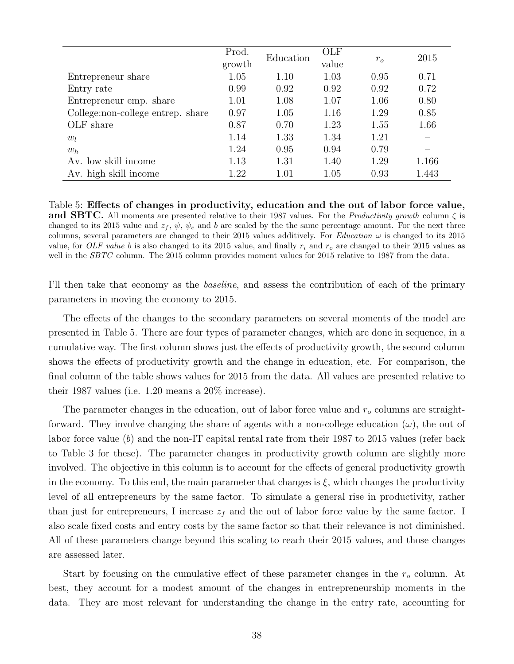<span id="page-38-0"></span>

|                                   | Prod.  | Education | <b>OLF</b> | $r_{o}$ | 2015  |
|-----------------------------------|--------|-----------|------------|---------|-------|
|                                   | growth |           | value      |         |       |
| Entrepreneur share                | 1.05   | 1.10      | 1.03       | 0.95    | 0.71  |
| Entry rate                        | 0.99   | 0.92      | 0.92       | 0.92    | 0.72  |
| Entrepreneur emp. share           | 1.01   | 1.08      | 1.07       | 1.06    | 0.80  |
| College:non-college entrep. share | 0.97   | 1.05      | 1.16       | 1.29    | 0.85  |
| OLF share                         | 0.87   | 0.70      | 1.23       | 1.55    | 1.66  |
| $w_l$                             | 1.14   | 1.33      | 1.34       | 1.21    |       |
| $w_h$                             | 1.24   | 0.95      | 0.94       | 0.79    |       |
| Av. low skill income              | 1.13   | 1.31      | 1.40       | 1.29    | 1.166 |
| Av. high skill income             | 1.22   | 1.01      | 1.05       | 0.93    | 1.443 |

Table 5: Effects of changes in productivity, education and the out of labor force value, **and SBTC.** All moments are presented relative to their 1987 values. For the *Productivity growth* column  $\zeta$  is changed to its 2015 value and  $z_f$ ,  $\psi$ ,  $\psi_e$  and b are scaled by the the same percentage amount. For the next three columns, several parameters are changed to their 2015 values additively. For Education  $\omega$  is changed to its 2015 value, for OLF value b is also changed to its 2015 value, and finally  $r_i$  and  $r_o$  are changed to their 2015 values as well in the *SBTC* column. The 2015 column provides moment values for 2015 relative to 1987 from the data.

I'll then take that economy as the baseline, and assess the contribution of each of the primary parameters in moving the economy to 2015.

The effects of the changes to the secondary parameters on several moments of the model are presented in Table [5.](#page-38-0) There are four types of parameter changes, which are done in sequence, in a cumulative way. The first column shows just the effects of productivity growth, the second column shows the effects of productivity growth and the change in education, etc. For comparison, the final column of the table shows values for 2015 from the data. All values are presented relative to their 1987 values (i.e. 1.20 means a 20% increase).

The parameter changes in the education, out of labor force value and  $r<sub>o</sub>$  columns are straightforward. They involve changing the share of agents with a non-college education  $(\omega)$ , the out of labor force value (b) and the non-IT capital rental rate from their 1987 to 2015 values (refer back to Table [3](#page-31-0) for these). The parameter changes in productivity growth column are slightly more involved. The objective in this column is to account for the effects of general productivity growth in the economy. To this end, the main parameter that changes is  $\xi$ , which changes the productivity level of all entrepreneurs by the same factor. To simulate a general rise in productivity, rather than just for entrepreneurs, I increase  $z_f$  and the out of labor force value by the same factor. I also scale fixed costs and entry costs by the same factor so that their relevance is not diminished. All of these parameters change beyond this scaling to reach their 2015 values, and those changes are assessed later.

Start by focusing on the cumulative effect of these parameter changes in the  $r<sub>o</sub>$  column. At best, they account for a modest amount of the changes in entrepreneurship moments in the data. They are most relevant for understanding the change in the entry rate, accounting for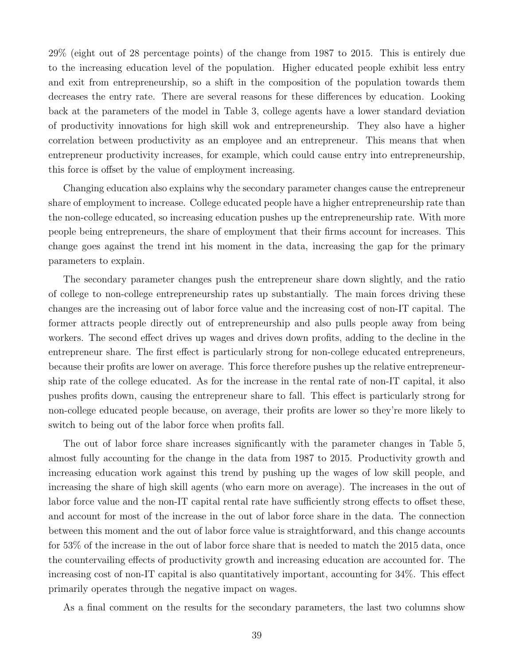29% (eight out of 28 percentage points) of the change from 1987 to 2015. This is entirely due to the increasing education level of the population. Higher educated people exhibit less entry and exit from entrepreneurship, so a shift in the composition of the population towards them decreases the entry rate. There are several reasons for these differences by education. Looking back at the parameters of the model in Table [3,](#page-31-0) college agents have a lower standard deviation of productivity innovations for high skill wok and entrepreneurship. They also have a higher correlation between productivity as an employee and an entrepreneur. This means that when entrepreneur productivity increases, for example, which could cause entry into entrepreneurship, this force is offset by the value of employment increasing.

Changing education also explains why the secondary parameter changes cause the entrepreneur share of employment to increase. College educated people have a higher entrepreneurship rate than the non-college educated, so increasing education pushes up the entrepreneurship rate. With more people being entrepreneurs, the share of employment that their firms account for increases. This change goes against the trend int his moment in the data, increasing the gap for the primary parameters to explain.

The secondary parameter changes push the entrepreneur share down slightly, and the ratio of college to non-college entrepreneurship rates up substantially. The main forces driving these changes are the increasing out of labor force value and the increasing cost of non-IT capital. The former attracts people directly out of entrepreneurship and also pulls people away from being workers. The second effect drives up wages and drives down profits, adding to the decline in the entrepreneur share. The first effect is particularly strong for non-college educated entrepreneurs, because their profits are lower on average. This force therefore pushes up the relative entrepreneurship rate of the college educated. As for the increase in the rental rate of non-IT capital, it also pushes profits down, causing the entrepreneur share to fall. This effect is particularly strong for non-college educated people because, on average, their profits are lower so they're more likely to switch to being out of the labor force when profits fall.

The out of labor force share increases significantly with the parameter changes in Table [5,](#page-38-0) almost fully accounting for the change in the data from 1987 to 2015. Productivity growth and increasing education work against this trend by pushing up the wages of low skill people, and increasing the share of high skill agents (who earn more on average). The increases in the out of labor force value and the non-IT capital rental rate have sufficiently strong effects to offset these, and account for most of the increase in the out of labor force share in the data. The connection between this moment and the out of labor force value is straightforward, and this change accounts for 53% of the increase in the out of labor force share that is needed to match the 2015 data, once the countervailing effects of productivity growth and increasing education are accounted for. The increasing cost of non-IT capital is also quantitatively important, accounting for 34%. This effect primarily operates through the negative impact on wages.

As a final comment on the results for the secondary parameters, the last two columns show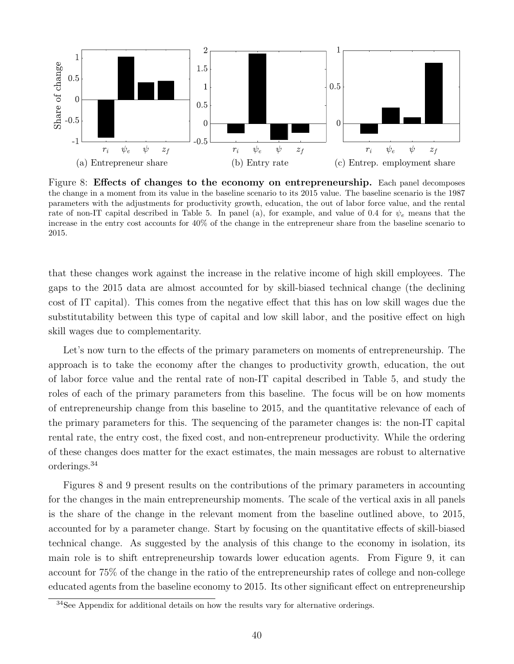<span id="page-40-1"></span>

Figure 8: Effects of changes to the economy on entrepreneurship. Each panel decomposes the change in a moment from its value in the baseline scenario to its 2015 value. The baseline scenario is the 1987 parameters with the adjustments for productivity growth, education, the out of labor force value, and the rental rate of non-IT capital described in Table [5.](#page-38-0) In panel (a), for example, and value of 0.4 for  $\psi_e$  means that the increase in the entry cost accounts for 40% of the change in the entrepreneur share from the baseline scenario to 2015.

that these changes work against the increase in the relative income of high skill employees. The gaps to the 2015 data are almost accounted for by skill-biased technical change (the declining cost of IT capital). This comes from the negative effect that this has on low skill wages due the substitutability between this type of capital and low skill labor, and the positive effect on high skill wages due to complementarity.

Let's now turn to the effects of the primary parameters on moments of entrepreneurship. The approach is to take the economy after the changes to productivity growth, education, the out of labor force value and the rental rate of non-IT capital described in Table [5,](#page-38-0) and study the roles of each of the primary parameters from this baseline. The focus will be on how moments of entrepreneurship change from this baseline to 2015, and the quantitative relevance of each of the primary parameters for this. The sequencing of the parameter changes is: the non-IT capital rental rate, the entry cost, the fixed cost, and non-entrepreneur productivity. While the ordering of these changes does matter for the exact estimates, the main messages are robust to alternative orderings.[34](#page-40-0)

Figures [8](#page-40-1) and [9](#page-41-0) present results on the contributions of the primary parameters in accounting for the changes in the main entrepreneurship moments. The scale of the vertical axis in all panels is the share of the change in the relevant moment from the baseline outlined above, to 2015, accounted for by a parameter change. Start by focusing on the quantitative effects of skill-biased technical change. As suggested by the analysis of this change to the economy in isolation, its main role is to shift entrepreneurship towards lower education agents. From Figure [9,](#page-41-0) it can account for 75% of the change in the ratio of the entrepreneurship rates of college and non-college educated agents from the baseline economy to 2015. Its other significant effect on entrepreneurship

<span id="page-40-0"></span><sup>&</sup>lt;sup>34</sup>See Appendix for additional details on how the results vary for alternative orderings.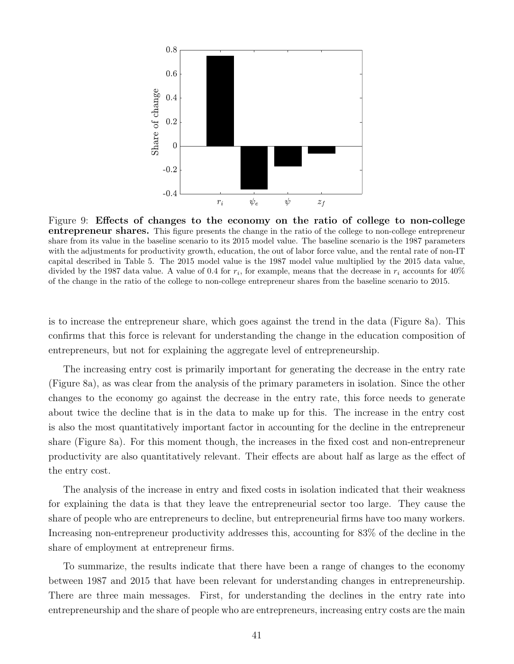<span id="page-41-0"></span>

Figure 9: Effects of changes to the economy on the ratio of college to non-college entrepreneur shares. This figure presents the change in the ratio of the college to non-college entrepreneur share from its value in the baseline scenario to its 2015 model value. The baseline scenario is the 1987 parameters with the adjustments for productivity growth, education, the out of labor force value, and the rental rate of non-IT capital described in Table [5.](#page-38-0) The 2015 model value is the 1987 model value multiplied by the 2015 data value, divided by the 1987 data value. A value of 0.4 for  $r_i$ , for example, means that the decrease in  $r_i$  accounts for  $40\%$ of the change in the ratio of the college to non-college entrepreneur shares from the baseline scenario to 2015.

is to increase the entrepreneur share, which goes against the trend in the data (Figure [8a](#page-40-1)). This confirms that this force is relevant for understanding the change in the education composition of entrepreneurs, but not for explaining the aggregate level of entrepreneurship.

The increasing entry cost is primarily important for generating the decrease in the entry rate (Figure [8a](#page-40-1)), as was clear from the analysis of the primary parameters in isolation. Since the other changes to the economy go against the decrease in the entry rate, this force needs to generate about twice the decline that is in the data to make up for this. The increase in the entry cost is also the most quantitatively important factor in accounting for the decline in the entrepreneur share (Figure [8a](#page-40-1)). For this moment though, the increases in the fixed cost and non-entrepreneur productivity are also quantitatively relevant. Their effects are about half as large as the effect of the entry cost.

The analysis of the increase in entry and fixed costs in isolation indicated that their weakness for explaining the data is that they leave the entrepreneurial sector too large. They cause the share of people who are entrepreneurs to decline, but entrepreneurial firms have too many workers. Increasing non-entrepreneur productivity addresses this, accounting for 83% of the decline in the share of employment at entrepreneur firms.

To summarize, the results indicate that there have been a range of changes to the economy between 1987 and 2015 that have been relevant for understanding changes in entrepreneurship. There are three main messages. First, for understanding the declines in the entry rate into entrepreneurship and the share of people who are entrepreneurs, increasing entry costs are the main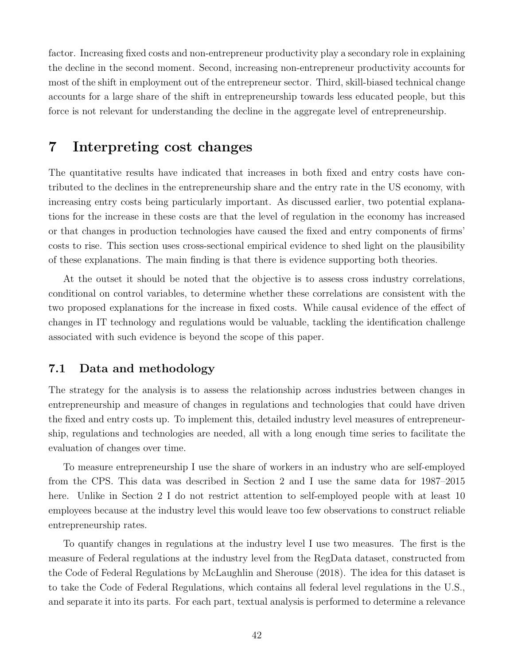factor. Increasing fixed costs and non-entrepreneur productivity play a secondary role in explaining the decline in the second moment. Second, increasing non-entrepreneur productivity accounts for most of the shift in employment out of the entrepreneur sector. Third, skill-biased technical change accounts for a large share of the shift in entrepreneurship towards less educated people, but this force is not relevant for understanding the decline in the aggregate level of entrepreneurship.

### <span id="page-42-0"></span>7 Interpreting cost changes

The quantitative results have indicated that increases in both fixed and entry costs have contributed to the declines in the entrepreneurship share and the entry rate in the US economy, with increasing entry costs being particularly important. As discussed earlier, two potential explanations for the increase in these costs are that the level of regulation in the economy has increased or that changes in production technologies have caused the fixed and entry components of firms' costs to rise. This section uses cross-sectional empirical evidence to shed light on the plausibility of these explanations. The main finding is that there is evidence supporting both theories.

At the outset it should be noted that the objective is to assess cross industry correlations, conditional on control variables, to determine whether these correlations are consistent with the two proposed explanations for the increase in fixed costs. While causal evidence of the effect of changes in IT technology and regulations would be valuable, tackling the identification challenge associated with such evidence is beyond the scope of this paper.

### 7.1 Data and methodology

The strategy for the analysis is to assess the relationship across industries between changes in entrepreneurship and measure of changes in regulations and technologies that could have driven the fixed and entry costs up. To implement this, detailed industry level measures of entrepreneurship, regulations and technologies are needed, all with a long enough time series to facilitate the evaluation of changes over time.

To measure entrepreneurship I use the share of workers in an industry who are self-employed from the CPS. This data was described in Section [2](#page-6-0) and I use the same data for 1987–2015 here. Unlike in Section [2](#page-6-0) I do not restrict attention to self-employed people with at least 10 employees because at the industry level this would leave too few observations to construct reliable entrepreneurship rates.

To quantify changes in regulations at the industry level I use two measures. The first is the measure of Federal regulations at the industry level from the RegData dataset, constructed from the Code of Federal Regulations by [McLaughlin and Sherouse](#page-50-15) [\(2018\)](#page-50-15). The idea for this dataset is to take the Code of Federal Regulations, which contains all federal level regulations in the U.S., and separate it into its parts. For each part, textual analysis is performed to determine a relevance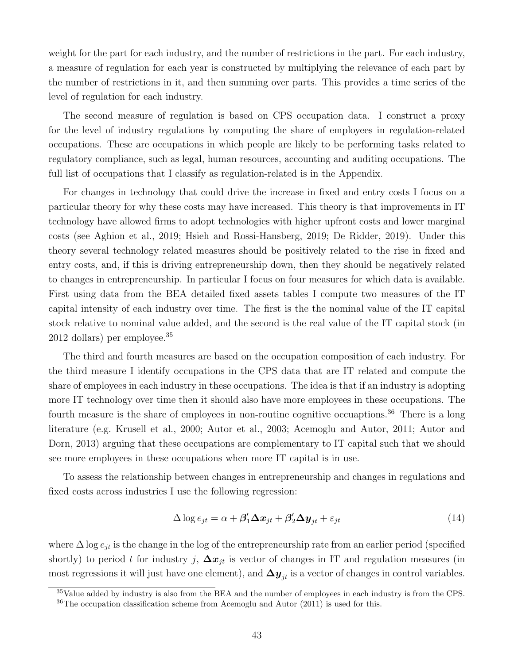weight for the part for each industry, and the number of restrictions in the part. For each industry, a measure of regulation for each year is constructed by multiplying the relevance of each part by the number of restrictions in it, and then summing over parts. This provides a time series of the level of regulation for each industry.

The second measure of regulation is based on CPS occupation data. I construct a proxy for the level of industry regulations by computing the share of employees in regulation-related occupations. These are occupations in which people are likely to be performing tasks related to regulatory compliance, such as legal, human resources, accounting and auditing occupations. The full list of occupations that I classify as regulation-related is in the Appendix.

For changes in technology that could drive the increase in fixed and entry costs I focus on a particular theory for why these costs may have increased. This theory is that improvements in IT technology have allowed firms to adopt technologies with higher upfront costs and lower marginal costs (see [Aghion et al.,](#page-48-6) [2019;](#page-48-6) [Hsieh and Rossi-Hansberg,](#page-50-2) [2019;](#page-50-2) [De Ridder,](#page-49-4) [2019\)](#page-49-4). Under this theory several technology related measures should be positively related to the rise in fixed and entry costs, and, if this is driving entrepreneurship down, then they should be negatively related to changes in entrepreneurship. In particular I focus on four measures for which data is available. First using data from the BEA detailed fixed assets tables I compute two measures of the IT capital intensity of each industry over time. The first is the the nominal value of the IT capital stock relative to nominal value added, and the second is the real value of the IT capital stock (in 2012 dollars) per employee.[35](#page-43-0)

The third and fourth measures are based on the occupation composition of each industry. For the third measure I identify occupations in the CPS data that are IT related and compute the share of employees in each industry in these occupations. The idea is that if an industry is adopting more IT technology over time then it should also have more employees in these occupations. The fourth measure is the share of employees in non-routine cognitive occuaptions.<sup>[36](#page-43-1)</sup> There is a long literature (e.g. [Krusell et al.,](#page-50-5) [2000;](#page-50-5) [Autor et al.,](#page-48-8) [2003;](#page-48-8) [Acemoglu and Autor,](#page-48-9) [2011;](#page-48-9) [Autor and](#page-48-10) [Dorn,](#page-48-10) [2013\)](#page-48-10) arguing that these occupations are complementary to IT capital such that we should see more employees in these occupations when more IT capital is in use.

To assess the relationship between changes in entrepreneurship and changes in regulations and fixed costs across industries I use the following regression:

<span id="page-43-2"></span>
$$
\Delta \log e_{jt} = \alpha + \beta_1' \Delta x_{jt} + \beta_2' \Delta y_{jt} + \varepsilon_{jt}
$$
\n(14)

where  $\Delta \log e_{it}$  is the change in the log of the entrepreneurship rate from an earlier period (specified shortly) to period t for industry j,  $\Delta x_{jt}$  is vector of changes in IT and regulation measures (in most regressions it will just have one element), and  $\Delta y_{it}$  is a vector of changes in control variables.

<span id="page-43-0"></span><sup>35</sup>Value added by industry is also from the BEA and the number of employees in each industry is from the CPS.

<span id="page-43-1"></span> $36$ The occupation classification scheme from [Acemoglu and Autor](#page-48-9) [\(2011\)](#page-48-9) is used for this.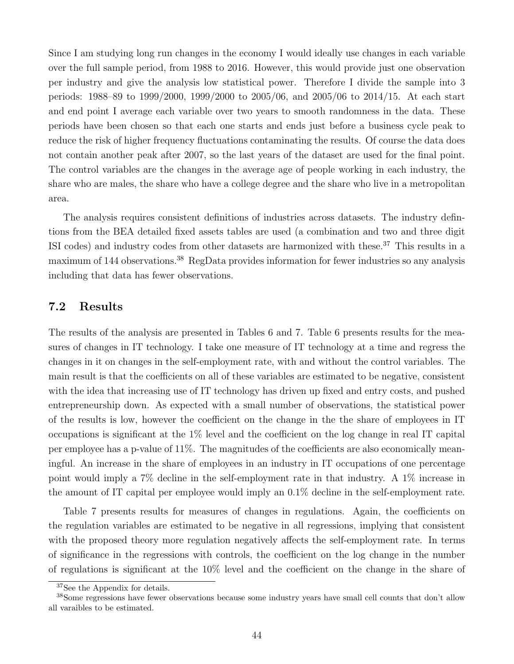Since I am studying long run changes in the economy I would ideally use changes in each variable over the full sample period, from 1988 to 2016. However, this would provide just one observation per industry and give the analysis low statistical power. Therefore I divide the sample into 3 periods: 1988–89 to 1999/2000, 1999/2000 to 2005/06, and 2005/06 to 2014/15. At each start and end point I average each variable over two years to smooth randomness in the data. These periods have been chosen so that each one starts and ends just before a business cycle peak to reduce the risk of higher frequency fluctuations contaminating the results. Of course the data does not contain another peak after 2007, so the last years of the dataset are used for the final point. The control variables are the changes in the average age of people working in each industry, the share who are males, the share who have a college degree and the share who live in a metropolitan area.

The analysis requires consistent definitions of industries across datasets. The industry defintions from the BEA detailed fixed assets tables are used (a combination and two and three digit ISI codes) and industry codes from other datasets are harmonized with these.<sup>[37](#page-44-0)</sup> This results in a maximum of 144 observations.<sup>[38](#page-44-1)</sup> RegData provides information for fewer industries so any analysis including that data has fewer observations.

### 7.2 Results

The results of the analysis are presented in Tables [6](#page-45-0) and [7.](#page-46-1) Table [6](#page-45-0) presents results for the measures of changes in IT technology. I take one measure of IT technology at a time and regress the changes in it on changes in the self-employment rate, with and without the control variables. The main result is that the coefficients on all of these variables are estimated to be negative, consistent with the idea that increasing use of IT technology has driven up fixed and entry costs, and pushed entrepreneurship down. As expected with a small number of observations, the statistical power of the results is low, however the coefficient on the change in the the share of employees in IT occupations is significant at the 1% level and the coefficient on the log change in real IT capital per employee has a p-value of 11%. The magnitudes of the coefficients are also economically meaningful. An increase in the share of employees in an industry in IT occupations of one percentage point would imply a 7% decline in the self-employment rate in that industry. A 1% increase in the amount of IT capital per employee would imply an 0.1% decline in the self-employment rate.

Table [7](#page-46-1) presents results for measures of changes in regulations. Again, the coefficients on the regulation variables are estimated to be negative in all regressions, implying that consistent with the proposed theory more regulation negatively affects the self-employment rate. In terms of significance in the regressions with controls, the coefficient on the log change in the number of regulations is significant at the 10% level and the coefficient on the change in the share of

<span id="page-44-1"></span><span id="page-44-0"></span><sup>37</sup>See the Appendix for details.

<sup>&</sup>lt;sup>38</sup>Some regressions have fewer observations because some industry years have small cell counts that don't allow all varaibles to be estimated.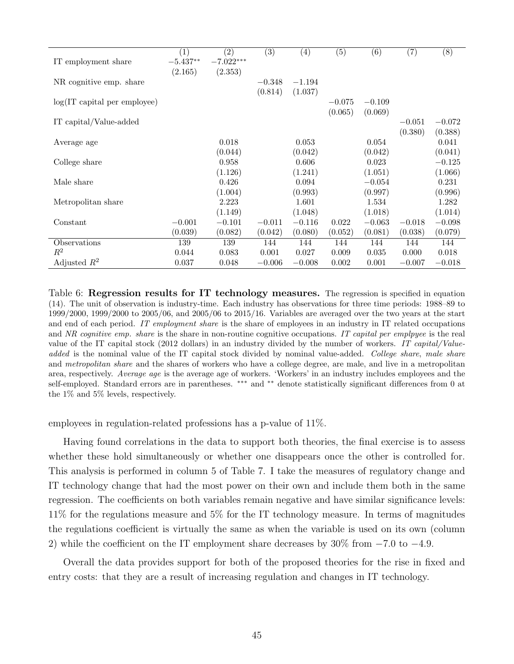<span id="page-45-0"></span>

|                                 | (1)        | (2)         | (3)      | (4)      | $\overline{(5)}$ | (6)      | (7)      | $\overline{(8)}$ |
|---------------------------------|------------|-------------|----------|----------|------------------|----------|----------|------------------|
| IT employment share             | $-5.437**$ | $-7.022***$ |          |          |                  |          |          |                  |
|                                 | (2.165)    | (2.353)     |          |          |                  |          |          |                  |
| NR cognitive emp. share         |            |             | $-0.348$ | $-1.194$ |                  |          |          |                  |
|                                 |            |             | (0.814)  | (1.037)  |                  |          |          |                  |
| $log(IT)$ capital per employee) |            |             |          |          | $-0.075$         | $-0.109$ |          |                  |
|                                 |            |             |          |          | (0.065)          | (0.069)  |          |                  |
| IT capital/Value-added          |            |             |          |          |                  |          | $-0.051$ | $-0.072$         |
|                                 |            |             |          |          |                  |          | (0.380)  | (0.388)          |
| Average age                     |            | 0.018       |          | 0.053    |                  | 0.054    |          | 0.041            |
|                                 |            | (0.044)     |          | (0.042)  |                  | (0.042)  |          | (0.041)          |
| College share                   |            | 0.958       |          | 0.606    |                  | 0.023    |          | $-0.125$         |
|                                 |            | (1.126)     |          | (1.241)  |                  | (1.051)  |          | (1.066)          |
| Male share                      |            | 0.426       |          | 0.094    |                  | $-0.054$ |          | 0.231            |
|                                 |            | (1.004)     |          | (0.993)  |                  | (0.997)  |          | (0.996)          |
| Metropolitan share              |            | 2.223       |          | 1.601    |                  | 1.534    |          | 1.282            |
|                                 |            | (1.149)     |          | (1.048)  |                  | (1.018)  |          | (1.014)          |
| Constant                        | $-0.001$   | $-0.101$    | $-0.011$ | $-0.116$ | 0.022            | $-0.063$ | $-0.018$ | $-0.098$         |
|                                 | (0.039)    | (0.082)     | (0.042)  | (0.080)  | (0.052)          | (0.081)  | (0.038)  | (0.079)          |
| Observations                    | 139        | 139         | 144      | 144      | 144              | 144      | 144      | 144              |
| $R^2$                           | 0.044      | 0.083       | 0.001    | 0.027    | 0.009            | 0.035    | 0.000    | 0.018            |
| Adjusted $R^2$                  | 0.037      | 0.048       | $-0.006$ | $-0.008$ | 0.002            | 0.001    | $-0.007$ | $-0.018$         |

Table 6: Regression results for IT technology measures. The regression is specified in equation [\(14\)](#page-43-2). The unit of observation is industry-time. Each industry has observations for three time periods: 1988–89 to 1999/2000, 1999/2000 to 2005/06, and 2005/06 to 2015/16. Variables are averaged over the two years at the start and end of each period. IT employment share is the share of employees in an industry in IT related occupations and NR cognitive emp. share is the share in non-routine cognitive occupations. IT capital per employee is the real value of the IT capital stock (2012 dollars) in an industry divided by the number of workers. IT capital/Valueadded is the nominal value of the IT capital stock divided by nominal value-added. College share, male share and *metropolitan share* and the shares of workers who have a college degree, are male, and live in a metropolitan area, respectively. Average age is the average age of workers. 'Workers' in an industry includes employees and the self-employed. Standard errors are in parentheses. \*\*\* and \*\* denote statistically significant differences from 0 at the 1% and 5% levels, respectively.

employees in regulation-related professions has a p-value of 11%.

Having found correlations in the data to support both theories, the final exercise is to assess whether these hold simultaneously or whether one disappears once the other is controlled for. This analysis is performed in column 5 of Table [7.](#page-46-1) I take the measures of regulatory change and IT technology change that had the most power on their own and include them both in the same regression. The coefficients on both variables remain negative and have similar significance levels: 11% for the regulations measure and 5% for the IT technology measure. In terms of magnitudes the regulations coefficient is virtually the same as when the variable is used on its own (column 2) while the coefficient on the IT employment share decreases by 30% from  $-7.0$  to  $-4.9$ .

Overall the data provides support for both of the proposed theories for the rise in fixed and entry costs: that they are a result of increasing regulation and changes in IT technology.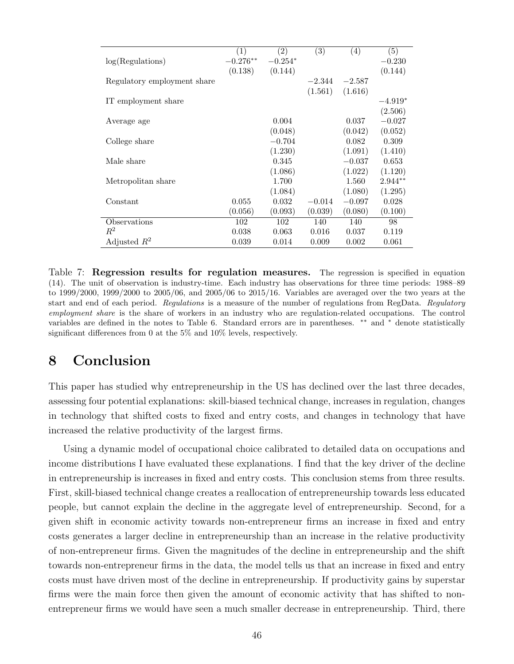<span id="page-46-1"></span>

|                             | (1)        | (2)       | (3)      | $\left( 4\right)$ | (5)       |
|-----------------------------|------------|-----------|----------|-------------------|-----------|
| log(Regulations)            | $-0.276**$ | $-0.254*$ |          |                   | $-0.230$  |
|                             | (0.138)    | (0.144)   |          |                   | (0.144)   |
| Regulatory employment share |            |           | $-2.344$ | $-2.587$          |           |
|                             |            |           | (1.561)  | (1.616)           |           |
| IT employment share         |            |           |          |                   | $-4.919*$ |
|                             |            |           |          |                   | (2.506)   |
| Average age                 |            | 0.004     |          | 0.037             | $-0.027$  |
|                             |            | (0.048)   |          | (0.042)           | (0.052)   |
| College share               |            | $-0.704$  |          | 0.082             | 0.309     |
|                             |            | (1.230)   |          | (1.091)           | (1.410)   |
| Male share                  |            | 0.345     |          | $-0.037$          | 0.653     |
|                             |            | (1.086)   |          | (1.022)           | (1.120)   |
| Metropolitan share          |            | 1.700     |          | 1.560             | $2.944**$ |
|                             |            | (1.084)   |          | (1.080)           | (1.295)   |
| Constant                    | 0.055      | 0.032     | $-0.014$ | $-0.097$          | 0.028     |
|                             | (0.056)    | (0.093)   | (0.039)  | (0.080)           | (0.100)   |
| Observations                | 102        | 102       | 140      | 140               | 98        |
| $R^2$                       | 0.038      | 0.063     | 0.016    | 0.037             | 0.119     |
| Adjusted $R^2$              | 0.039      | 0.014     | 0.009    | 0.002             | 0.061     |

Table 7: Regression results for regulation measures. The regression is specified in equation [\(14\)](#page-43-2). The unit of observation is industry-time. Each industry has observations for three time periods: 1988–89 to 1999/2000, 1999/2000 to 2005/06, and 2005/06 to 2015/16. Variables are averaged over the two years at the start and end of each period. Regulations is a measure of the number of regulations from RegData. Regulatory employment share is the share of workers in an industry who are regulation-related occupations. The control variables are defined in the notes to Table [6.](#page-45-0) Standard errors are in parentheses. \*\* and \* denote statistically significant differences from 0 at the 5% and 10% levels, respectively.

# <span id="page-46-0"></span>8 Conclusion

This paper has studied why entrepreneurship in the US has declined over the last three decades, assessing four potential explanations: skill-biased technical change, increases in regulation, changes in technology that shifted costs to fixed and entry costs, and changes in technology that have increased the relative productivity of the largest firms.

Using a dynamic model of occupational choice calibrated to detailed data on occupations and income distributions I have evaluated these explanations. I find that the key driver of the decline in entrepreneurship is increases in fixed and entry costs. This conclusion stems from three results. First, skill-biased technical change creates a reallocation of entrepreneurship towards less educated people, but cannot explain the decline in the aggregate level of entrepreneurship. Second, for a given shift in economic activity towards non-entrepreneur firms an increase in fixed and entry costs generates a larger decline in entrepreneurship than an increase in the relative productivity of non-entrepreneur firms. Given the magnitudes of the decline in entrepreneurship and the shift towards non-entrepreneur firms in the data, the model tells us that an increase in fixed and entry costs must have driven most of the decline in entrepreneurship. If productivity gains by superstar firms were the main force then given the amount of economic activity that has shifted to nonentrepreneur firms we would have seen a much smaller decrease in entrepreneurship. Third, there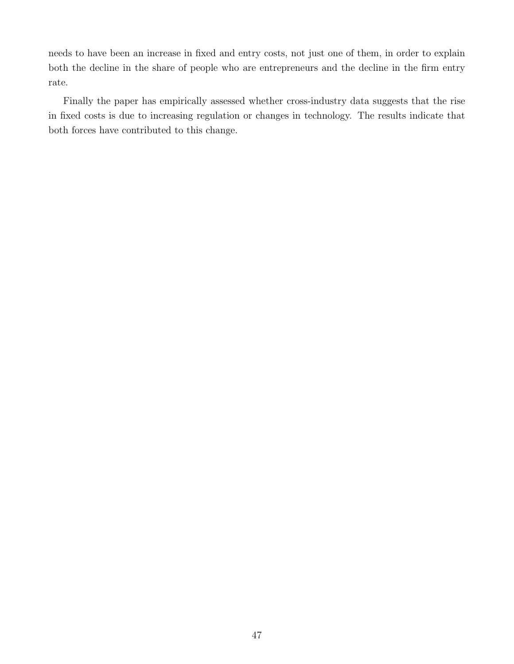needs to have been an increase in fixed and entry costs, not just one of them, in order to explain both the decline in the share of people who are entrepreneurs and the decline in the firm entry rate.

Finally the paper has empirically assessed whether cross-industry data suggests that the rise in fixed costs is due to increasing regulation or changes in technology. The results indicate that both forces have contributed to this change.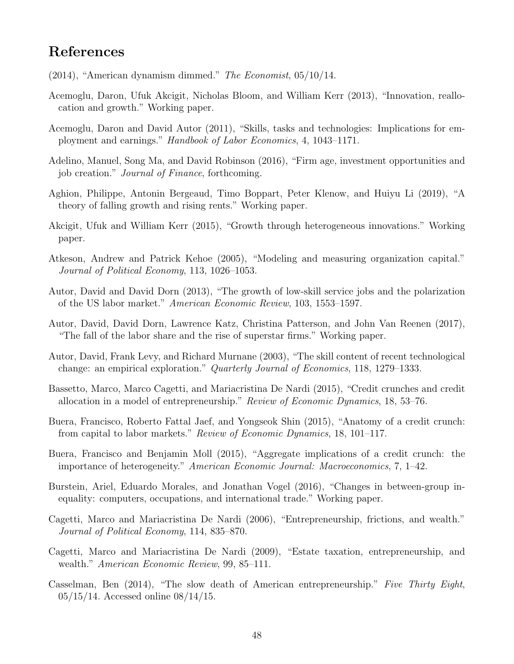# References

- <span id="page-48-5"></span> $(2014)$ , "American dynamism dimmed." The Economist,  $05/10/14$ .
- <span id="page-48-0"></span>Acemoglu, Daron, Ufuk Akcigit, Nicholas Bloom, and William Kerr (2013), "Innovation, reallocation and growth." Working paper.
- <span id="page-48-9"></span>Acemoglu, Daron and David Autor (2011), "Skills, tasks and technologies: Implications for employment and earnings." Handbook of Labor Economics, 4, 1043–1171.
- <span id="page-48-2"></span>Adelino, Manuel, Song Ma, and David Robinson (2016), "Firm age, investment opportunities and job creation." Journal of Finance, forthcoming.
- <span id="page-48-6"></span>Aghion, Philippe, Antonin Bergeaud, Timo Boppart, Peter Klenow, and Huiyu Li (2019), "A theory of falling growth and rising rents." Working paper.
- <span id="page-48-1"></span>Akcigit, Ufuk and William Kerr (2015), "Growth through heterogeneous innovations." Working paper.
- <span id="page-48-16"></span>Atkeson, Andrew and Patrick Kehoe (2005), "Modeling and measuring organization capital." Journal of Political Economy, 113, 1026–1053.
- <span id="page-48-10"></span>Autor, David and David Dorn (2013), "The growth of low-skill service jobs and the polarization of the US labor market." American Economic Review, 103, 1553–1597.
- <span id="page-48-7"></span>Autor, David, David Dorn, Lawrence Katz, Christina Patterson, and John Van Reenen (2017), "The fall of the labor share and the rise of superstar firms." Working paper.
- <span id="page-48-8"></span>Autor, David, Frank Levy, and Richard Murnane (2003), "The skill content of recent technological change: an empirical exploration." Quarterly Journal of Economics, 118, 1279–1333.
- <span id="page-48-13"></span>Bassetto, Marco, Marco Cagetti, and Mariacristina De Nardi (2015), "Credit crunches and credit allocation in a model of entrepreneurship." Review of Economic Dynamics, 18, 53–76.
- <span id="page-48-14"></span>Buera, Francisco, Roberto Fattal Jaef, and Yongseok Shin (2015), "Anatomy of a credit crunch: from capital to labor markets." Review of Economic Dynamics, 18, 101–117.
- <span id="page-48-15"></span>Buera, Francisco and Benjamin Moll (2015), "Aggregate implications of a credit crunch: the importance of heterogeneity." American Economic Journal: Macroeconomics, 7, 1–42.
- <span id="page-48-11"></span>Burstein, Ariel, Eduardo Morales, and Jonathan Vogel (2016), "Changes in between-group inequality: computers, occupations, and international trade." Working paper.
- <span id="page-48-3"></span>Cagetti, Marco and Mariacristina De Nardi (2006), "Entrepreneurship, frictions, and wealth." Journal of Political Economy, 114, 835–870.
- <span id="page-48-12"></span>Cagetti, Marco and Mariacristina De Nardi (2009), "Estate taxation, entrepreneurship, and wealth." American Economic Review, 99, 85–111.
- <span id="page-48-4"></span>Casselman, Ben (2014), "The slow death of American entrepreneurship." Five Thirty Eight, 05/15/14. Accessed online 08/14/15.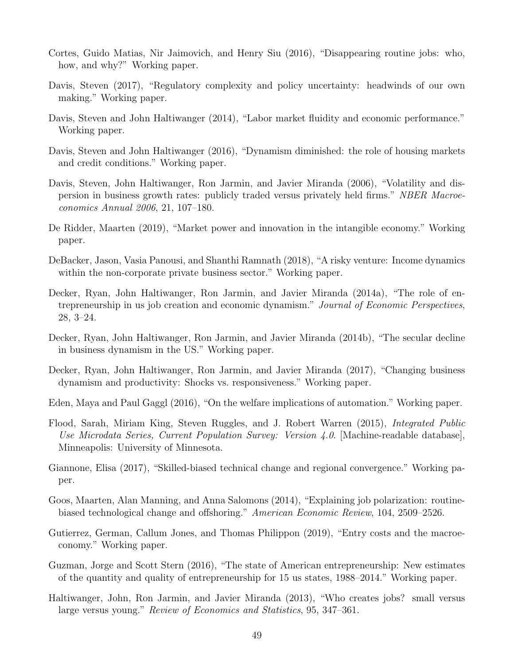- <span id="page-49-13"></span>Cortes, Guido Matias, Nir Jaimovich, and Henry Siu (2016), "Disappearing routine jobs: who, how, and why?" Working paper.
- <span id="page-49-6"></span>Davis, Steven (2017), "Regulatory complexity and policy uncertainty: headwinds of our own making." Working paper.
- <span id="page-49-5"></span>Davis, Steven and John Haltiwanger (2014), "Labor market fluidity and economic performance." Working paper.
- <span id="page-49-9"></span>Davis, Steven and John Haltiwanger (2016), "Dynamism diminished: the role of housing markets and credit conditions." Working paper.
- <span id="page-49-0"></span>Davis, Steven, John Haltiwanger, Ron Jarmin, and Javier Miranda (2006), "Volatility and dispersion in business growth rates: publicly traded versus privately held firms." NBER Macroeconomics Annual 2006, 21, 107–180.
- <span id="page-49-4"></span>De Ridder, Maarten (2019), "Market power and innovation in the intangible economy." Working paper.
- <span id="page-49-16"></span>DeBacker, Jason, Vasia Panousi, and Shanthi Ramnath (2018), "A risky venture: Income dynamics within the non-corporate private business sector." Working paper.
- <span id="page-49-1"></span>Decker, Ryan, John Haltiwanger, Ron Jarmin, and Javier Miranda (2014a), "The role of entrepreneurship in us job creation and economic dynamism." Journal of Economic Perspectives, 28, 3–24.
- <span id="page-49-2"></span>Decker, Ryan, John Haltiwanger, Ron Jarmin, and Javier Miranda (2014b), "The secular decline in business dynamism in the US." Working paper.
- <span id="page-49-10"></span>Decker, Ryan, John Haltiwanger, Ron Jarmin, and Javier Miranda (2017), "Changing business dynamism and productivity: Shocks vs. responsiveness." Working paper.
- <span id="page-49-11"></span>Eden, Maya and Paul Gaggl (2016), "On the welfare implications of automation." Working paper.
- <span id="page-49-14"></span>Flood, Sarah, Miriam King, Steven Ruggles, and J. Robert Warren (2015), Integrated Public Use Microdata Series, Current Population Survey: Version 4.0. [Machine-readable database], Minneapolis: University of Minnesota.
- <span id="page-49-12"></span>Giannone, Elisa (2017), "Skilled-biased technical change and regional convergence." Working paper.
- <span id="page-49-15"></span>Goos, Maarten, Alan Manning, and Anna Salomons (2014), "Explaining job polarization: routinebiased technological change and offshoring." American Economic Review, 104, 2509–2526.
- <span id="page-49-8"></span>Gutierrez, German, Callum Jones, and Thomas Philippon (2019), "Entry costs and the macroeconomy." Working paper.
- <span id="page-49-7"></span>Guzman, Jorge and Scott Stern (2016), "The state of American entrepreneurship: New estimates of the quantity and quality of entrepreneurship for 15 us states, 1988–2014." Working paper.
- <span id="page-49-3"></span>Haltiwanger, John, Ron Jarmin, and Javier Miranda (2013), "Who creates jobs? small versus large versus young." Review of Economics and Statistics, 95, 347–361.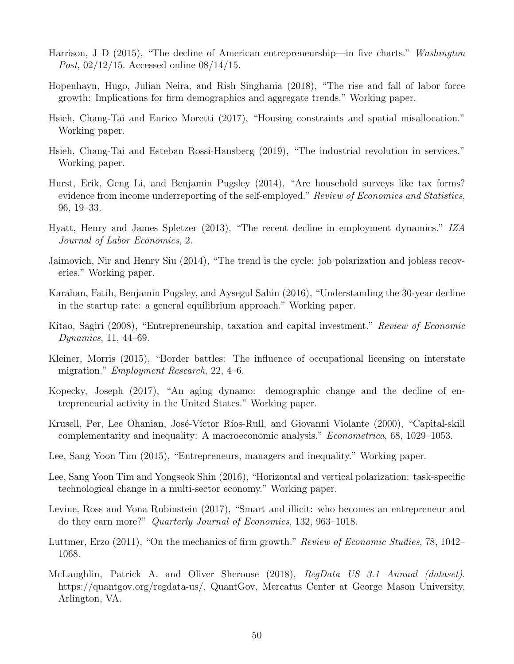- <span id="page-50-1"></span>Harrison, J D (2015), "The decline of American entrepreneurship—in five charts." Washington Post, 02/12/15. Accessed online 08/14/15.
- <span id="page-50-8"></span>Hopenhayn, Hugo, Julian Neira, and Rish Singhania (2018), "The rise and fall of labor force growth: Implications for firm demographics and aggregate trends." Working paper.
- <span id="page-50-4"></span>Hsieh, Chang-Tai and Enrico Moretti (2017), "Housing constraints and spatial misallocation." Working paper.
- <span id="page-50-2"></span>Hsieh, Chang-Tai and Esteban Rossi-Hansberg (2019), "The industrial revolution in services." Working paper.
- <span id="page-50-16"></span>Hurst, Erik, Geng Li, and Benjamin Pugsley (2014), "Are household surveys like tax forms? evidence from income underreporting of the self-employed." Review of Economics and Statistics, 96, 19–33.
- <span id="page-50-6"></span>Hyatt, Henry and James Spletzer (2013), "The recent decline in employment dynamics." IZA Journal of Labor Economics, 2.
- <span id="page-50-14"></span>Jaimovich, Nir and Henry Siu (2014), "The trend is the cycle: job polarization and jobless recoveries." Working paper.
- <span id="page-50-7"></span>Karahan, Fatih, Benjamin Pugsley, and Aysegul Sahin (2016), "Understanding the 30-year decline in the startup rate: a general equilibrium approach." Working paper.
- <span id="page-50-12"></span>Kitao, Sagiri (2008), "Entrepreneurship, taxation and capital investment." Review of Economic Dynamics, 11, 44–69.
- <span id="page-50-3"></span>Kleiner, Morris (2015), "Border battles: The influence of occupational licensing on interstate migration." Employment Research, 22, 4–6.
- <span id="page-50-9"></span>Kopecky, Joseph (2017), "An aging dynamo: demographic change and the decline of entrepreneurial activity in the United States." Working paper.
- <span id="page-50-5"></span>Krusell, Per, Lee Ohanian, José-Víctor Ríos-Rull, and Giovanni Violante (2000), "Capital-skill complementarity and inequality: A macroeconomic analysis." Econometrica, 68, 1029–1053.
- <span id="page-50-11"></span>Lee, Sang Yoon Tim (2015), "Entrepreneurs, managers and inequality." Working paper.
- <span id="page-50-10"></span>Lee, Sang Yoon Tim and Yongseok Shin (2016), "Horizontal and vertical polarization: task-specific technological change in a multi-sector economy." Working paper.
- <span id="page-50-13"></span>Levine, Ross and Yona Rubinstein (2017), "Smart and illicit: who becomes an entrepreneur and do they earn more?" Quarterly Journal of Economics, 132, 963–1018.
- <span id="page-50-0"></span>Luttmer, Erzo (2011), "On the mechanics of firm growth." Review of Economic Studies, 78, 1042– 1068.
- <span id="page-50-15"></span>McLaughlin, Patrick A. and Oliver Sherouse (2018), RegData US 3.1 Annual (dataset). https://quantgov.org/regdata-us/, QuantGov, Mercatus Center at George Mason University, Arlington, VA.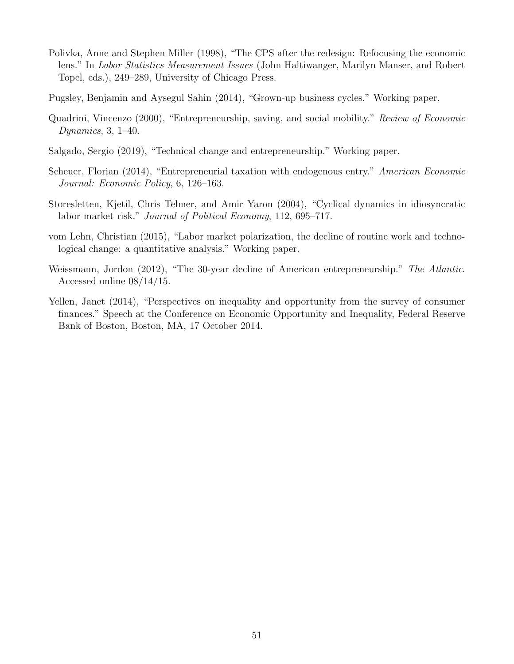- <span id="page-51-7"></span>Polivka, Anne and Stephen Miller (1998), "The CPS after the redesign: Refocusing the economic lens." In Labor Statistics Measurement Issues (John Haltiwanger, Marilyn Manser, and Robert Topel, eds.), 249–289, University of Chicago Press.
- <span id="page-51-0"></span>Pugsley, Benjamin and Aysegul Sahin (2014), "Grown-up business cycles." Working paper.
- <span id="page-51-1"></span>Quadrini, Vincenzo (2000), "Entrepreneurship, saving, and social mobility." Review of Economic Dynamics, 3, 1–40.
- <span id="page-51-4"></span>Salgado, Sergio (2019), "Technical change and entrepreneurship." Working paper.
- <span id="page-51-6"></span>Scheuer, Florian (2014), "Entrepreneurial taxation with endogenous entry." American Economic Journal: Economic Policy, 6, 126–163.
- <span id="page-51-8"></span>Storesletten, Kjetil, Chris Telmer, and Amir Yaron (2004), "Cyclical dynamics in idiosyncratic labor market risk." Journal of Political Economy, 112, 695–717.
- <span id="page-51-5"></span>vom Lehn, Christian (2015), "Labor market polarization, the decline of routine work and technological change: a quantitative analysis." Working paper.
- <span id="page-51-2"></span>Weissmann, Jordon (2012), "The 30-year decline of American entrepreneurship." The Atlantic. Accessed online 08/14/15.
- <span id="page-51-3"></span>Yellen, Janet (2014), "Perspectives on inequality and opportunity from the survey of consumer finances." Speech at the Conference on Economic Opportunity and Inequality, Federal Reserve Bank of Boston, Boston, MA, 17 October 2014.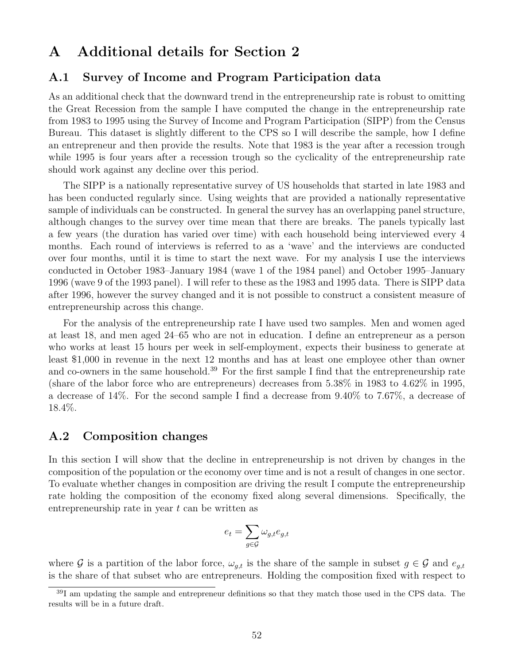## A Additional details for Section [2](#page-6-0)

### A.1 Survey of Income and Program Participation data

As an additional check that the downward trend in the entrepreneurship rate is robust to omitting the Great Recession from the sample I have computed the change in the entrepreneurship rate from 1983 to 1995 using the Survey of Income and Program Participation (SIPP) from the Census Bureau. This dataset is slightly different to the CPS so I will describe the sample, how I define an entrepreneur and then provide the results. Note that 1983 is the year after a recession trough while 1995 is four years after a recession trough so the cyclicality of the entrepreneurship rate should work against any decline over this period.

The SIPP is a nationally representative survey of US households that started in late 1983 and has been conducted regularly since. Using weights that are provided a nationally representative sample of individuals can be constructed. In general the survey has an overlapping panel structure, although changes to the survey over time mean that there are breaks. The panels typically last a few years (the duration has varied over time) with each household being interviewed every 4 months. Each round of interviews is referred to as a 'wave' and the interviews are conducted over four months, until it is time to start the next wave. For my analysis I use the interviews conducted in October 1983–January 1984 (wave 1 of the 1984 panel) and October 1995–January 1996 (wave 9 of the 1993 panel). I will refer to these as the 1983 and 1995 data. There is SIPP data after 1996, however the survey changed and it is not possible to construct a consistent measure of entrepreneurship across this change.

For the analysis of the entrepreneurship rate I have used two samples. Men and women aged at least 18, and men aged 24–65 who are not in education. I define an entrepreneur as a person who works at least 15 hours per week in self-employment, expects their business to generate at least \$1,000 in revenue in the next 12 months and has at least one employee other than owner and co-owners in the same household.<sup>[39](#page-52-0)</sup> For the first sample I find that the entrepreneurship rate (share of the labor force who are entrepreneurs) decreases from 5.38% in 1983 to 4.62% in 1995, a decrease of 14%. For the second sample I find a decrease from 9.40% to 7.67%, a decrease of 18.4%.

#### A.2 Composition changes

In this section I will show that the decline in entrepreneurship is not driven by changes in the composition of the population or the economy over time and is not a result of changes in one sector. To evaluate whether changes in composition are driving the result I compute the entrepreneurship rate holding the composition of the economy fixed along several dimensions. Specifically, the entrepreneurship rate in year  $t$  can be written as

$$
e_t = \sum_{g \in \mathcal{G}} \omega_{g,t} e_{g,t}
$$

where G is a partition of the labor force,  $\omega_{g,t}$  is the share of the sample in subset  $g \in \mathcal{G}$  and  $e_{g,t}$ is the share of that subset who are entrepreneurs. Holding the composition fixed with respect to

<span id="page-52-0"></span><sup>39</sup>I am updating the sample and entrepreneur definitions so that they match those used in the CPS data. The results will be in a future draft.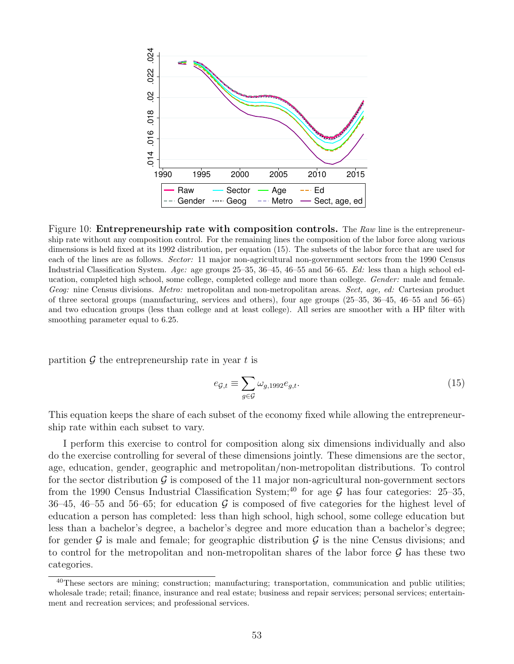<span id="page-53-2"></span>

Figure 10: **Entrepreneurship rate with composition controls.** The  $\textit{Raw}$  line is the entrepreneurship rate without any composition control. For the remaining lines the composition of the labor force along various dimensions is held fixed at its 1992 distribution, per equation [\(15\)](#page-53-0). The subsets of the labor force that are used for each of the lines are as follows. Sector: 11 major non-agricultural non-government sectors from the 1990 Census Industrial Classification System. Age: age groups 25–35, 36–45, 46–55 and 56–65. Ed: less than a high school education, completed high school, some college, completed college and more than college. Gender: male and female. Geog: nine Census divisions. Metro: metropolitan and non-metropolitan areas. Sect, age, ed: Cartesian product of three sectoral groups (manufacturing, services and others), four age groups (25–35, 36–45, 46–55 and 56–65) and two education groups (less than college and at least college). All series are smoother with a HP filter with smoothing parameter equal to 6.25.

partition  $\mathcal G$  the entrepreneurship rate in year t is

<span id="page-53-0"></span>
$$
e_{\mathcal{G},t} \equiv \sum_{g \in \mathcal{G}} \omega_{g,1992} e_{g,t}.
$$
\n(15)

This equation keeps the share of each subset of the economy fixed while allowing the entrepreneurship rate within each subset to vary.

I perform this exercise to control for composition along six dimensions individually and also do the exercise controlling for several of these dimensions jointly. These dimensions are the sector, age, education, gender, geographic and metropolitan/non-metropolitan distributions. To control for the sector distribution  $\mathcal G$  is composed of the 11 major non-agricultural non-government sectors from the 1990 Census Industrial Classification System;<sup>[40](#page-53-1)</sup> for age  $\mathcal G$  has four categories: 25–35, 36–45, 46–55 and 56–65; for education  $\mathcal G$  is composed of five categories for the highest level of education a person has completed: less than high school, high school, some college education but less than a bachelor's degree, a bachelor's degree and more education than a bachelor's degree; for gender  $\mathcal G$  is male and female; for geographic distribution  $\mathcal G$  is the nine Census divisions; and to control for the metropolitan and non-metropolitan shares of the labor force  $\mathcal G$  has these two categories.

<span id="page-53-1"></span><sup>&</sup>lt;sup>40</sup>These sectors are mining; construction; manufacturing; transportation, communication and public utilities; wholesale trade; retail; finance, insurance and real estate; business and repair services; personal services; entertainment and recreation services; and professional services.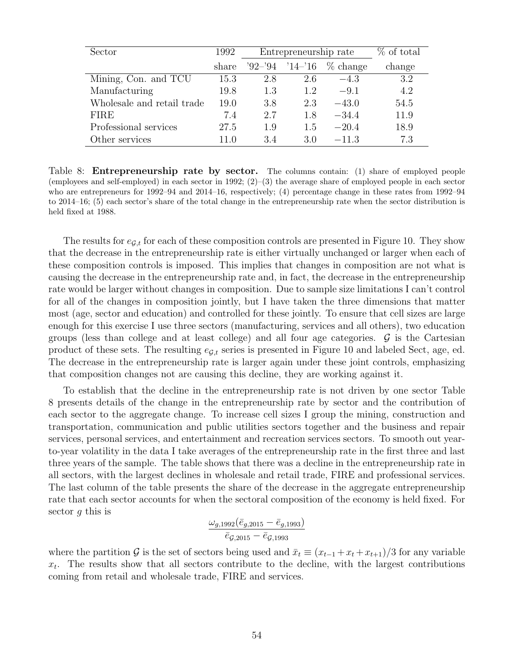<span id="page-54-0"></span>

| Sector                     | 1992  | Entrepreneurship rate | % of total |            |        |
|----------------------------|-------|-----------------------|------------|------------|--------|
|                            | share | $92 - 94$             | $14 - 16$  | $%$ change | change |
| Mining, Con. and TCU       | 15.3  | 2.8                   | 2.6        | $-4.3$     | 3.2    |
| Manufacturing              | 19.8  | 1.3                   | 1.2        | $-9.1$     | 4.2    |
| Wholesale and retail trade | 19.0  | 3.8                   | 2.3        | $-43.0$    | 54.5   |
| <b>FIRE</b>                | 7.4   | 2.7                   | 1.8        | $-34.4$    | 11.9   |
| Professional services      | 27.5  | 1.9                   | 1.5        | $-20.4$    | 18.9   |
| Other services             | 11.0  | 3.4                   | 3.0        | $-11.3$    | 7.3    |

Table 8: **Entrepreneurship rate by sector.** The columns contain: (1) share of employed people (employees and self-employed) in each sector in 1992;  $(2)$ –(3) the average share of employed people in each sector who are entrepreneurs for 1992–94 and 2014–16, respectively; (4) percentage change in these rates from 1992–94 to 2014–16; (5) each sector's share of the total change in the entrepreneurship rate when the sector distribution is held fixed at 1988.

The results for  $e_{\mathcal{G},t}$  for each of these composition controls are presented in Figure [10.](#page-53-2) They show that the decrease in the entrepreneurship rate is either virtually unchanged or larger when each of these composition controls is imposed. This implies that changes in composition are not what is causing the decrease in the entrepreneurship rate and, in fact, the decrease in the entrepreneurship rate would be larger without changes in composition. Due to sample size limitations I can't control for all of the changes in composition jointly, but I have taken the three dimensions that matter most (age, sector and education) and controlled for these jointly. To ensure that cell sizes are large enough for this exercise I use three sectors (manufacturing, services and all others), two education groups (less than college and at least college) and all four age categories.  $\mathcal G$  is the Cartesian product of these sets. The resulting  $e_{G,t}$  series is presented in Figure [10](#page-53-2) and labeled Sect, age, ed. The decrease in the entrepreneurship rate is larger again under these joint controls, emphasizing that composition changes not are causing this decline, they are working against it.

To establish that the decline in the entrepreneurship rate is not driven by one sector Table [8](#page-54-0) presents details of the change in the entrepreneurship rate by sector and the contribution of each sector to the aggregate change. To increase cell sizes I group the mining, construction and transportation, communication and public utilities sectors together and the business and repair services, personal services, and entertainment and recreation services sectors. To smooth out yearto-year volatility in the data I take averages of the entrepreneurship rate in the first three and last three years of the sample. The table shows that there was a decline in the entrepreneurship rate in all sectors, with the largest declines in wholesale and retail trade, FIRE and professional services. The last column of the table presents the share of the decrease in the aggregate entrepreneurship rate that each sector accounts for when the sectoral composition of the economy is held fixed. For sector  $g$  this is

$$
\frac{\omega_{g,1992}(\bar{e}_{g,2015}-\bar{e}_{g,1993})}{\bar{e}_{g,2015}-\bar{e}_{g,1993}}
$$

where the partition G is the set of sectors being used and  $\bar{x}_t \equiv (x_{t-1} + x_t + x_{t+1})/3$  for any variable  $x_t$ . The results show that all sectors contribute to the decline, with the largest contributions coming from retail and wholesale trade, FIRE and services.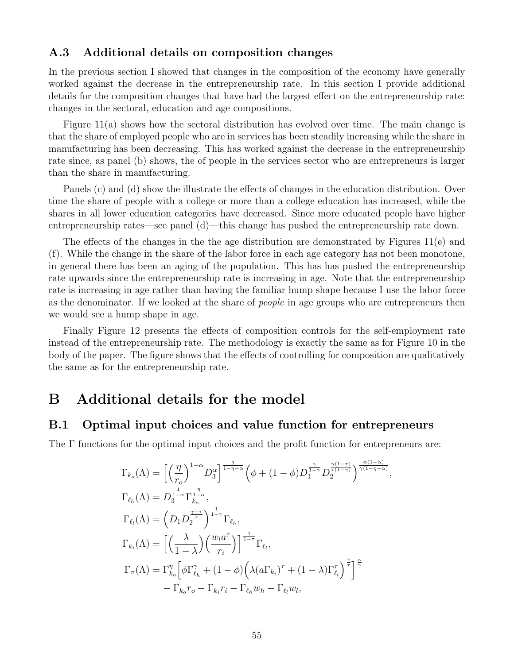### A.3 Additional details on composition changes

In the previous section I showed that changes in the composition of the economy have generally worked against the decrease in the entrepreneurship rate. In this section I provide additional details for the composition changes that have had the largest effect on the entrepreneurship rate: changes in the sectoral, education and age compositions.

Figure [11\(a\)](#page-56-0) shows how the sectoral distribution has evolved over time. The main change is that the share of employed people who are in services has been steadily increasing while the share in manufacturing has been decreasing. This has worked against the decrease in the entrepreneurship rate since, as panel [\(b\)](#page-56-0) shows, the of people in the services sector who are entrepreneurs is larger than the share in manufacturing.

Panels [\(c\)](#page-56-0) and [\(d\)](#page-56-0) show the illustrate the effects of changes in the education distribution. Over time the share of people with a college or more than a college education has increased, while the shares in all lower education categories have decreased. Since more educated people have higher entrepreneurship rates—see panel [\(d\)—](#page-56-0)this change has pushed the entrepreneurship rate down.

The effects of the changes in the the age distribution are demonstrated by Figures [11\(e\)](#page-56-0) and [\(f\).](#page-56-0) While the change in the share of the labor force in each age category has not been monotone, in general there has been an aging of the population. This has has pushed the entrepreneurship rate upwards since the entrepreneurship rate is increasing in age. Note that the entrepreneurship rate is increasing in age rather than having the familiar hump shape because I use the labor force as the denominator. If we looked at the share of *people* in age groups who are entrepreneurs then we would see a hump shape in age.

Finally Figure [12](#page-57-0) presents the effects of composition controls for the self-employment rate instead of the entrepreneurship rate. The methodology is exactly the same as for Figure [10](#page-53-2) in the body of the paper. The figure shows that the effects of controlling for composition are qualitatively the same as for the entrepreneurship rate.

# B Additional details for the model

#### B.1 Optimal input choices and value function for entrepreneurs

The Γ functions for the optimal input choices and the profit function for entrepreneurs are:

$$
\Gamma_{k_o}(\Lambda) = \left[ \left( \frac{\eta}{r_o} \right)^{1-\alpha} D_3^{\alpha} \right]^{\frac{1}{1-\eta-\alpha}} \left( \phi + (1-\phi) D_1^{\frac{\gamma}{1-\gamma}} D_2^{\frac{\gamma(1-\tau)}{1-\gamma}} \right)^{\frac{\alpha(1-\alpha)}{\gamma(1-\eta-\alpha)}}
$$
  
\n
$$
\Gamma_{\ell_h}(\Lambda) = D_3^{\frac{1}{1-\alpha}} \Gamma_{k_o}^{\frac{\eta}{1-\alpha}},
$$
  
\n
$$
\Gamma_{\ell_l}(\Lambda) = \left( D_1 D_2^{\frac{\gamma-\tau}{\gamma}} \right)^{\frac{1}{1-\gamma}} \Gamma_{\ell_h},
$$
  
\n
$$
\Gamma_{k_i}(\Lambda) = \left[ \left( \frac{\lambda}{1-\lambda} \right) \left( \frac{w_l a^{\tau}}{r_i} \right) \right]^{\frac{1}{1-\tau}} \Gamma_{\ell_l},
$$
  
\n
$$
\Gamma_{\pi}(\Lambda) = \Gamma_{k_o}^{\eta} \left[ \phi \Gamma_{\ell_h}^{\gamma} + (1-\phi) \left( \lambda (a \Gamma_{k_i})^{\tau} + (1-\lambda) \Gamma_{\ell_l}^{\tau} \right)^{\frac{\gamma}{\tau}} \right]^{\frac{\alpha}{\gamma}}
$$
  
\n
$$
- \Gamma_{k_o} r_o - \Gamma_{k_i} r_i - \Gamma_{\ell_h} w_h - \Gamma_{\ell_l} w_l,
$$

,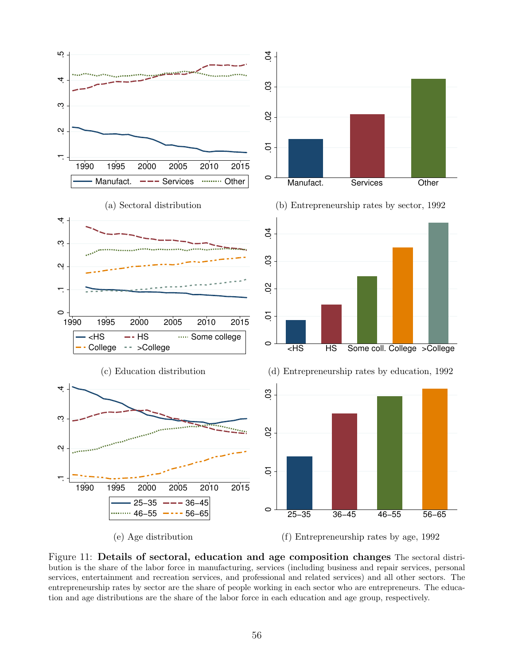<span id="page-56-0"></span>

Figure 11: Details of sectoral, education and age composition changes The sectoral distribution is the share of the labor force in manufacturing, services (including business and repair services, personal services, entertainment and recreation services, and professional and related services) and all other sectors. The entrepreneurship rates by sector are the share of people working in each sector who are entrepreneurs. The education and age distributions are the share of the labor force in each education and age group, respectively.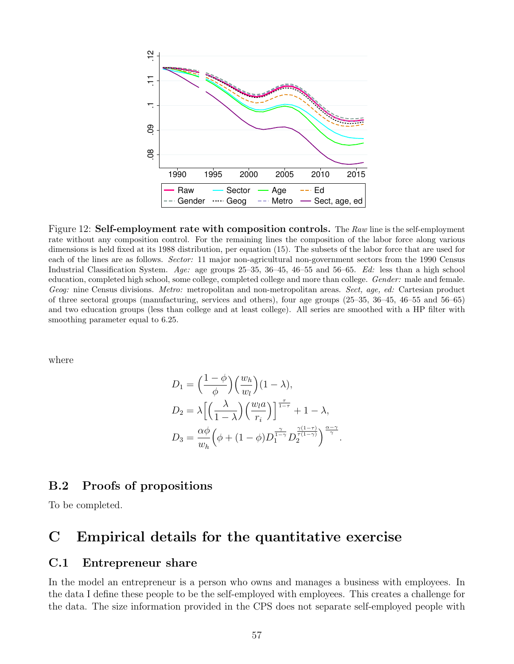<span id="page-57-0"></span>

Figure 12: Self-employment rate with composition controls. The Raw line is the self-employment rate without any composition control. For the remaining lines the composition of the labor force along various dimensions is held fixed at its 1988 distribution, per equation [\(15\)](#page-53-0). The subsets of the labor force that are used for each of the lines are as follows. Sector: 11 major non-agricultural non-government sectors from the 1990 Census Industrial Classification System. Age: age groups 25–35, 36–45, 46–55 and 56–65. Ed: less than a high school education, completed high school, some college, completed college and more than college. Gender: male and female. Geog: nine Census divisions. Metro: metropolitan and non-metropolitan areas. Sect, age, ed: Cartesian product of three sectoral groups (manufacturing, services and others), four age groups (25–35, 36–45, 46–55 and 56–65) and two education groups (less than college and at least college). All series are smoothed with a HP filter with smoothing parameter equal to 6.25.

where

$$
D_1 = \left(\frac{1-\phi}{\phi}\right) \left(\frac{w_h}{w_l}\right) (1-\lambda),
$$
  
\n
$$
D_2 = \lambda \left[ \left(\frac{\lambda}{1-\lambda}\right) \left(\frac{w_l a}{r_i}\right) \right]^{\frac{\tau}{1-\tau}} + 1 - \lambda,
$$
  
\n
$$
D_3 = \frac{\alpha \phi}{w_h} \left(\phi + (1-\phi) D_1^{\frac{\gamma}{1-\gamma}} D_2^{\frac{\gamma(1-\tau)}{\gamma(1-\gamma)}}\right)^{\frac{\alpha-\gamma}{\gamma}}.
$$

### B.2 Proofs of propositions

To be completed.

# C Empirical details for the quantitative exercise

### C.1 Entrepreneur share

In the model an entrepreneur is a person who owns and manages a business with employees. In the data I define these people to be the self-employed with employees. This creates a challenge for the data. The size information provided in the CPS does not separate self-employed people with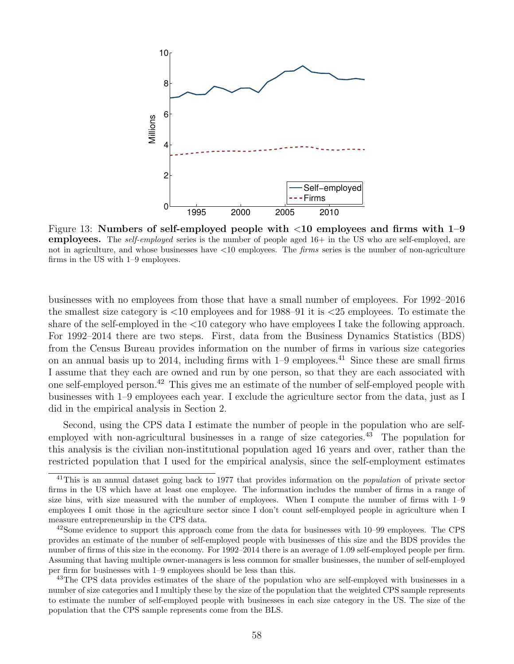<span id="page-58-3"></span>

Figure 13: Numbers of self-employed people with <10 employees and firms with 1–9 employees. The *self-employed* series is the number of people aged 16+ in the US who are self-employed, are not in agriculture, and whose businesses have  $\langle 10 \text{ employees.} \rangle$  The *firms* series is the number of non-agriculture firms in the US with 1–9 employees.

businesses with no employees from those that have a small number of employees. For 1992–2016 the smallest size category is <10 employees and for 1988–91 it is <25 employees. To estimate the share of the self-employed in the <10 category who have employees I take the following approach. For 1992–2014 there are two steps. First, data from the Business Dynamics Statistics (BDS) from the Census Bureau provides information on the number of firms in various size categories on an annual basis up to 2014, including firms with  $1-9$  employees.<sup>[41](#page-58-0)</sup> Since these are small firms I assume that they each are owned and run by one person, so that they are each associated with one self-employed person.[42](#page-58-1) This gives me an estimate of the number of self-employed people with businesses with 1–9 employees each year. I exclude the agriculture sector from the data, just as I did in the empirical analysis in Section [2.](#page-6-0)

Second, using the CPS data I estimate the number of people in the population who are self-employed with non-agricultural businesses in a range of size categories.<sup>[43](#page-58-2)</sup> The population for this analysis is the civilian non-institutional population aged 16 years and over, rather than the restricted population that I used for the empirical analysis, since the self-employment estimates

<span id="page-58-0"></span><sup>&</sup>lt;sup>41</sup>This is an annual dataset going back to 1977 that provides information on the *population* of private sector firms in the US which have at least one employee. The information includes the number of firms in a range of size bins, with size measured with the number of employees. When I compute the number of firms with 1–9 employees I omit those in the agriculture sector since I don't count self-employed people in agriculture when I measure entrepreneurship in the CPS data.

<span id="page-58-1"></span> $42$ Some evidence to support this approach come from the data for businesses with 10–99 employees. The CPS provides an estimate of the number of self-employed people with businesses of this size and the BDS provides the number of firms of this size in the economy. For 1992–2014 there is an average of 1.09 self-employed people per firm. Assuming that having multiple owner-managers is less common for smaller businesses, the number of self-employed per firm for businesses with 1–9 employees should be less than this.

<span id="page-58-2"></span><sup>&</sup>lt;sup>43</sup>The CPS data provides estimates of the share of the population who are self-employed with businesses in a number of size categories and I multiply these by the size of the population that the weighted CPS sample represents to estimate the number of self-employed people with businesses in each size category in the US. The size of the population that the CPS sample represents come from the BLS.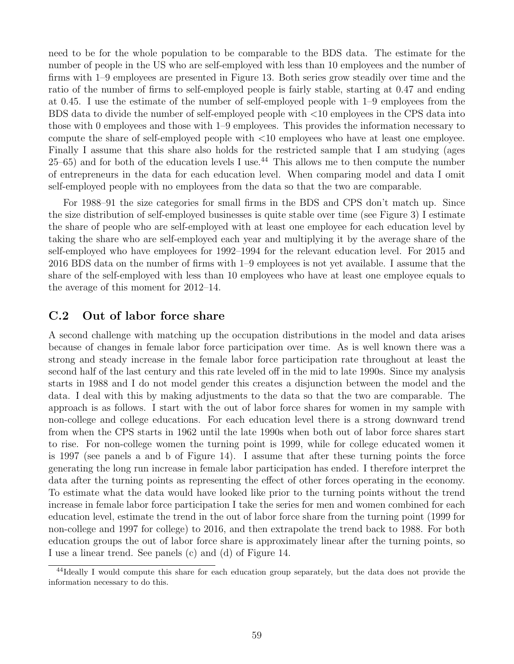need to be for the whole population to be comparable to the BDS data. The estimate for the number of people in the US who are self-employed with less than 10 employees and the number of firms with 1–9 employees are presented in Figure [13.](#page-58-3) Both series grow steadily over time and the ratio of the number of firms to self-employed people is fairly stable, starting at 0.47 and ending at 0.45. I use the estimate of the number of self-employed people with 1–9 employees from the BDS data to divide the number of self-employed people with <10 employees in the CPS data into those with 0 employees and those with 1–9 employees. This provides the information necessary to compute the share of self-employed people with <10 employees who have at least one employee. Finally I assume that this share also holds for the restricted sample that I am studying (ages  $25-65$ ) and for both of the education levels I use.<sup>[44](#page-59-0)</sup> This allows me to then compute the number of entrepreneurs in the data for each education level. When comparing model and data I omit self-employed people with no employees from the data so that the two are comparable.

For 1988–91 the size categories for small firms in the BDS and CPS don't match up. Since the size distribution of self-employed businesses is quite stable over time (see Figure [3\)](#page-12-1) I estimate the share of people who are self-employed with at least one employee for each education level by taking the share who are self-employed each year and multiplying it by the average share of the self-employed who have employees for 1992–1994 for the relevant education level. For 2015 and 2016 BDS data on the number of firms with 1–9 employees is not yet available. I assume that the share of the self-employed with less than 10 employees who have at least one employee equals to the average of this moment for 2012–14.

### C.2 Out of labor force share

A second challenge with matching up the occupation distributions in the model and data arises because of changes in female labor force participation over time. As is well known there was a strong and steady increase in the female labor force participation rate throughout at least the second half of the last century and this rate leveled off in the mid to late 1990s. Since my analysis starts in 1988 and I do not model gender this creates a disjunction between the model and the data. I deal with this by making adjustments to the data so that the two are comparable. The approach is as follows. I start with the out of labor force shares for women in my sample with non-college and college educations. For each education level there is a strong downward trend from when the CPS starts in 1962 until the late 1990s when both out of labor force shares start to rise. For non-college women the turning point is 1999, while for college educated women it is 1997 (see panels a and b of Figure [14\)](#page-60-0). I assume that after these turning points the force generating the long run increase in female labor participation has ended. I therefore interpret the data after the turning points as representing the effect of other forces operating in the economy. To estimate what the data would have looked like prior to the turning points without the trend increase in female labor force participation I take the series for men and women combined for each education level, estimate the trend in the out of labor force share from the turning point (1999 for non-college and 1997 for college) to 2016, and then extrapolate the trend back to 1988. For both education groups the out of labor force share is approximately linear after the turning points, so I use a linear trend. See panels (c) and (d) of Figure [14.](#page-60-0)

<span id="page-59-0"></span><sup>&</sup>lt;sup>44</sup>Ideally I would compute this share for each education group separately, but the data does not provide the information necessary to do this.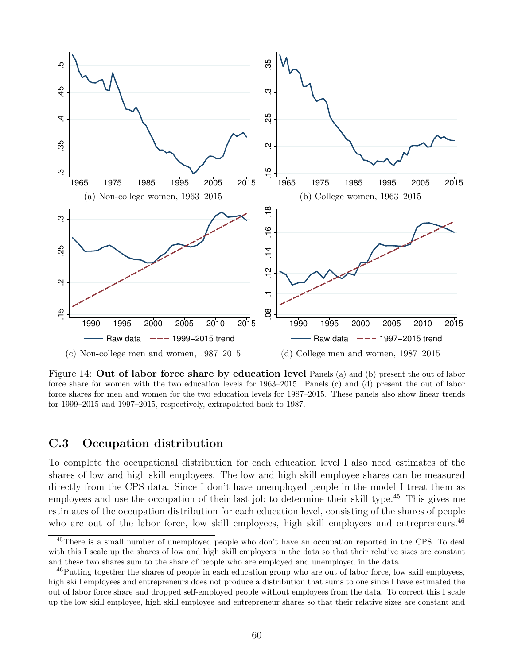<span id="page-60-0"></span>

Figure 14: Out of labor force share by education level Panels (a) and (b) present the out of labor force share for women with the two education levels for 1963–2015. Panels (c) and (d) present the out of labor force shares for men and women for the two education levels for 1987–2015. These panels also show linear trends for 1999–2015 and 1997–2015, respectively, extrapolated back to 1987.

### C.3 Occupation distribution

To complete the occupational distribution for each education level I also need estimates of the shares of low and high skill employees. The low and high skill employee shares can be measured directly from the CPS data. Since I don't have unemployed people in the model I treat them as employees and use the occupation of their last job to determine their skill type.[45](#page-60-1) This gives me estimates of the occupation distribution for each education level, consisting of the shares of people who are out of the labor force, low skill employees, high skill employees and entrepreneurs.<sup>[46](#page-60-2)</sup>

<span id="page-60-1"></span><sup>&</sup>lt;sup>45</sup>There is a small number of unemployed people who don't have an occupation reported in the CPS. To deal with this I scale up the shares of low and high skill employees in the data so that their relative sizes are constant and these two shares sum to the share of people who are employed and unemployed in the data.

<span id="page-60-2"></span><sup>&</sup>lt;sup>46</sup>Putting together the shares of people in each education group who are out of labor force, low skill employees, high skill employees and entrepreneurs does not produce a distribution that sums to one since I have estimated the out of labor force share and dropped self-employed people without employees from the data. To correct this I scale up the low skill employee, high skill employee and entrepreneur shares so that their relative sizes are constant and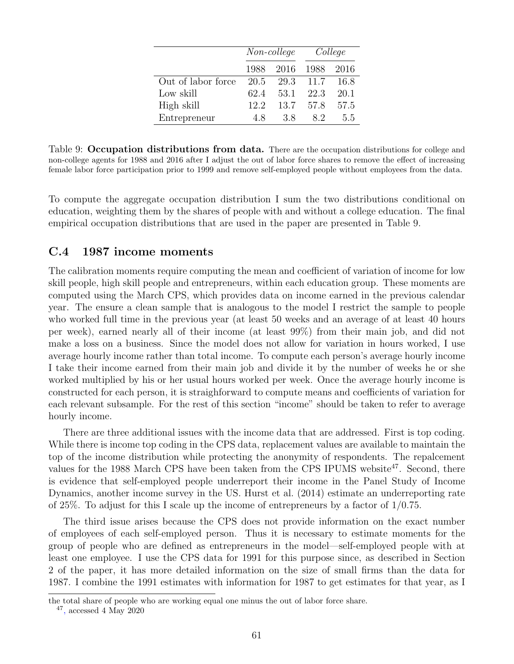<span id="page-61-0"></span>

|                    |      | Non-college | College |      |  |
|--------------------|------|-------------|---------|------|--|
|                    | 1988 | 2016 1988   |         | 2016 |  |
| Out of labor force | 20.5 | 29.3        | 11.7    | 16.8 |  |
| Low skill          | 62.4 | 53.1        | 22.3    | 20.1 |  |
| High skill         | 12.2 | 13.7        | -57.8   | 57.5 |  |
| Entrepreneur       | 4.8  | 38          | 82      | 5.5  |  |

Table 9: Occupation distributions from data. There are the occupation distributions for college and non-college agents for 1988 and 2016 after I adjust the out of labor force shares to remove the effect of increasing female labor force participation prior to 1999 and remove self-employed people without employees from the data.

To compute the aggregate occupation distribution I sum the two distributions conditional on education, weighting them by the shares of people with and without a college education. The final empirical occupation distributions that are used in the paper are presented in Table [9.](#page-61-0)

### C.4 1987 income moments

The calibration moments require computing the mean and coefficient of variation of income for low skill people, high skill people and entrepreneurs, within each education group. These moments are computed using the March CPS, which provides data on income earned in the previous calendar year. The ensure a clean sample that is analogous to the model I restrict the sample to people who worked full time in the previous year (at least 50 weeks and an average of at least 40 hours per week), earned nearly all of their income (at least 99%) from their main job, and did not make a loss on a business. Since the model does not allow for variation in hours worked, I use average hourly income rather than total income. To compute each person's average hourly income I take their income earned from their main job and divide it by the number of weeks he or she worked multiplied by his or her usual hours worked per week. Once the average hourly income is constructed for each person, it is straighforward to compute means and coefficients of variation for each relevant subsample. For the rest of this section "income" should be taken to refer to average hourly income.

There are three additional issues with the income data that are addressed. First is top coding. While there is income top coding in the CPS data, replacement values are available to maintain the top of the income distribution while protecting the anonymity of respondents. The repalcement values for the 1988 March CPS have been taken from the CPS IPUMS website<sup>[47](#page-61-1)</sup>. Second, there is evidence that self-employed people underreport their income in the Panel Study of Income Dynamics, another income survey in the US. [Hurst et al.](#page-50-16) [\(2014\)](#page-50-16) estimate an underreporting rate of 25%. To adjust for this I scale up the income of entrepreneurs by a factor of 1/0.75.

The third issue arises because the CPS does not provide information on the exact number of employees of each self-employed person. Thus it is necessary to estimate moments for the group of people who are defined as entrepreneurs in the model—self-employed people with at least one employee. I use the CPS data for 1991 for this purpose since, as described in Section [2](#page-6-0) of the paper, it has more detailed information on the size of small firms than the data for 1987. I combine the 1991 estimates with information for 1987 to get estimates for that year, as I

the total share of people who are working equal one minus the out of labor force share.

<span id="page-61-1"></span><sup>47</sup> [,](https://cps.ipums.org/cps/income_cell_means.html) accessed 4 May 2020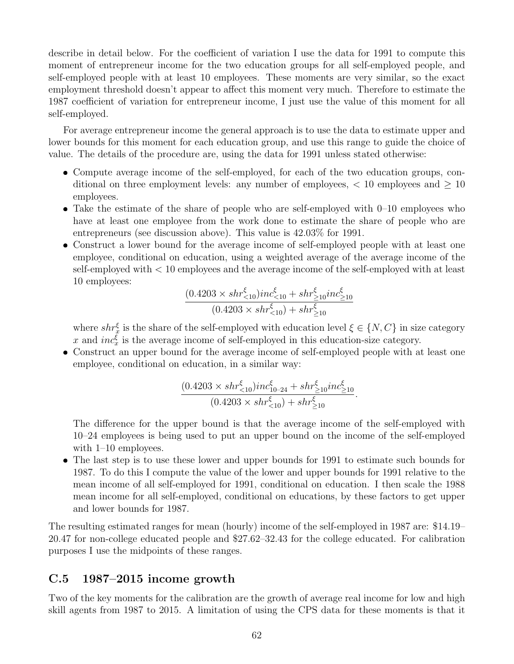describe in detail below. For the coefficient of variation I use the data for 1991 to compute this moment of entrepreneur income for the two education groups for all self-employed people, and self-employed people with at least 10 employees. These moments are very similar, so the exact employment threshold doesn't appear to affect this moment very much. Therefore to estimate the 1987 coefficient of variation for entrepreneur income, I just use the value of this moment for all self-employed.

For average entrepreneur income the general approach is to use the data to estimate upper and lower bounds for this moment for each education group, and use this range to guide the choice of value. The details of the procedure are, using the data for 1991 unless stated otherwise:

- Compute average income of the self-employed, for each of the two education groups, conditional on three employment levels: any number of employees,  $\langle 10 \text{ employees and } \rangle 10$ employees.
- $\bullet$  Take the estimate of the share of people who are self-employed with  $0-10$  employees who have at least one employee from the work done to estimate the share of people who are entrepreneurs (see discussion above). This value is 42.03% for 1991.
- Construct a lower bound for the average income of self-employed people with at least one employee, conditional on education, using a weighted average of the average income of the self-employed with < 10 employees and the average income of the self-employed with at least 10 employees:

$$
\frac{(0.4203 \times shr_{<10}^{\xi})inc_{<10}^{\xi} + shr_{\geq 10}^{\xi}inc_{\geq 10}^{\xi}}{(0.4203 \times shr_{<10}^{\xi}) + shr_{\geq 10}^{\xi}}
$$

where  $shr_x^{\xi}$  is the share of the self-employed with education level  $\xi \in \{N, C\}$  in size category x and  $inc_x^{\xi}$  is the average income of self-employed in this education-size category.

 Construct an upper bound for the average income of self-employed people with at least one employee, conditional on education, in a similar way:

$$
\frac{(0.4203 \times shr_{<10}^{\xi})inc_{10-24}^{\xi} + shr_{\geq 10}^{\xi}inc_{\geq 10}^{\xi}}{(0.4203 \times shr_{<10}^{\xi}) + shr_{\geq 10}^{\xi}}.
$$

The difference for the upper bound is that the average income of the self-employed with 10–24 employees is being used to put an upper bound on the income of the self-employed with 1–10 employees.

• The last step is to use these lower and upper bounds for 1991 to estimate such bounds for 1987. To do this I compute the value of the lower and upper bounds for 1991 relative to the mean income of all self-employed for 1991, conditional on education. I then scale the 1988 mean income for all self-employed, conditional on educations, by these factors to get upper and lower bounds for 1987.

The resulting estimated ranges for mean (hourly) income of the self-employed in 1987 are: \$14.19– 20.47 for non-college educated people and \$27.62–32.43 for the college educated. For calibration purposes I use the midpoints of these ranges.

### C.5 1987–2015 income growth

Two of the key moments for the calibration are the growth of average real income for low and high skill agents from 1987 to 2015. A limitation of using the CPS data for these moments is that it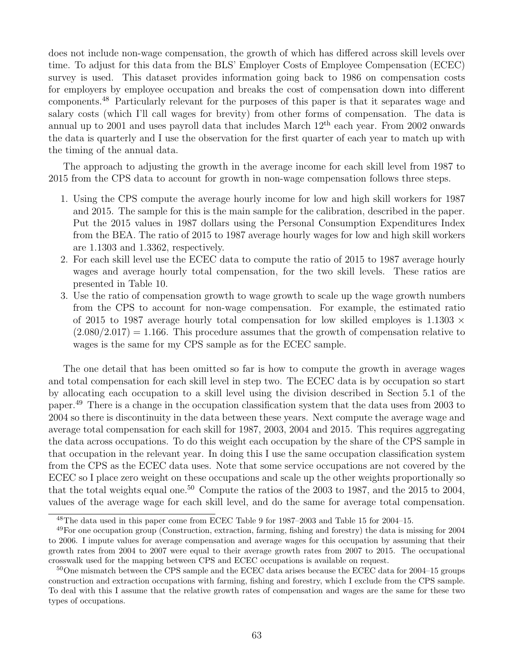does not include non-wage compensation, the growth of which has differed across skill levels over time. To adjust for this data from the BLS' Employer Costs of Employee Compensation (ECEC) survey is used. This dataset provides information going back to 1986 on compensation costs for employers by employee occupation and breaks the cost of compensation down into different components.[48](#page-63-0) Particularly relevant for the purposes of this paper is that it separates wage and salary costs (which I'll call wages for brevity) from other forms of compensation. The data is annual up to 2001 and uses payroll data that includes March  $12<sup>th</sup>$  each year. From 2002 onwards the data is quarterly and I use the observation for the first quarter of each year to match up with the timing of the annual data.

The approach to adjusting the growth in the average income for each skill level from 1987 to 2015 from the CPS data to account for growth in non-wage compensation follows three steps.

- 1. Using the CPS compute the average hourly income for low and high skill workers for 1987 and 2015. The sample for this is the main sample for the calibration, described in the paper. Put the 2015 values in 1987 dollars using the Personal Consumption Expenditures Index from the BEA. The ratio of 2015 to 1987 average hourly wages for low and high skill workers are 1.1303 and 1.3362, respectively.
- 2. For each skill level use the ECEC data to compute the ratio of 2015 to 1987 average hourly wages and average hourly total compensation, for the two skill levels. These ratios are presented in Table [10.](#page-64-0)
- 3. Use the ratio of compensation growth to wage growth to scale up the wage growth numbers from the CPS to account for non-wage compensation. For example, the estimated ratio of 2015 to 1987 average hourly total compensation for low skilled employes is 1.1303  $\times$  $(2.080/2.017) = 1.166$ . This procedure assumes that the growth of compensation relative to wages is the same for my CPS sample as for the ECEC sample.

The one detail that has been omitted so far is how to compute the growth in average wages and total compensation for each skill level in step two. The ECEC data is by occupation so start by allocating each occupation to a skill level using the division described in Section [5.1](#page-25-2) of the paper.[49](#page-63-1) There is a change in the occupation classification system that the data uses from 2003 to 2004 so there is discontinuity in the data between these years. Next compute the average wage and average total compensation for each skill for 1987, 2003, 2004 and 2015. This requires aggregating the data across occupations. To do this weight each occupation by the share of the CPS sample in that occupation in the relevant year. In doing this I use the same occupation classification system from the CPS as the ECEC data uses. Note that some service occupations are not covered by the ECEC so I place zero weight on these occupations and scale up the other weights proportionally so that the total weights equal one.<sup>[50](#page-63-2)</sup> Compute the ratios of the 2003 to 1987, and the 2015 to 2004, values of the average wage for each skill level, and do the same for average total compensation.

<span id="page-63-1"></span><span id="page-63-0"></span><sup>&</sup>lt;sup>48</sup>The data used in this paper come from ECEC Table 9 for  $1987-2003$  and Table 15 for 2004–15.

 $49$ For one occupation group (Construction, extraction, farming, fishing and forestry) the data is missing for  $2004$ to 2006. I impute values for average compensation and average wages for this occupation by assuming that their growth rates from 2004 to 2007 were equal to their average growth rates from 2007 to 2015. The occupational crosswalk used for the mapping between CPS and ECEC occupations is available on request.

<span id="page-63-2"></span> $50$ One mismatch between the CPS sample and the ECEC data arises because the ECEC data for 2004–15 groups construction and extraction occupations with farming, fishing and forestry, which I exclude from the CPS sample. To deal with this I assume that the relative growth rates of compensation and wages are the same for these two types of occupations.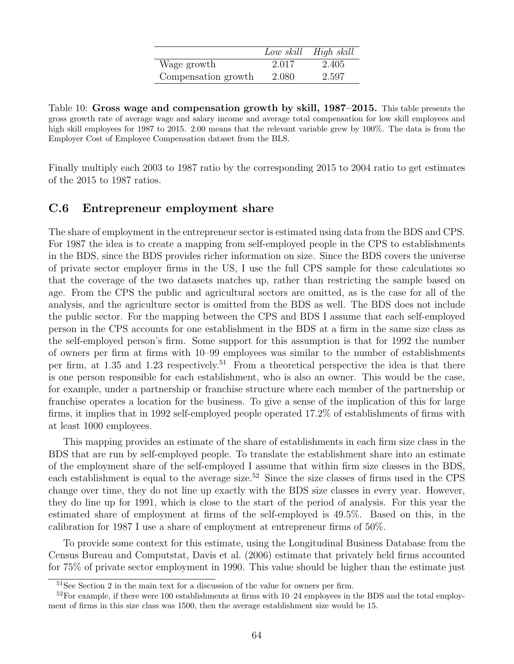|                     |       | Low skill High skill |
|---------------------|-------|----------------------|
| Wage growth         | 2.017 | 2.405                |
| Compensation growth | 2.080 | 2.597                |

<span id="page-64-0"></span>Table 10: Gross wage and compensation growth by skill, 1987–2015. This table presents the gross growth rate of average wage and salary income and average total compensation for low skill employees and high skill employees for 1987 to 2015. 2.00 means that the relevant variable grew by 100%. The data is from the Employer Cost of Employee Compensation dataset from the BLS.

Finally multiply each 2003 to 1987 ratio by the corresponding 2015 to 2004 ratio to get estimates of the 2015 to 1987 ratios.

### C.6 Entrepreneur employment share

The share of employment in the entrepreneur sector is estimated using data from the BDS and CPS. For 1987 the idea is to create a mapping from self-employed people in the CPS to establishments in the BDS, since the BDS provides richer information on size. Since the BDS covers the universe of private sector employer firms in the US, I use the full CPS sample for these calculations so that the coverage of the two datasets matches up, rather than restricting the sample based on age. From the CPS the public and agricultural sectors are omitted, as is the case for all of the analysis, and the agriculture sector is omitted from the BDS as well. The BDS does not include the public sector. For the mapping between the CPS and BDS I assume that each self-employed person in the CPS accounts for one establishment in the BDS at a firm in the same size class as the self-employed person's firm. Some support for this assumption is that for 1992 the number of owners per firm at firms with 10–99 employees was similar to the number of establishments per firm, at 1.35 and 1.23 respectively.<sup>[51](#page-64-1)</sup> From a theoretical perspective the idea is that there is one person responsible for each establishment, who is also an owner. This would be the case, for example, under a partnership or franchise structure where each member of the partnership or franchise operates a location for the business. To give a sense of the implication of this for large firms, it implies that in 1992 self-employed people operated 17.2% of establishments of firms with at least 1000 employees.

This mapping provides an estimate of the share of establishments in each firm size class in the BDS that are run by self-employed people. To translate the establishment share into an estimate of the employment share of the self-employed I assume that within firm size classes in the BDS, each establishment is equal to the average size.<sup>[52](#page-64-2)</sup> Since the size classes of firms used in the CPS change over time, they do not line up exactly with the BDS size classes in every year. However, they do line up for 1991, which is close to the start of the period of analysis. For this year the estimated share of employment at firms of the self-employed is 49.5%. Based on this, in the calibration for 1987 I use a share of employment at entrepreneur firms of 50%.

To provide some context for this estimate, using the Longitudinal Business Database from the Census Bureau and Computstat, [Davis et al.](#page-49-0) [\(2006\)](#page-49-0) estimate that privately held firms accounted for 75% of private sector employment in 1990. This value should be higher than the estimate just

<span id="page-64-2"></span><span id="page-64-1"></span><sup>&</sup>lt;sup>51</sup>See Section [2](#page-6-0) in the main text for a discussion of the value for owners per firm.

 $52$ For example, if there were 100 establishments at firms with 10–24 employees in the BDS and the total employment of firms in this size class was 1500, then the average establishment size would be 15.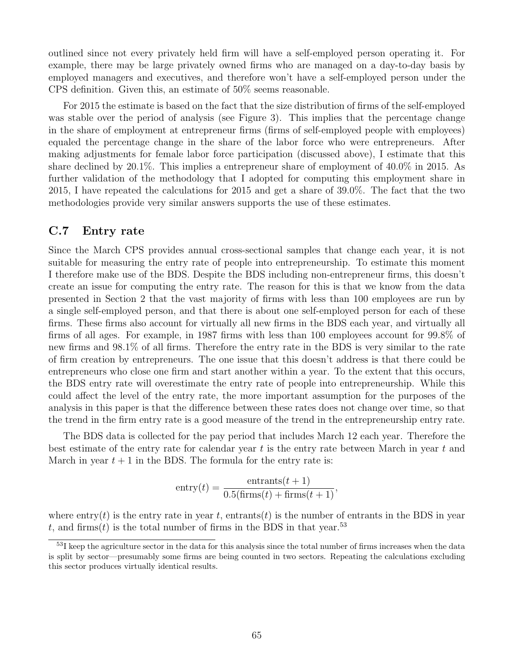outlined since not every privately held firm will have a self-employed person operating it. For example, there may be large privately owned firms who are managed on a day-to-day basis by employed managers and executives, and therefore won't have a self-employed person under the CPS definition. Given this, an estimate of 50% seems reasonable.

For 2015 the estimate is based on the fact that the size distribution of firms of the self-employed was stable over the period of analysis (see Figure [3\)](#page-12-1). This implies that the percentage change in the share of employment at entrepreneur firms (firms of self-employed people with employees) equaled the percentage change in the share of the labor force who were entrepreneurs. After making adjustments for female labor force participation (discussed above), I estimate that this share declined by 20.1%. This implies a entrepreneur share of employment of 40.0% in 2015. As further validation of the methodology that I adopted for computing this employment share in 2015, I have repeated the calculations for 2015 and get a share of 39.0%. The fact that the two methodologies provide very similar answers supports the use of these estimates.

### C.7 Entry rate

Since the March CPS provides annual cross-sectional samples that change each year, it is not suitable for measuring the entry rate of people into entrepreneurship. To estimate this moment I therefore make use of the BDS. Despite the BDS including non-entrepreneur firms, this doesn't create an issue for computing the entry rate. The reason for this is that we know from the data presented in Section [2](#page-6-0) that the vast majority of firms with less than 100 employees are run by a single self-employed person, and that there is about one self-employed person for each of these firms. These firms also account for virtually all new firms in the BDS each year, and virtually all firms of all ages. For example, in 1987 firms with less than 100 employees account for 99.8% of new firms and 98.1% of all firms. Therefore the entry rate in the BDS is very similar to the rate of firm creation by entrepreneurs. The one issue that this doesn't address is that there could be entrepreneurs who close one firm and start another within a year. To the extent that this occurs, the BDS entry rate will overestimate the entry rate of people into entrepreneurship. While this could affect the level of the entry rate, the more important assumption for the purposes of the analysis in this paper is that the difference between these rates does not change over time, so that the trend in the firm entry rate is a good measure of the trend in the entrepreneurship entry rate.

The BDS data is collected for the pay period that includes March 12 each year. Therefore the best estimate of the entry rate for calendar year  $t$  is the entry rate between March in year  $t$  and March in year  $t + 1$  in the BDS. The formula for the entry rate is:

$$
entry(t) = \frac{entrants(t + 1)}{0.5(firms(t) + firms(t + 1))},
$$

where entry(t) is the entry rate in year t, entrants(t) is the number of entrants in the BDS in year t, and firms(t) is the total number of firms in the BDS in that year.<sup>[53](#page-65-0)</sup>

<span id="page-65-0"></span><sup>&</sup>lt;sup>53</sup>I keep the agriculture sector in the data for this analysis since the total number of firms increases when the data is split by sector—presumably some firms are being counted in two sectors. Repeating the calculations excluding this sector produces virtually identical results.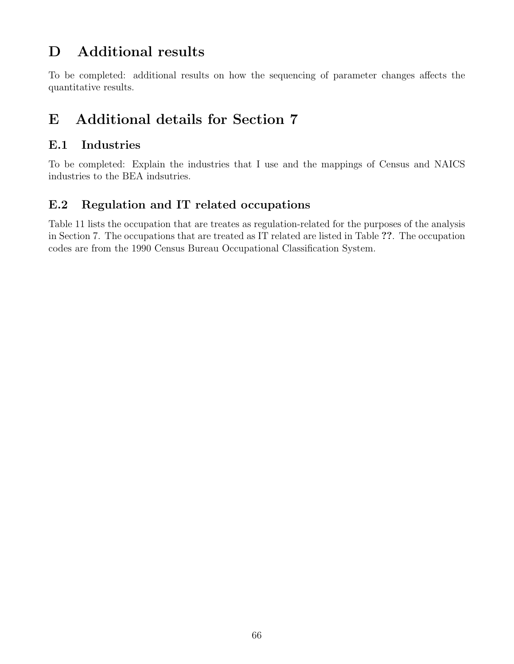# D Additional results

To be completed: additional results on how the sequencing of parameter changes affects the quantitative results.

# E Additional details for Section [7](#page-42-0)

### E.1 Industries

To be completed: Explain the industries that I use and the mappings of Census and NAICS industries to the BEA indsutries.

# E.2 Regulation and IT related occupations

Table [11](#page-67-0) lists the occupation that are treates as regulation-related for the purposes of the analysis in Section [7.](#page-42-0) The occupations that are treated as IT related are listed in Table ??. The occupation codes are from the 1990 Census Bureau Occupational Classification System.